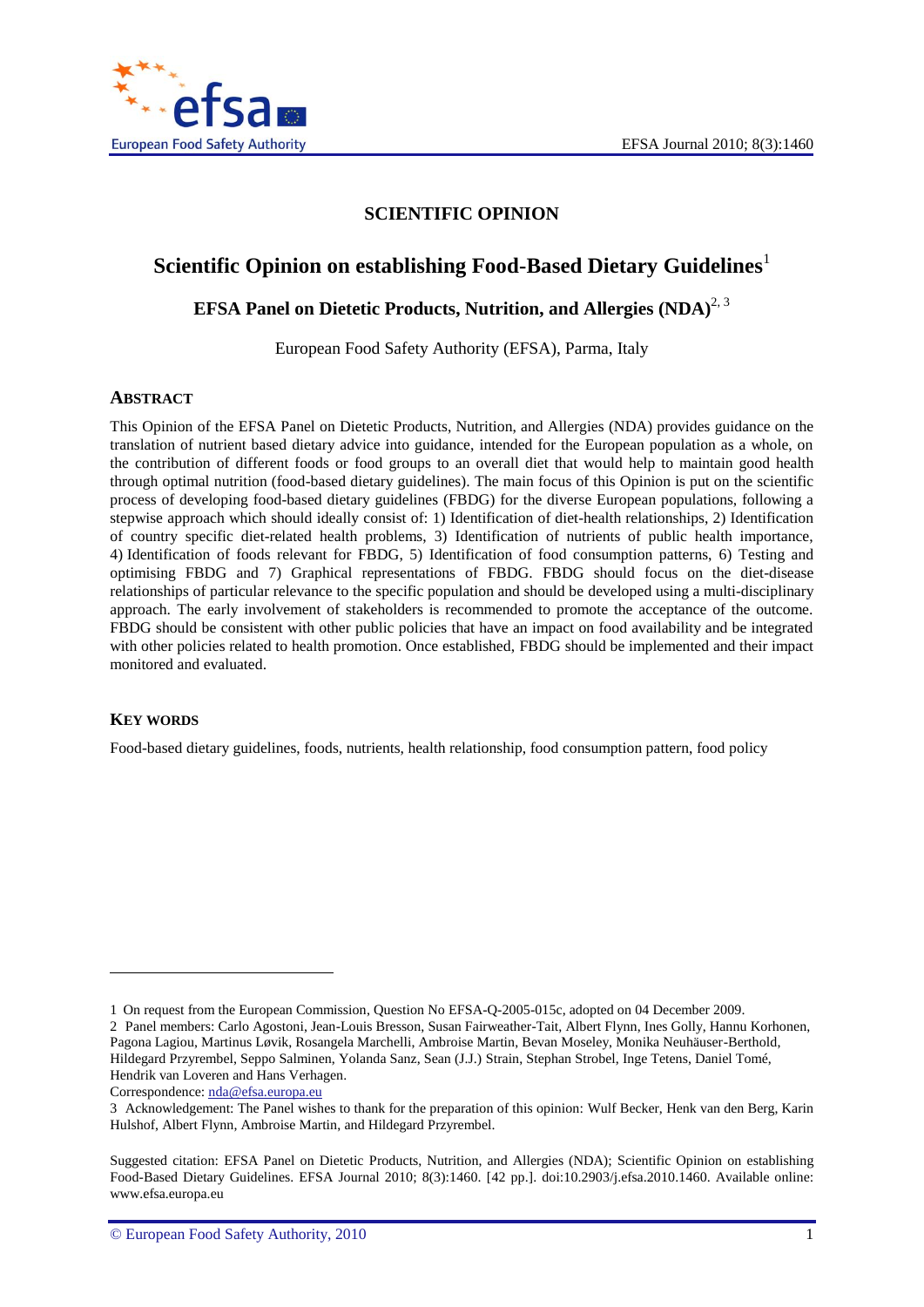

## **SCIENTIFIC OPINION**

# **Scientific Opinion on establishing Food-Based Dietary Guidelines**<sup>1</sup>

## **EFSA** Panel on Dietetic Products, Nutrition, and Allergies (NDA)<sup>2, 3</sup>

European Food Safety Authority (EFSA), Parma, Italy

#### <span id="page-0-0"></span>**ABSTRACT**

This Opinion of the EFSA Panel on Dietetic Products, Nutrition, and Allergies (NDA) provides guidance on the translation of nutrient based dietary advice into guidance, intended for the European population as a whole, on the contribution of different foods or food groups to an overall diet that would help to maintain good health through optimal nutrition (food-based dietary guidelines). The main focus of this Opinion is put on the scientific process of developing food-based dietary guidelines (FBDG) for the diverse European populations, following a stepwise approach which should ideally consist of: 1) Identification of diet-health relationships, 2) Identification of country specific diet-related health problems, 3) Identification of nutrients of public health importance, 4) Identification of foods relevant for FBDG, 5) Identification of food consumption patterns, 6) Testing and optimising FBDG and 7) Graphical representations of FBDG. FBDG should focus on the diet-disease relationships of particular relevance to the specific population and should be developed using a multi-disciplinary approach. The early involvement of stakeholders is recommended to promote the acceptance of the outcome. FBDG should be consistent with other public policies that have an impact on food availability and be integrated with other policies related to health promotion. Once established, FBDG should be implemented and their impact monitored and evaluated.

#### **KEY WORDS**

 $\overline{a}$ 

Food-based dietary guidelines, foods, nutrients, health relationship, food consumption pattern, food policy

<sup>1</sup> On request from the European Commission, Question No EFSA-Q-2005-015c, adopted on 04 December 2009.

<sup>2</sup> Panel members: Carlo Agostoni, Jean-Louis Bresson, Susan Fairweather-Tait, Albert Flynn, Ines Golly, Hannu Korhonen, Pagona Lagiou, Martinus Løvik, Rosangela Marchelli, Ambroise Martin, Bevan Moseley, Monika Neuhäuser-Berthold, Hildegard Przyrembel, Seppo Salminen, Yolanda Sanz, Sean (J.J.) Strain, Stephan Strobel, Inge Tetens, Daniel Tomé, Hendrik van Loveren and Hans Verhagen.

Correspondence[: nda@efsa.europa.eu](mailto:nda@efsa.europa.eu)

<sup>3</sup> Acknowledgement: The Panel wishes to thank for the preparation of this opinion: Wulf Becker, Henk van den Berg, Karin Hulshof, Albert Flynn, Ambroise Martin, and Hildegard Przyrembel.

Suggested citation: EFSA Panel on Dietetic Products, Nutrition, and Allergies (NDA); Scientific Opinion on establishing Food-Based Dietary Guidelines. EFSA Journal 2010; 8(3):1460. [42 pp.]. doi:10.2903/j.efsa.2010.1460. Available online: www.efsa.europa.eu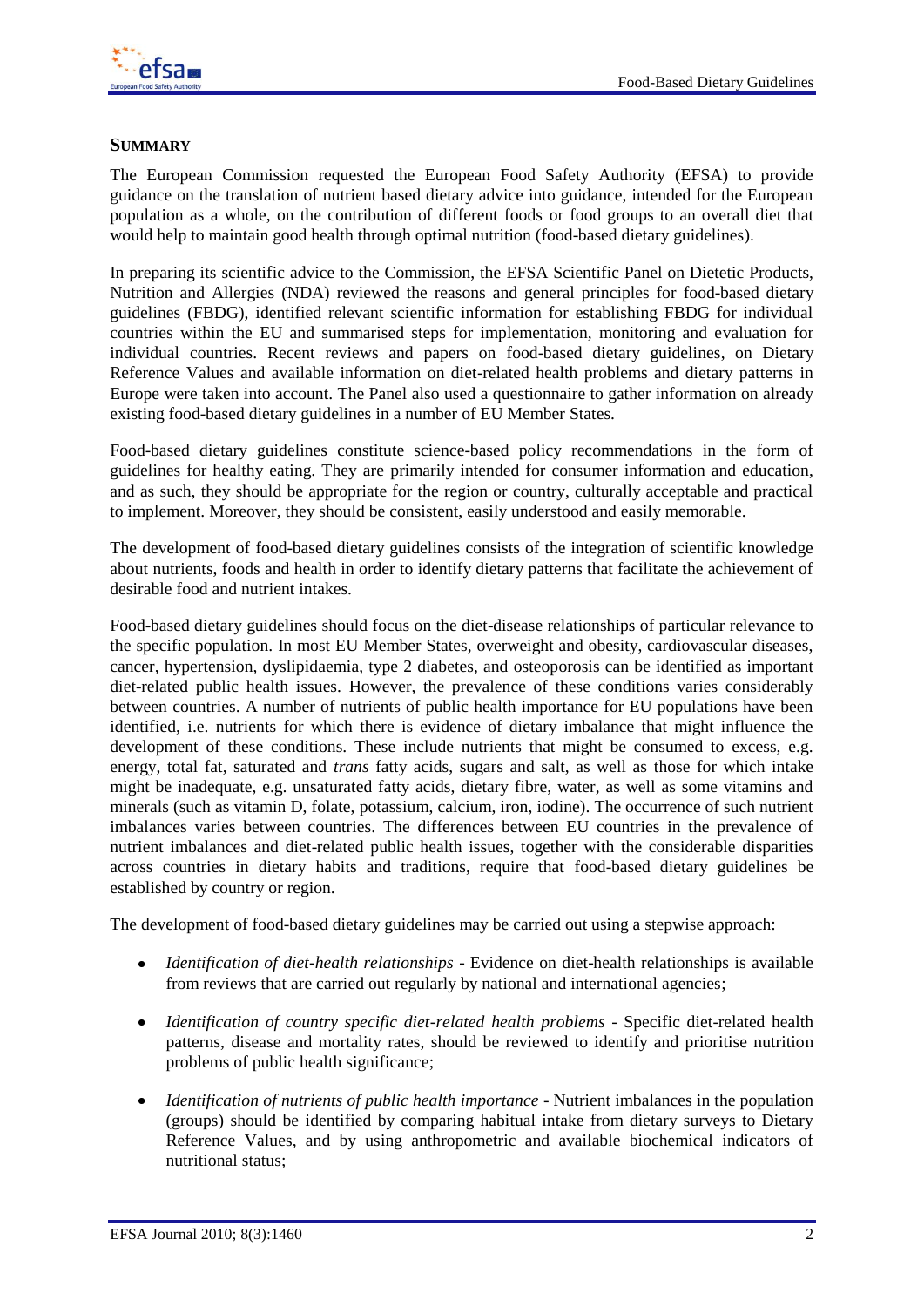## <span id="page-1-0"></span>**SUMMARY**

The European Commission requested the European Food Safety Authority (EFSA) to provide guidance on the translation of nutrient based dietary advice into guidance, intended for the European population as a whole, on the contribution of different foods or food groups to an overall diet that would help to maintain good health through optimal nutrition (food-based dietary guidelines).

In preparing its scientific advice to the Commission, the EFSA Scientific Panel on Dietetic Products, Nutrition and Allergies (NDA) reviewed the reasons and general principles for food-based dietary guidelines (FBDG), identified relevant scientific information for establishing FBDG for individual countries within the EU and summarised steps for implementation, monitoring and evaluation for individual countries. Recent reviews and papers on food-based dietary guidelines, on Dietary Reference Values and available information on diet-related health problems and dietary patterns in Europe were taken into account. The Panel also used a questionnaire to gather information on already existing food-based dietary guidelines in a number of EU Member States.

Food-based dietary guidelines constitute science-based policy recommendations in the form of guidelines for healthy eating. They are primarily intended for consumer information and education, and as such, they should be appropriate for the region or country, culturally acceptable and practical to implement. Moreover, they should be consistent, easily understood and easily memorable.

The development of food-based dietary guidelines consists of the integration of scientific knowledge about nutrients, foods and health in order to identify dietary patterns that facilitate the achievement of desirable food and nutrient intakes.

Food-based dietary guidelines should focus on the diet-disease relationships of particular relevance to the specific population. In most EU Member States, overweight and obesity, cardiovascular diseases, cancer, hypertension, dyslipidaemia, type 2 diabetes, and osteoporosis can be identified as important diet-related public health issues. However, the prevalence of these conditions varies considerably between countries. A number of nutrients of public health importance for EU populations have been identified, i.e. nutrients for which there is evidence of dietary imbalance that might influence the development of these conditions. These include nutrients that might be consumed to excess, e.g. energy, total fat, saturated and *trans* fatty acids, sugars and salt, as well as those for which intake might be inadequate, e.g. unsaturated fatty acids, dietary fibre, water, as well as some vitamins and minerals (such as vitamin D, folate, potassium, calcium, iron, iodine). The occurrence of such nutrient imbalances varies between countries. The differences between EU countries in the prevalence of nutrient imbalances and diet-related public health issues, together with the considerable disparities across countries in dietary habits and traditions, require that food-based dietary guidelines be established by country or region.

The development of food-based dietary guidelines may be carried out using a stepwise approach:

- *Identification of diet-health relationships* Evidence on diet-health relationships is available from reviews that are carried out regularly by national and international agencies;
- *Identification of country specific diet-related health problems* Specific diet-related health patterns, disease and mortality rates, should be reviewed to identify and prioritise nutrition problems of public health significance;
- *Identification of nutrients of public health importance* Nutrient imbalances in the population (groups) should be identified by comparing habitual intake from dietary surveys to Dietary Reference Values, and by using anthropometric and available biochemical indicators of nutritional status;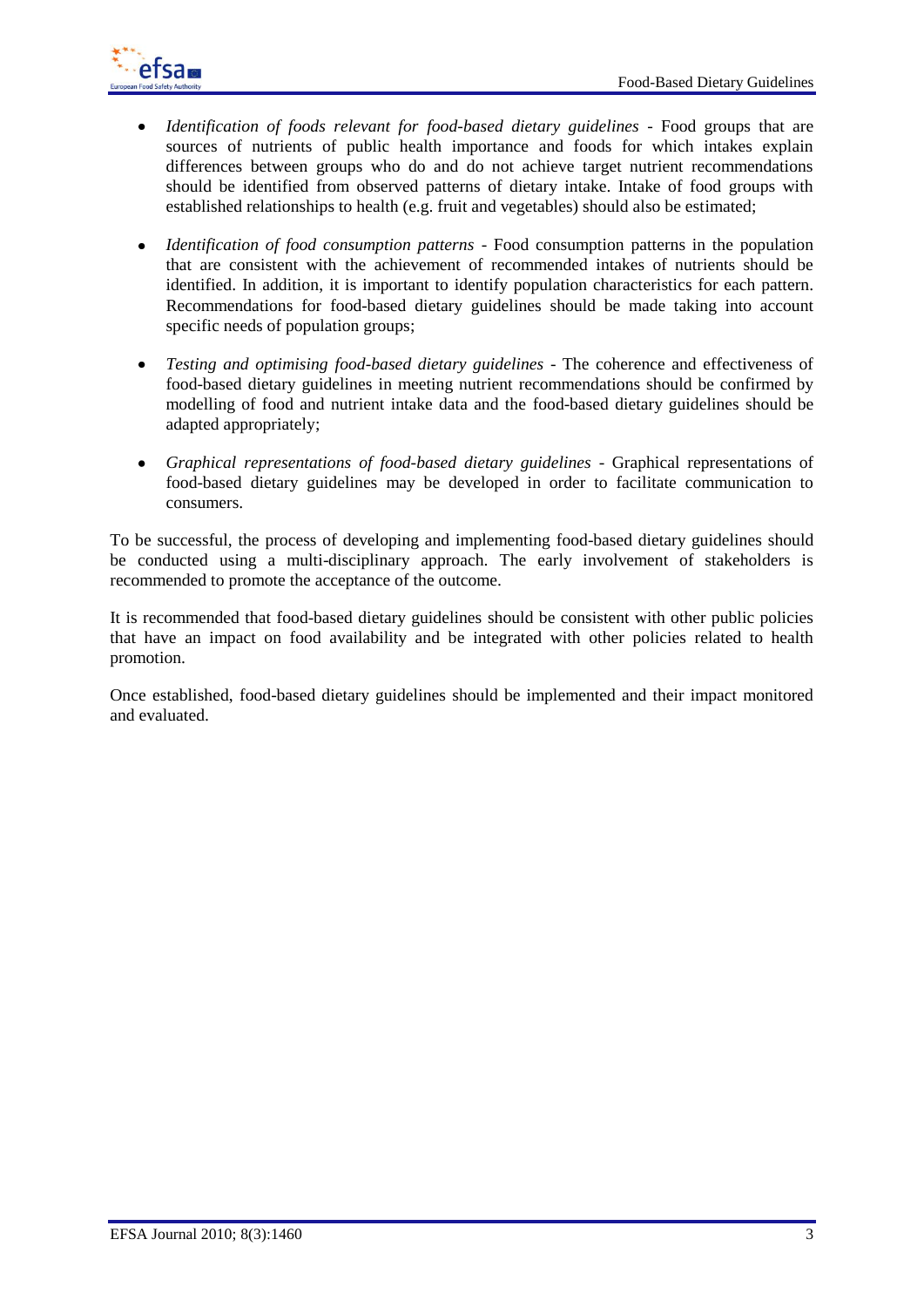

- *Identification of foods relevant for food-based dietary guidelines* Food groups that are sources of nutrients of public health importance and foods for which intakes explain differences between groups who do and do not achieve target nutrient recommendations should be identified from observed patterns of dietary intake. Intake of food groups with established relationships to health (e.g. fruit and vegetables) should also be estimated;
- *Identification of food consumption patterns* Food consumption patterns in the population that are consistent with the achievement of recommended intakes of nutrients should be identified. In addition, it is important to identify population characteristics for each pattern. Recommendations for food-based dietary guidelines should be made taking into account specific needs of population groups;
- *Testing and optimising food-based dietary guidelines* The coherence and effectiveness of food-based dietary guidelines in meeting nutrient recommendations should be confirmed by modelling of food and nutrient intake data and the food-based dietary guidelines should be adapted appropriately;
- *Graphical representations of food-based dietary guidelines* Graphical representations of food-based dietary guidelines may be developed in order to facilitate communication to consumers.

To be successful, the process of developing and implementing food-based dietary guidelines should be conducted using a multi-disciplinary approach. The early involvement of stakeholders is recommended to promote the acceptance of the outcome.

It is recommended that food-based dietary guidelines should be consistent with other public policies that have an impact on food availability and be integrated with other policies related to health promotion.

Once established, food-based dietary guidelines should be implemented and their impact monitored and evaluated.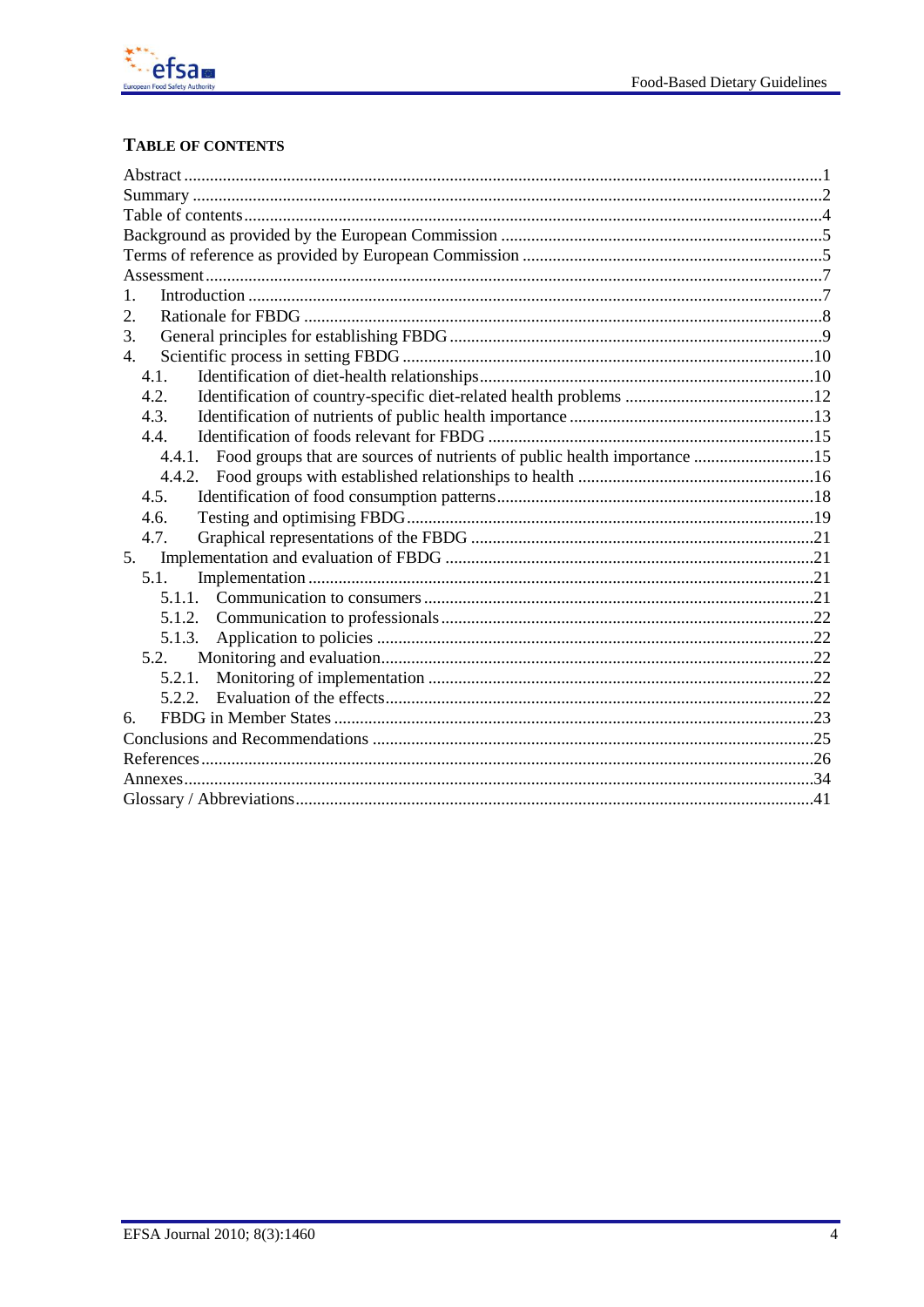

# <span id="page-3-0"></span>TABLE OF CONTENTS

| $\mathbf{1}$ .                                                                  |  |
|---------------------------------------------------------------------------------|--|
| 2.                                                                              |  |
| 3.                                                                              |  |
| $\overline{4}$ .                                                                |  |
| 4.1.                                                                            |  |
| 4.2.                                                                            |  |
| 4.3.                                                                            |  |
| 4.4.                                                                            |  |
| 4.4.1. Food groups that are sources of nutrients of public health importance 15 |  |
|                                                                                 |  |
| 4.5.                                                                            |  |
| 4.6.                                                                            |  |
| 4.7.                                                                            |  |
| 5.                                                                              |  |
| 5.1.                                                                            |  |
|                                                                                 |  |
|                                                                                 |  |
| 5.1.3.                                                                          |  |
| 5.2.                                                                            |  |
| 5.2.1.                                                                          |  |
|                                                                                 |  |
| 6.                                                                              |  |
|                                                                                 |  |
|                                                                                 |  |
|                                                                                 |  |
|                                                                                 |  |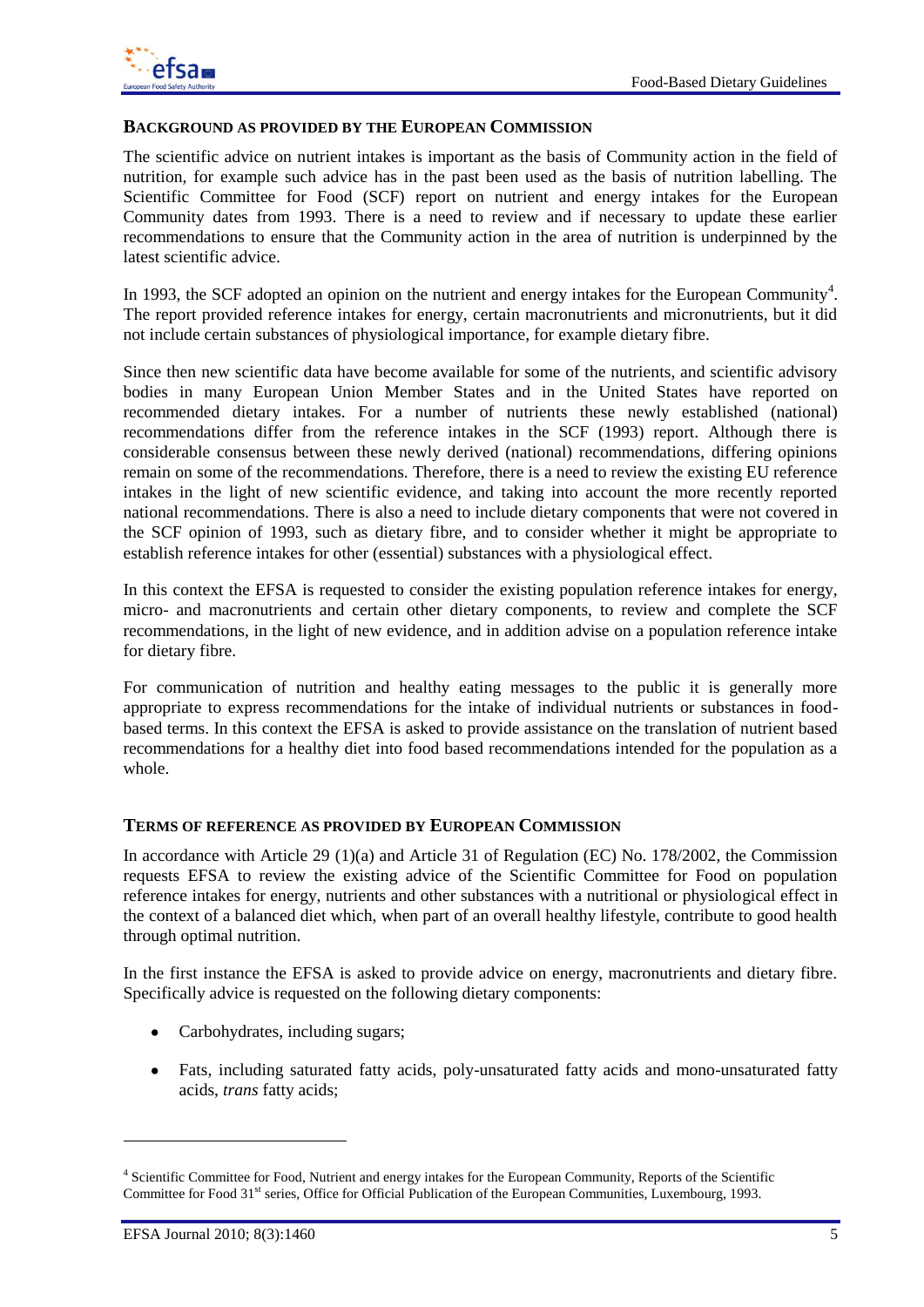

### <span id="page-4-0"></span>**BACKGROUND AS PROVIDED BY THE EUROPEAN COMMISSION**

The scientific advice on nutrient intakes is important as the basis of Community action in the field of nutrition, for example such advice has in the past been used as the basis of nutrition labelling. The Scientific Committee for Food (SCF) report on nutrient and energy intakes for the European Community dates from 1993. There is a need to review and if necessary to update these earlier recommendations to ensure that the Community action in the area of nutrition is underpinned by the latest scientific advice.

In 1993, the SCF adopted an opinion on the nutrient and energy intakes for the European Community<sup>4</sup>. The report provided reference intakes for energy, certain macronutrients and micronutrients, but it did not include certain substances of physiological importance, for example dietary fibre.

Since then new scientific data have become available for some of the nutrients, and scientific advisory bodies in many European Union Member States and in the United States have reported on recommended dietary intakes. For a number of nutrients these newly established (national) recommendations differ from the reference intakes in the SCF (1993) report. Although there is considerable consensus between these newly derived (national) recommendations, differing opinions remain on some of the recommendations. Therefore, there is a need to review the existing EU reference intakes in the light of new scientific evidence, and taking into account the more recently reported national recommendations. There is also a need to include dietary components that were not covered in the SCF opinion of 1993, such as dietary fibre, and to consider whether it might be appropriate to establish reference intakes for other (essential) substances with a physiological effect.

In this context the EFSA is requested to consider the existing population reference intakes for energy, micro- and macronutrients and certain other dietary components, to review and complete the SCF recommendations, in the light of new evidence, and in addition advise on a population reference intake for dietary fibre.

For communication of nutrition and healthy eating messages to the public it is generally more appropriate to express recommendations for the intake of individual nutrients or substances in foodbased terms. In this context the EFSA is asked to provide assistance on the translation of nutrient based recommendations for a healthy diet into food based recommendations intended for the population as a whole.

#### <span id="page-4-1"></span>**TERMS OF REFERENCE AS PROVIDED BY EUROPEAN COMMISSION**

In accordance with Article 29 (1)(a) and Article 31 of Regulation (EC) No. 178/2002, the Commission requests EFSA to review the existing advice of the Scientific Committee for Food on population reference intakes for energy, nutrients and other substances with a nutritional or physiological effect in the context of a balanced diet which, when part of an overall healthy lifestyle, contribute to good health through optimal nutrition.

In the first instance the EFSA is asked to provide advice on energy, macronutrients and dietary fibre. Specifically advice is requested on the following dietary components:

- Carbohydrates, including sugars;
- Fats, including saturated fatty acids, poly-unsaturated fatty acids and mono-unsaturated fatty  $\bullet$ acids, *trans* fatty acids;

-

<sup>4</sup> Scientific Committee for Food, Nutrient and energy intakes for the European Community, Reports of the Scientific Committee for Food 31<sup>st</sup> series, Office for Official Publication of the European Communities, Luxembourg, 1993.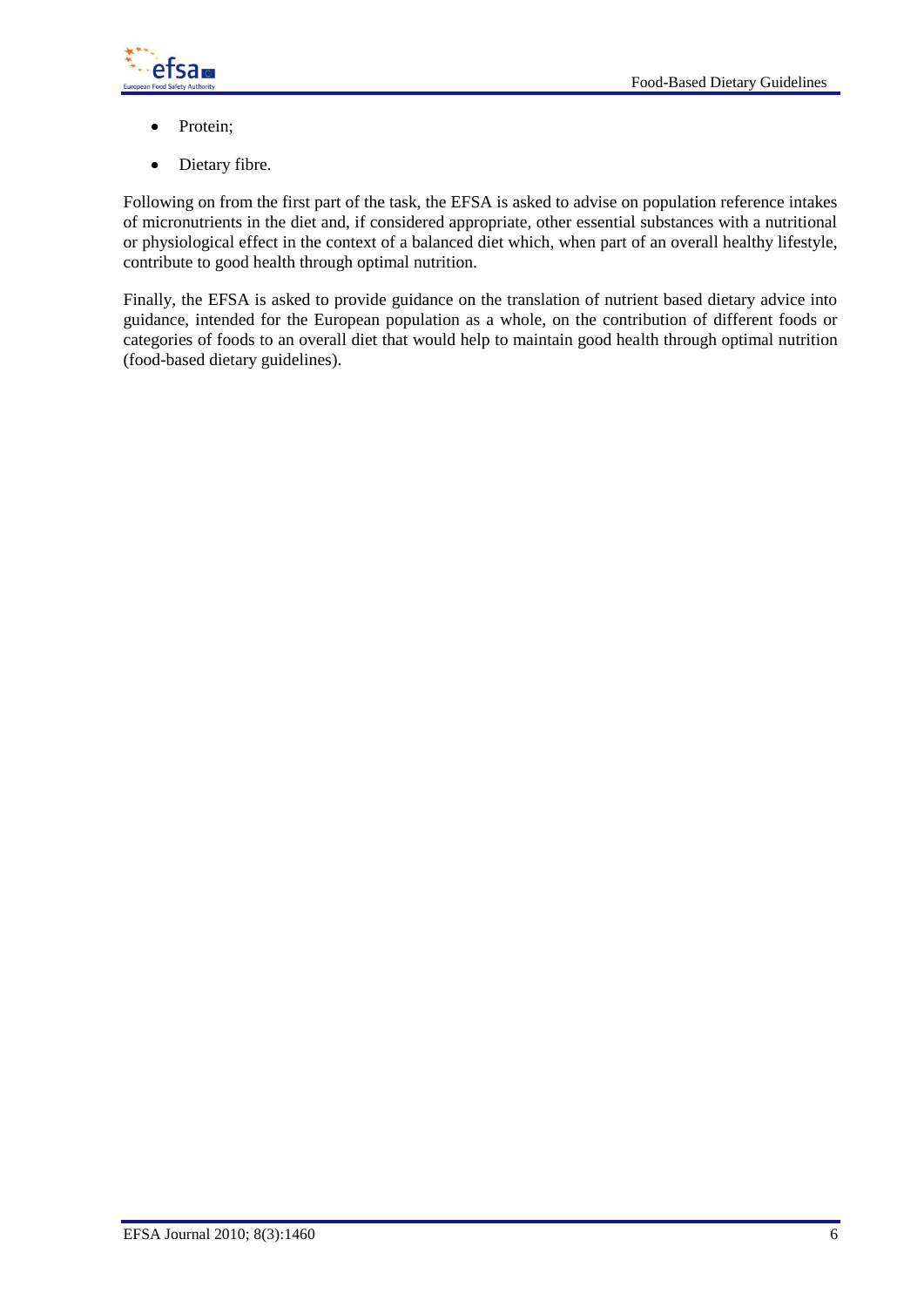

- $\bullet$ Protein;
- Dietary fibre.  $\bullet$

Following on from the first part of the task, the EFSA is asked to advise on population reference intakes of micronutrients in the diet and, if considered appropriate, other essential substances with a nutritional or physiological effect in the context of a balanced diet which, when part of an overall healthy lifestyle, contribute to good health through optimal nutrition.

Finally, the EFSA is asked to provide guidance on the translation of nutrient based dietary advice into guidance, intended for the European population as a whole, on the contribution of different foods or categories of foods to an overall diet that would help to maintain good health through optimal nutrition (food-based dietary guidelines).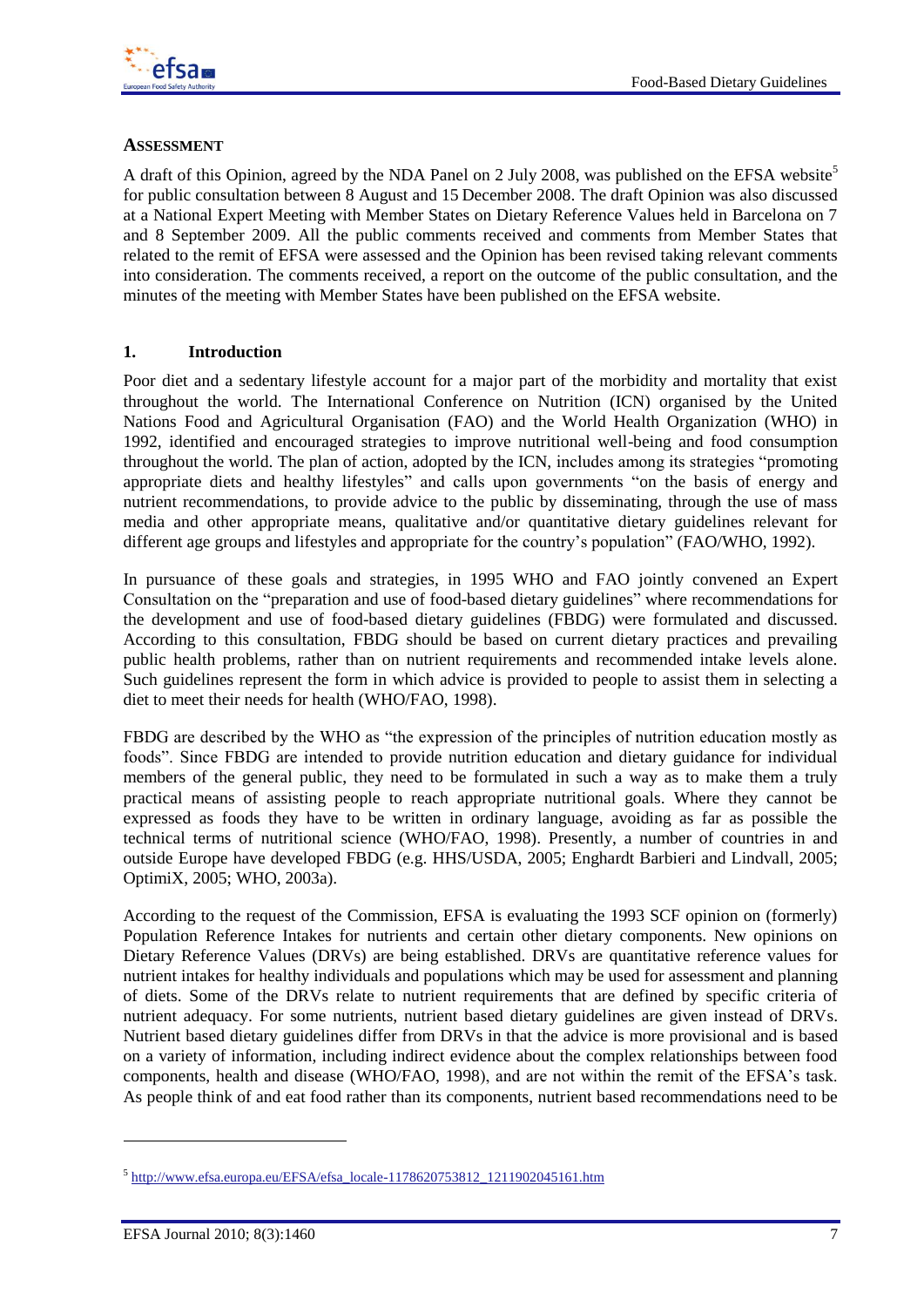## <span id="page-6-0"></span>**ASSESSMENT**

A draft of this Opinion, agreed by the NDA Panel on 2 July 2008, was published on the EFSA website<sup>5</sup> for public consultation between 8 August and 15 December 2008. The draft Opinion was also discussed at a National Expert Meeting with Member States on Dietary Reference Values held in Barcelona on 7 and 8 September 2009. All the public comments received and comments from Member States that related to the remit of EFSA were assessed and the Opinion has been revised taking relevant comments into consideration. The comments received, a report on the outcome of the public consultation, and the minutes of the meeting with Member States have been published on the EFSA website.

## <span id="page-6-1"></span>**1. Introduction**

Poor diet and a sedentary lifestyle account for a major part of the morbidity and mortality that exist throughout the world. The International Conference on Nutrition (ICN) organised by the United Nations Food and Agricultural Organisation (FAO) and the World Health Organization (WHO) in 1992, identified and encouraged strategies to improve nutritional well-being and food consumption throughout the world. The plan of action, adopted by the ICN, includes among its strategies "promoting appropriate diets and healthy lifestyles" and calls upon governments "on the basis of energy and nutrient recommendations, to provide advice to the public by disseminating, through the use of mass media and other appropriate means, qualitative and/or quantitative dietary guidelines relevant for different age groups and lifestyles and appropriate for the country's population" (FAO/WHO, 1992).

In pursuance of these goals and strategies, in 1995 WHO and FAO jointly convened an Expert Consultation on the "preparation and use of food-based dietary guidelines" where recommendations for the development and use of food-based dietary guidelines (FBDG) were formulated and discussed. According to this consultation, FBDG should be based on current dietary practices and prevailing public health problems, rather than on nutrient requirements and recommended intake levels alone. Such guidelines represent the form in which advice is provided to people to assist them in selecting a diet to meet their needs for health (WHO/FAO, 1998).

FBDG are described by the WHO as "the expression of the principles of nutrition education mostly as foods". Since FBDG are intended to provide nutrition education and dietary guidance for individual members of the general public, they need to be formulated in such a way as to make them a truly practical means of assisting people to reach appropriate nutritional goals. Where they cannot be expressed as foods they have to be written in ordinary language, avoiding as far as possible the technical terms of nutritional science (WHO/FAO, 1998). Presently, a number of countries in and outside Europe have developed FBDG (e.g. HHS/USDA, 2005; Enghardt Barbieri and Lindvall, 2005; OptimiX, 2005; WHO, 2003a).

According to the request of the Commission, EFSA is evaluating the 1993 SCF opinion on (formerly) Population Reference Intakes for nutrients and certain other dietary components. New opinions on Dietary Reference Values (DRVs) are being established. DRVs are quantitative reference values for nutrient intakes for healthy individuals and populations which may be used for assessment and planning of diets. Some of the DRVs relate to nutrient requirements that are defined by specific criteria of nutrient adequacy. For some nutrients, nutrient based dietary guidelines are given instead of DRVs. Nutrient based dietary guidelines differ from DRVs in that the advice is more provisional and is based on a variety of information, including indirect evidence about the complex relationships between food components, health and disease (WHO/FAO, 1998), and are not within the remit of the EFSA's task. As people think of and eat food rather than its components, nutrient based recommendations need to be

-

<sup>&</sup>lt;sup>5</sup> [http://www.efsa.europa.eu/EFSA/efsa\\_locale-1178620753812\\_1211902045161.htm](http://www.efsa.europa.eu/EFSA/efsa_locale-1178620753812_1211902045161.htm)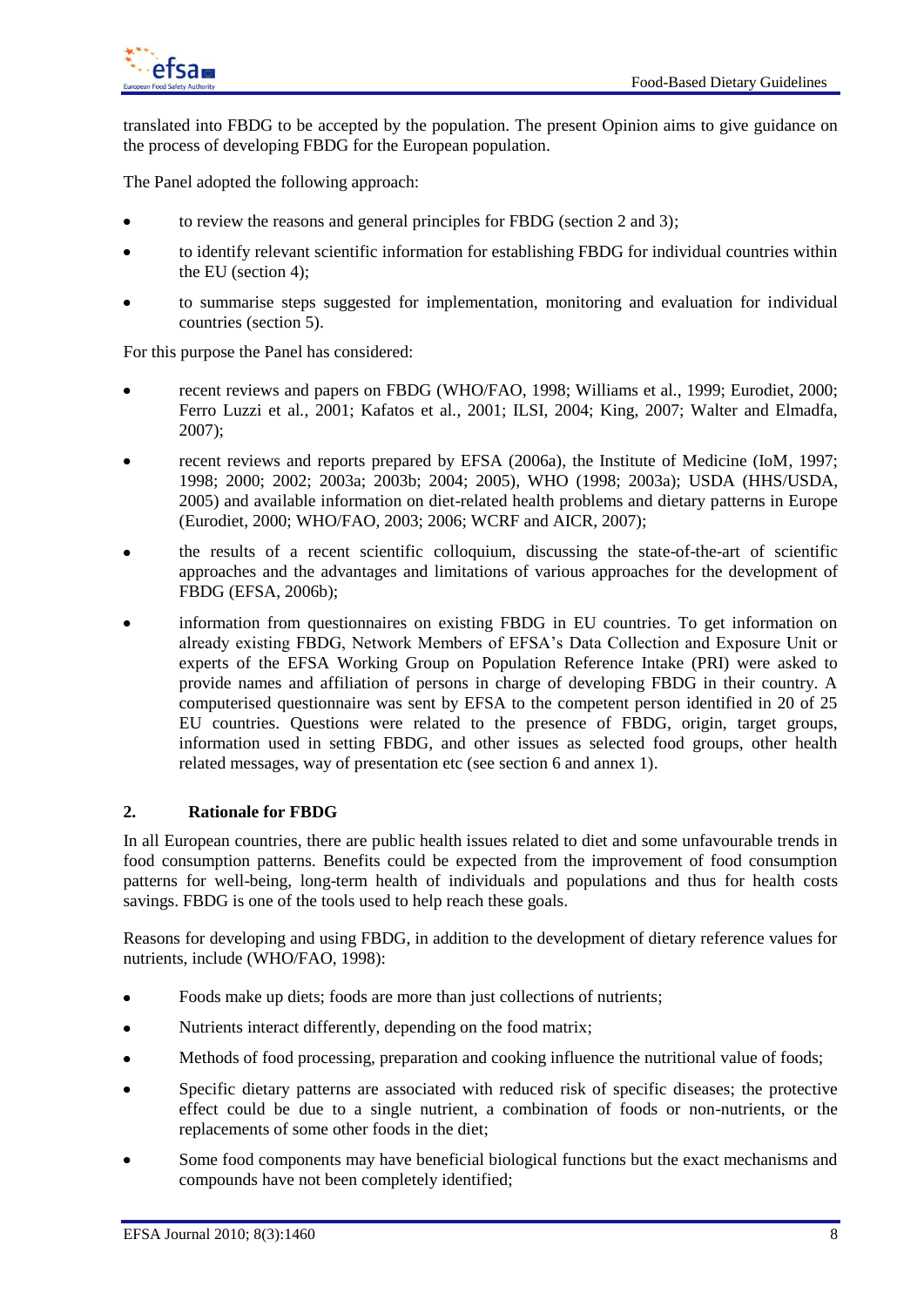

translated into FBDG to be accepted by the population. The present Opinion aims to give guidance on the process of developing FBDG for the European population.

The Panel adopted the following approach:

- to review the reasons and general principles for FBDG (section 2 and 3);
- to identify relevant scientific information for establishing FBDG for individual countries within the EU (section 4);
- to summarise steps suggested for implementation, monitoring and evaluation for individual countries (section 5).

For this purpose the Panel has considered:

- recent reviews and papers on FBDG (WHO/FAO, 1998; Williams et al*.*, 1999; Eurodiet, 2000;  $\bullet$ Ferro Luzzi et al*.*, 2001; Kafatos et al*.*, 2001; ILSI, 2004; King, 2007; Walter and Elmadfa, 2007);
- recent reviews and reports prepared by EFSA (2006a), the Institute of Medicine (IoM, 1997; 1998; 2000; 2002; 2003a; 2003b; 2004; 2005), WHO (1998; 2003a); USDA (HHS/USDA, 2005) and available information on diet-related health problems and dietary patterns in Europe (Eurodiet, 2000; WHO/FAO, 2003; 2006; WCRF and AICR, 2007);
- the results of a recent scientific colloquium, discussing the state-of-the-art of scientific approaches and the advantages and limitations of various approaches for the development of FBDG (EFSA, 2006b);
- information from questionnaires on existing FBDG in EU countries. To get information on already existing FBDG, Network Members of EFSA's Data Collection and Exposure Unit or experts of the EFSA Working Group on Population Reference Intake (PRI) were asked to provide names and affiliation of persons in charge of developing FBDG in their country. A computerised questionnaire was sent by EFSA to the competent person identified in 20 of 25 EU countries. Questions were related to the presence of FBDG, origin, target groups, information used in setting FBDG, and other issues as selected food groups, other health related messages, way of presentation etc (see section 6 and annex 1).

## <span id="page-7-0"></span>**2. Rationale for FBDG**

In all European countries, there are public health issues related to diet and some unfavourable trends in food consumption patterns. Benefits could be expected from the improvement of food consumption patterns for well-being, long-term health of individuals and populations and thus for health costs savings. FBDG is one of the tools used to help reach these goals.

Reasons for developing and using FBDG, in addition to the development of dietary reference values for nutrients, include (WHO/FAO, 1998):

- Foods make up diets; foods are more than just collections of nutrients;
- Nutrients interact differently, depending on the food matrix;
- Methods of food processing, preparation and cooking influence the nutritional value of foods;
- Specific dietary patterns are associated with reduced risk of specific diseases; the protective effect could be due to a single nutrient, a combination of foods or non-nutrients, or the replacements of some other foods in the diet;
- Some food components may have beneficial biological functions but the exact mechanisms and compounds have not been completely identified;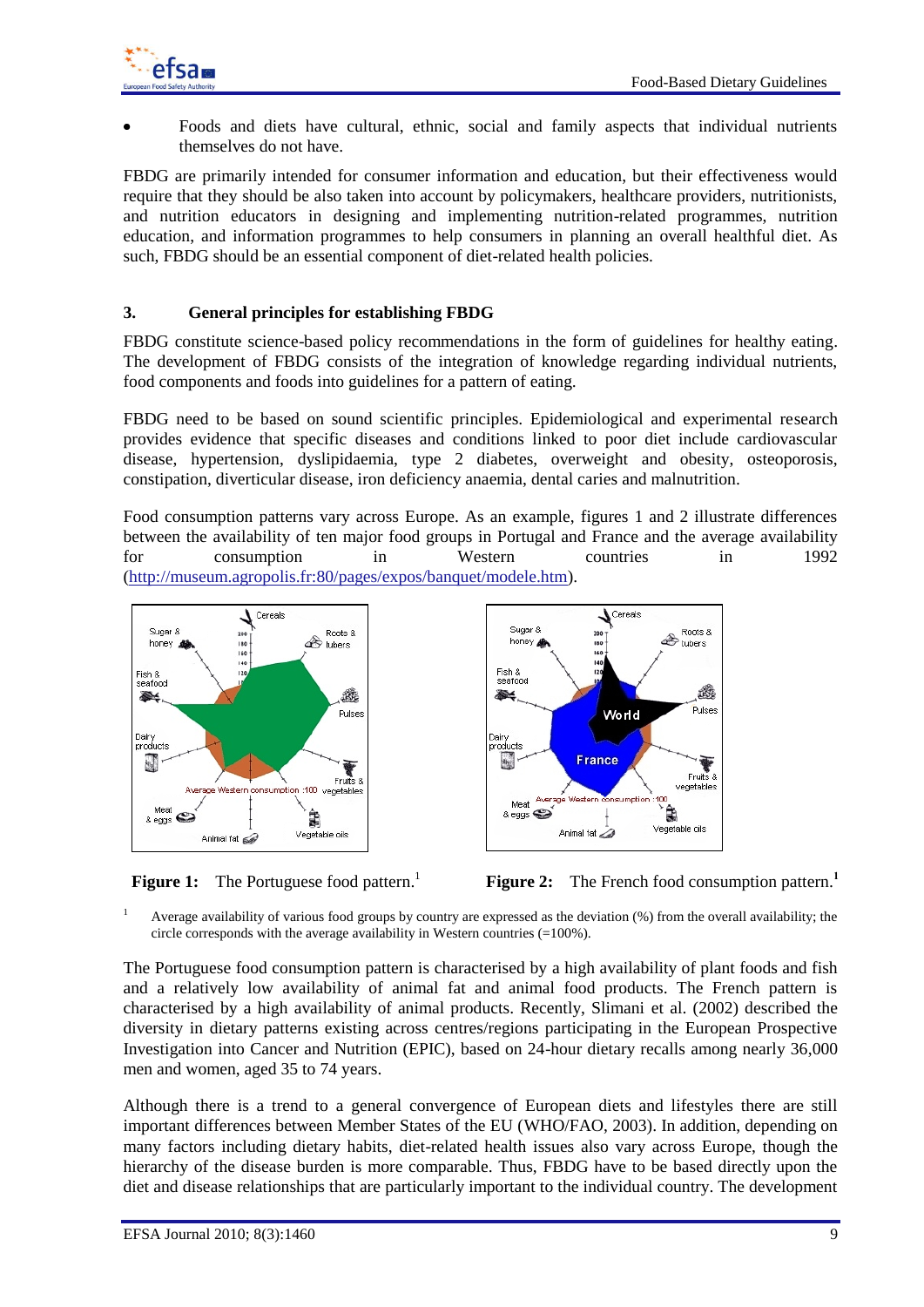

Foods and diets have cultural, ethnic, social and family aspects that individual nutrients themselves do not have.

FBDG are primarily intended for consumer information and education, but their effectiveness would require that they should be also taken into account by policymakers, healthcare providers, nutritionists, and nutrition educators in designing and implementing nutrition-related programmes, nutrition education, and information programmes to help consumers in planning an overall healthful diet. As such, FBDG should be an essential component of diet-related health policies.

## <span id="page-8-0"></span>**3. General principles for establishing FBDG**

FBDG constitute science-based policy recommendations in the form of guidelines for healthy eating. The development of FBDG consists of the integration of knowledge regarding individual nutrients, food components and foods into guidelines for a pattern of eating.

FBDG need to be based on sound scientific principles. Epidemiological and experimental research provides evidence that specific diseases and conditions linked to poor diet include cardiovascular disease, hypertension, dyslipidaemia, type 2 diabetes, overweight and obesity, osteoporosis, constipation, diverticular disease, iron deficiency anaemia, dental caries and malnutrition.

Food consumption patterns vary across Europe. As an example, figures 1 and 2 illustrate differences between the availability of ten major food groups in Portugal and France and the average availability for consumption in Western countries in 1992 [\(http://museum.agropolis.fr:80/pages/expos/banquet/modele.htm\)](http://museum.agropolis.fr/pages/expos/banquet/modele.htm).



**Figure 1:** The Portuguese food pattern.<sup>1</sup>



<sup>1</sup> **Figure 2:** The French food consumption pattern.<sup>1</sup>

<sup>1</sup> Average availability of various food groups by country are expressed as the deviation  $(\%)$  from the overall availability; the circle corresponds with the average availability in Western countries (=100%).

The Portuguese food consumption pattern is characterised by a high availability of plant foods and fish and a relatively low availability of animal fat and animal food products. The French pattern is characterised by a high availability of animal products. Recently, Slimani et al. (2002) described the diversity in dietary patterns existing across centres/regions participating in the European Prospective Investigation into Cancer and Nutrition (EPIC), based on 24-hour dietary recalls among nearly 36,000 men and women, aged 35 to 74 years.

Although there is a trend to a general convergence of European diets and lifestyles there are still important differences between Member States of the EU (WHO/FAO, 2003). In addition, depending on many factors including dietary habits, diet-related health issues also vary across Europe, though the hierarchy of the disease burden is more comparable. Thus, FBDG have to be based directly upon the diet and disease relationships that are particularly important to the individual country. The development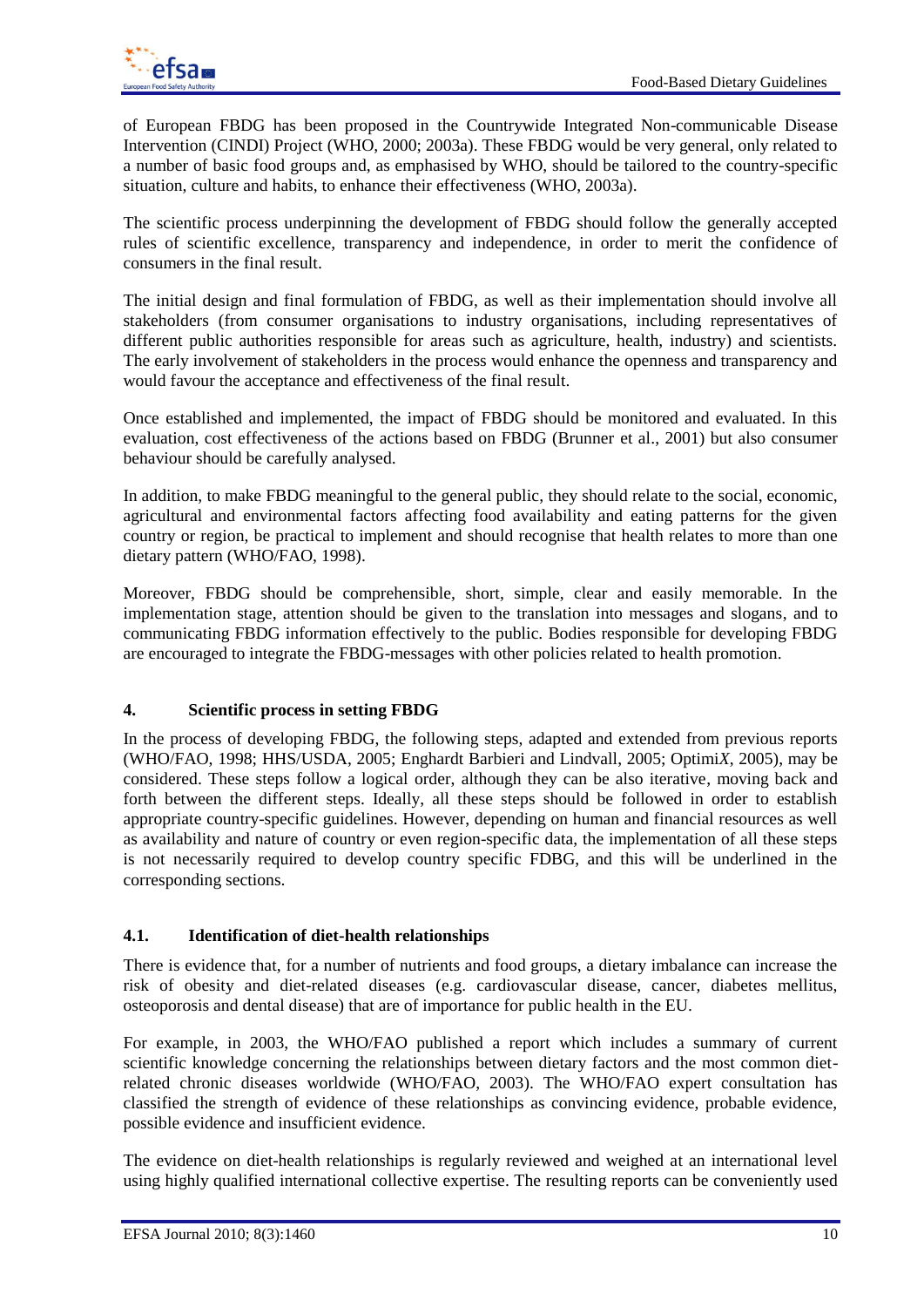

of European FBDG has been proposed in the Countrywide Integrated Non-communicable Disease Intervention (CINDI) Project (WHO, 2000; 2003a). These FBDG would be very general, only related to a number of basic food groups and, as emphasised by WHO, should be tailored to the country-specific situation, culture and habits, to enhance their effectiveness (WHO, 2003a).

The scientific process underpinning the development of FBDG should follow the generally accepted rules of scientific excellence, transparency and independence, in order to merit the confidence of consumers in the final result.

The initial design and final formulation of FBDG, as well as their implementation should involve all stakeholders (from consumer organisations to industry organisations, including representatives of different public authorities responsible for areas such as agriculture, health, industry) and scientists. The early involvement of stakeholders in the process would enhance the openness and transparency and would favour the acceptance and effectiveness of the final result.

Once established and implemented, the impact of FBDG should be monitored and evaluated. In this evaluation, cost effectiveness of the actions based on FBDG (Brunner et al., 2001) but also consumer behaviour should be carefully analysed.

In addition, to make FBDG meaningful to the general public, they should relate to the social, economic, agricultural and environmental factors affecting food availability and eating patterns for the given country or region, be practical to implement and should recognise that health relates to more than one dietary pattern (WHO/FAO, 1998).

Moreover, FBDG should be comprehensible, short, simple, clear and easily memorable. In the implementation stage, attention should be given to the translation into messages and slogans, and to communicating FBDG information effectively to the public. Bodies responsible for developing FBDG are encouraged to integrate the FBDG-messages with other policies related to health promotion.

## <span id="page-9-0"></span>**4. Scientific process in setting FBDG**

In the process of developing FBDG, the following steps, adapted and extended from previous reports (WHO/FAO, 1998; HHS/USDA, 2005; Enghardt Barbieri and Lindvall, 2005; Optimi*X*, 2005), may be considered. These steps follow a logical order, although they can be also iterative, moving back and forth between the different steps. Ideally, all these steps should be followed in order to establish appropriate country-specific guidelines. However, depending on human and financial resources as well as availability and nature of country or even region-specific data, the implementation of all these steps is not necessarily required to develop country specific FDBG, and this will be underlined in the corresponding sections.

## <span id="page-9-1"></span>**4.1. Identification of diet-health relationships**

There is evidence that, for a number of nutrients and food groups, a dietary imbalance can increase the risk of obesity and diet-related diseases (e.g. cardiovascular disease, cancer, diabetes mellitus, osteoporosis and dental disease) that are of importance for public health in the EU.

For example, in 2003, the WHO/FAO published a report which includes a summary of current scientific knowledge concerning the relationships between dietary factors and the most common dietrelated chronic diseases worldwide (WHO/FAO, 2003). The WHO/FAO expert consultation has classified the strength of evidence of these relationships as convincing evidence, probable evidence, possible evidence and insufficient evidence.

The evidence on diet-health relationships is regularly reviewed and weighed at an international level using highly qualified international collective expertise. The resulting reports can be conveniently used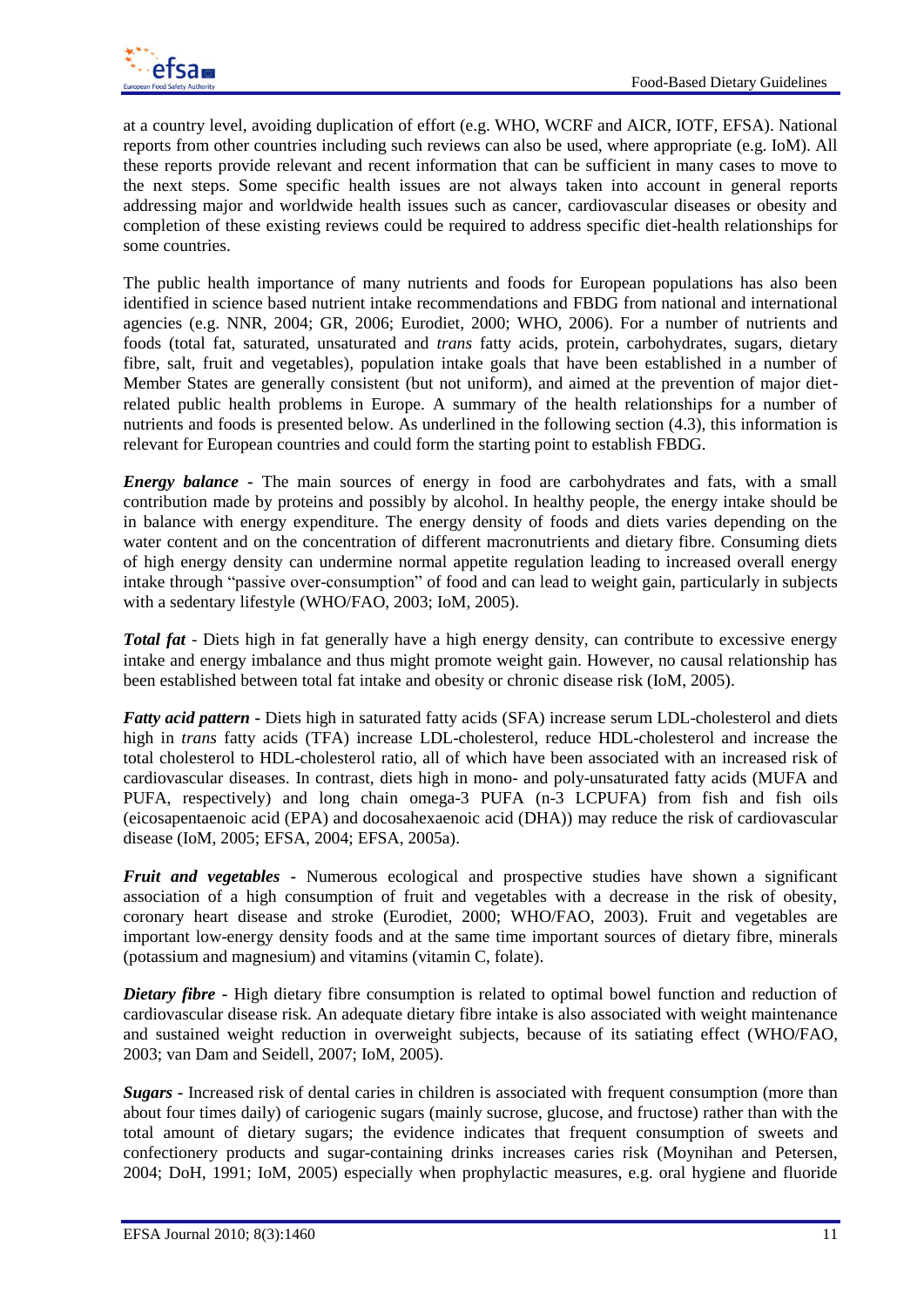at a country level, avoiding duplication of effort (e.g. WHO, WCRF and AICR, IOTF, EFSA). National reports from other countries including such reviews can also be used, where appropriate (e.g. IoM). All these reports provide relevant and recent information that can be sufficient in many cases to move to the next steps. Some specific health issues are not always taken into account in general reports addressing major and worldwide health issues such as cancer, cardiovascular diseases or obesity and completion of these existing reviews could be required to address specific diet-health relationships for some countries.

The public health importance of many nutrients and foods for European populations has also been identified in science based nutrient intake recommendations and FBDG from national and international agencies (e.g. NNR, 2004; GR, 2006; Eurodiet, 2000; WHO, 2006). For a number of nutrients and foods (total fat, saturated, unsaturated and *trans* fatty acids, protein, carbohydrates, sugars, dietary fibre, salt, fruit and vegetables), population intake goals that have been established in a number of Member States are generally consistent (but not uniform), and aimed at the prevention of major dietrelated public health problems in Europe. A summary of the health relationships for a number of nutrients and foods is presented below. As underlined in the following section (4.3), this information is relevant for European countries and could form the starting point to establish FBDG.

*Energy balance* – The main sources of energy in food are carbohydrates and fats, with a small contribution made by proteins and possibly by alcohol. In healthy people, the energy intake should be in balance with energy expenditure. The energy density of foods and diets varies depending on the water content and on the concentration of different macronutrients and dietary fibre. Consuming diets of high energy density can undermine normal appetite regulation leading to increased overall energy intake through "passive over-consumption" of food and can lead to weight gain, particularly in subjects with a sedentary lifestyle (WHO/FAO, 2003; IoM, 2005).

*Total fat* - Diets high in fat generally have a high energy density, can contribute to excessive energy intake and energy imbalance and thus might promote weight gain. However, no causal relationship has been established between total fat intake and obesity or chronic disease risk (IoM, 2005).

*Fatty acid pattern* **-** Diets high in saturated fatty acids (SFA) increase serum LDL-cholesterol and diets high in *trans* fatty acids (TFA) increase LDL-cholesterol, reduce HDL-cholesterol and increase the total cholesterol to HDL-cholesterol ratio, all of which have been associated with an increased risk of cardiovascular diseases. In contrast, diets high in mono- and poly-unsaturated fatty acids (MUFA and PUFA, respectively) and long chain omega-3 PUFA (n-3 LCPUFA) from fish and fish oils (eicosapentaenoic acid (EPA) and docosahexaenoic acid (DHA)) may reduce the risk of cardiovascular disease (IoM, 2005; EFSA, 2004; EFSA, 2005a).

*Fruit and vegetables* **-** Numerous ecological and prospective studies have shown a significant association of a high consumption of fruit and vegetables with a decrease in the risk of obesity, coronary heart disease and stroke (Eurodiet, 2000; WHO/FAO, 2003). Fruit and vegetables are important low-energy density foods and at the same time important sources of dietary fibre, minerals (potassium and magnesium) and vitamins (vitamin C, folate).

*Dietary fibre* **-** High dietary fibre consumption is related to optimal bowel function and reduction of cardiovascular disease risk. An adequate dietary fibre intake is also associated with weight maintenance and sustained weight reduction in overweight subjects, because of its satiating effect (WHO/FAO, 2003; van Dam and Seidell, 2007; IoM, 2005).

*Sugars* **-** Increased risk of dental caries in children is associated with frequent consumption (more than about four times daily) of cariogenic sugars (mainly sucrose, glucose, and fructose) rather than with the total amount of dietary sugars; the evidence indicates that frequent consumption of sweets and confectionery products and sugar-containing drinks increases caries risk (Moynihan and Petersen, 2004; DoH, 1991; IoM, 2005) especially when prophylactic measures, e.g. oral hygiene and fluoride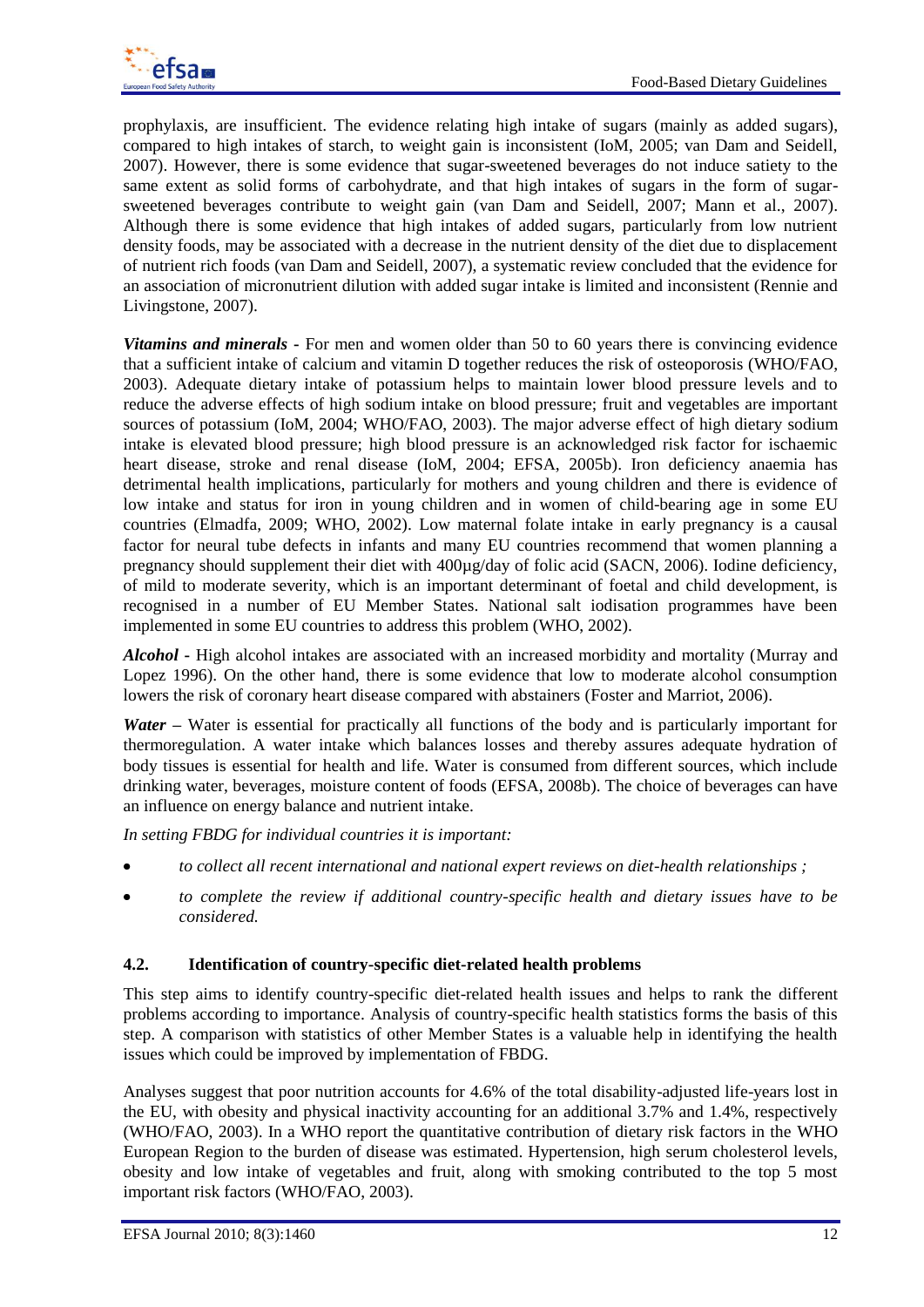prophylaxis, are insufficient. The evidence relating high intake of sugars (mainly as added sugars), compared to high intakes of starch, to weight gain is inconsistent (IoM, 2005; van Dam and Seidell, 2007). However, there is some evidence that sugar-sweetened beverages do not induce satiety to the same extent as solid forms of carbohydrate, and that high intakes of sugars in the form of sugarsweetened beverages contribute to weight gain (van Dam and Seidell, 2007; Mann et al., 2007). Although there is some evidence that high intakes of added sugars, particularly from low nutrient density foods, may be associated with a decrease in the nutrient density of the diet due to displacement of nutrient rich foods (van Dam and Seidell, 2007), a systematic review concluded that the evidence for an association of micronutrient dilution with added sugar intake is limited and inconsistent (Rennie and Livingstone, 2007).

*Vitamins and minerals* **-** For men and women older than 50 to 60 years there is convincing evidence that a sufficient intake of calcium and vitamin D together reduces the risk of osteoporosis (WHO/FAO, 2003). Adequate dietary intake of potassium helps to maintain lower blood pressure levels and to reduce the adverse effects of high sodium intake on blood pressure; fruit and vegetables are important sources of potassium (IoM, 2004; WHO/FAO, 2003). The major adverse effect of high dietary sodium intake is elevated blood pressure; high blood pressure is an acknowledged risk factor for ischaemic heart disease, stroke and renal disease (IoM, 2004; EFSA, 2005b). Iron deficiency anaemia has detrimental health implications, particularly for mothers and young children and there is evidence of low intake and status for iron in young children and in women of child-bearing age in some EU countries (Elmadfa, 2009; WHO, 2002). Low maternal folate intake in early pregnancy is a causal factor for neural tube defects in infants and many EU countries recommend that women planning a pregnancy should supplement their diet with 400µg/day of folic acid (SACN, 2006). Iodine deficiency, of mild to moderate severity, which is an important determinant of foetal and child development, is recognised in a number of EU Member States. National salt iodisation programmes have been implemented in some EU countries to address this problem (WHO, 2002).

*Alcohol* **-** High alcohol intakes are associated with an increased morbidity and mortality (Murray and Lopez 1996). On the other hand, there is some evidence that low to moderate alcohol consumption lowers the risk of coronary heart disease compared with abstainers (Foster and Marriot, 2006).

*Water –* Water is essential for practically all functions of the body and is particularly important for thermoregulation. A water intake which balances losses and thereby assures adequate hydration of body tissues is essential for health and life. Water is consumed from different sources, which include drinking water, beverages, moisture content of foods (EFSA, 2008b). The choice of beverages can have an influence on energy balance and nutrient intake.

*In setting FBDG for individual countries it is important:* 

- *to collect all recent international and national expert reviews on diet-health relationships ;*
- *to complete the review if additional country-specific health and dietary issues have to be considered.*

## <span id="page-11-0"></span>**4.2. Identification of country-specific diet-related health problems**

This step aims to identify country-specific diet-related health issues and helps to rank the different problems according to importance. Analysis of country-specific health statistics forms the basis of this step. A comparison with statistics of other Member States is a valuable help in identifying the health issues which could be improved by implementation of FBDG.

Analyses suggest that poor nutrition accounts for 4.6% of the total disability-adjusted life-years lost in the EU, with obesity and physical inactivity accounting for an additional 3.7% and 1.4%, respectively (WHO/FAO, 2003). In a WHO report the quantitative contribution of dietary risk factors in the WHO European Region to the burden of disease was estimated. Hypertension, high serum cholesterol levels, obesity and low intake of vegetables and fruit, along with smoking contributed to the top 5 most important risk factors (WHO/FAO, 2003).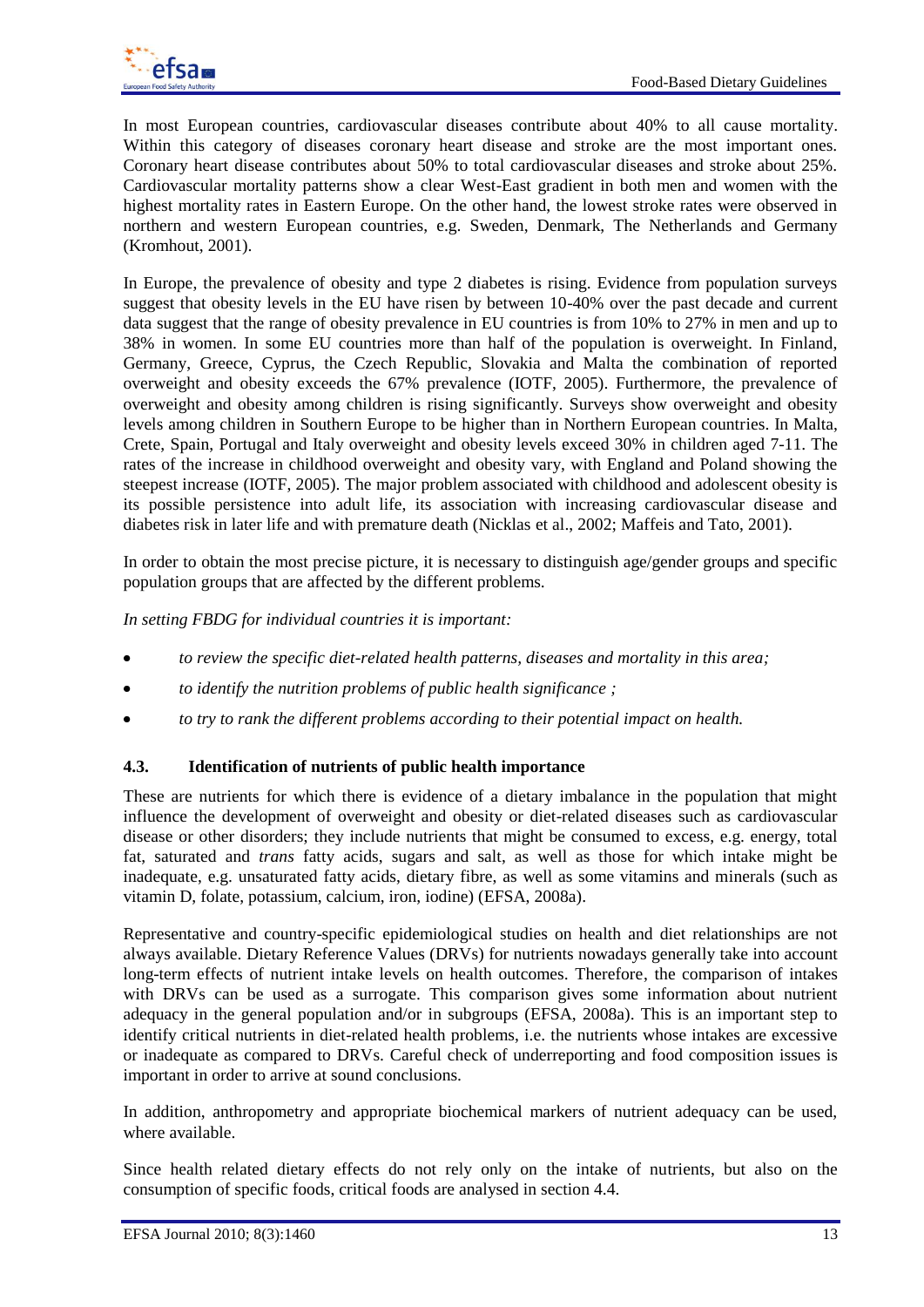In most European countries, cardiovascular diseases contribute about 40% to all cause mortality. Within this category of diseases coronary heart disease and stroke are the most important ones. Coronary heart disease contributes about 50% to total cardiovascular diseases and stroke about 25%. Cardiovascular mortality patterns show a clear West-East gradient in both men and women with the highest mortality rates in Eastern Europe. On the other hand, the lowest stroke rates were observed in northern and western European countries, e.g. Sweden, Denmark, The Netherlands and Germany (Kromhout, 2001).

In Europe, the prevalence of obesity and type 2 diabetes is rising. Evidence from population surveys suggest that obesity levels in the EU have risen by between 10-40% over the past decade and current data suggest that the range of obesity prevalence in EU countries is from 10% to 27% in men and up to 38% in women. In some EU countries more than half of the population is overweight. In Finland, Germany, Greece, Cyprus, the Czech Republic, Slovakia and Malta the combination of reported overweight and obesity exceeds the 67% prevalence (IOTF, 2005). Furthermore, the prevalence of overweight and obesity among children is rising significantly. Surveys show overweight and obesity levels among children in Southern Europe to be higher than in Northern European countries. In Malta, Crete, Spain, Portugal and Italy overweight and obesity levels exceed 30% in children aged 7-11. The rates of the increase in childhood overweight and obesity vary, with England and Poland showing the steepest increase (IOTF, 2005). The major problem associated with childhood and adolescent obesity is its possible persistence into adult life, its association with increasing cardiovascular disease and diabetes risk in later life and with premature death (Nicklas et al., 2002; Maffeis and Tato, 2001).

In order to obtain the most precise picture, it is necessary to distinguish age/gender groups and specific population groups that are affected by the different problems.

*In setting FBDG for individual countries it is important:*

- *to review the specific diet-related health patterns, diseases and mortality in this area;*
- *to identify the nutrition problems of public health significance ;*
- *to try to rank the different problems according to their potential impact on health.*

#### <span id="page-12-0"></span>**4.3. Identification of nutrients of public health importance**

These are nutrients for which there is evidence of a dietary imbalance in the population that might influence the development of overweight and obesity or diet-related diseases such as cardiovascular disease or other disorders; they include nutrients that might be consumed to excess, e.g. energy, total fat, saturated and *trans* fatty acids, sugars and salt, as well as those for which intake might be inadequate, e.g. unsaturated fatty acids, dietary fibre, as well as some vitamins and minerals (such as vitamin D, folate, potassium, calcium, iron, iodine) (EFSA, 2008a).

Representative and country-specific epidemiological studies on health and diet relationships are not always available. Dietary Reference Values (DRVs) for nutrients nowadays generally take into account long-term effects of nutrient intake levels on health outcomes. Therefore, the comparison of intakes with DRVs can be used as a surrogate. This comparison gives some information about nutrient adequacy in the general population and/or in subgroups (EFSA, 2008a). This is an important step to identify critical nutrients in diet-related health problems, i.e. the nutrients whose intakes are excessive or inadequate as compared to DRVs. Careful check of underreporting and food composition issues is important in order to arrive at sound conclusions.

In addition, anthropometry and appropriate biochemical markers of nutrient adequacy can be used, where available.

Since health related dietary effects do not rely only on the intake of nutrients, but also on the consumption of specific foods, critical foods are analysed in section 4.4.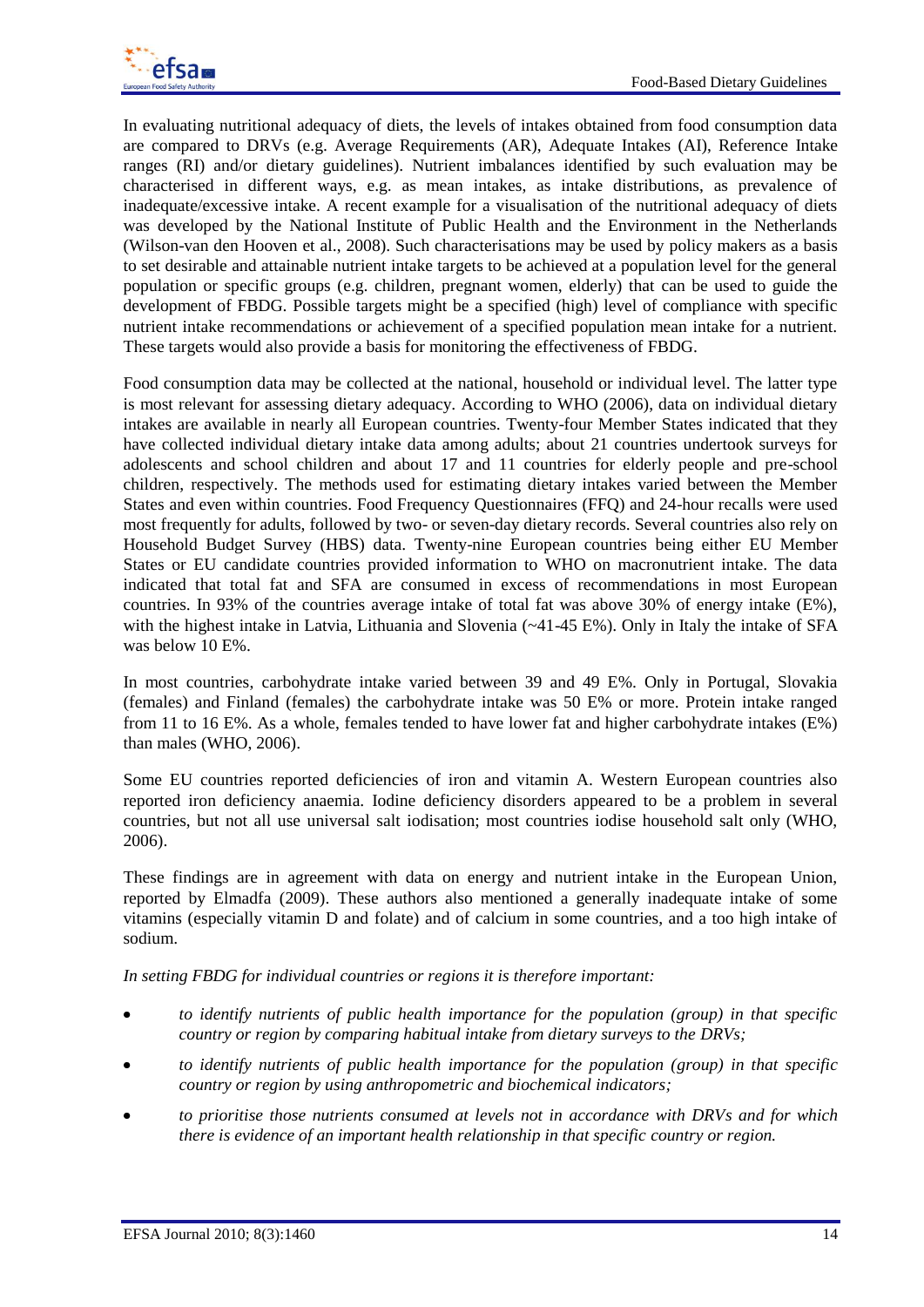In evaluating nutritional adequacy of diets, the levels of intakes obtained from food consumption data are compared to DRVs (e.g. Average Requirements (AR), Adequate Intakes (AI), Reference Intake ranges (RI) and/or dietary guidelines). Nutrient imbalances identified by such evaluation may be characterised in different ways, e.g. as mean intakes, as intake distributions, as prevalence of inadequate/excessive intake. A recent example for a visualisation of the nutritional adequacy of diets was developed by the National Institute of Public Health and the Environment in the Netherlands (Wilson-van den Hooven et al., 2008). Such characterisations may be used by policy makers as a basis to set desirable and attainable nutrient intake targets to be achieved at a population level for the general population or specific groups (e.g. children, pregnant women, elderly) that can be used to guide the development of FBDG. Possible targets might be a specified (high) level of compliance with specific nutrient intake recommendations or achievement of a specified population mean intake for a nutrient. These targets would also provide a basis for monitoring the effectiveness of FBDG.

Food consumption data may be collected at the national, household or individual level. The latter type is most relevant for assessing dietary adequacy. According to WHO (2006), data on individual dietary intakes are available in nearly all European countries. Twenty-four Member States indicated that they have collected individual dietary intake data among adults; about 21 countries undertook surveys for adolescents and school children and about 17 and 11 countries for elderly people and pre-school children, respectively. The methods used for estimating dietary intakes varied between the Member States and even within countries. Food Frequency Questionnaires (FFQ) and 24-hour recalls were used most frequently for adults, followed by two- or seven-day dietary records. Several countries also rely on Household Budget Survey (HBS) data. Twenty-nine European countries being either EU Member States or EU candidate countries provided information to WHO on macronutrient intake. The data indicated that total fat and SFA are consumed in excess of recommendations in most European countries. In 93% of the countries average intake of total fat was above 30% of energy intake (E%), with the highest intake in Latvia, Lithuania and Slovenia  $(\sim 41-45 \text{ E}\%)$ . Only in Italy the intake of SFA was below 10 E%.

In most countries, carbohydrate intake varied between 39 and 49 E%. Only in Portugal, Slovakia (females) and Finland (females) the carbohydrate intake was 50 E% or more. Protein intake ranged from 11 to 16 E%. As a whole, females tended to have lower fat and higher carbohydrate intakes (E%) than males (WHO, 2006).

Some EU countries reported deficiencies of iron and vitamin A. Western European countries also reported iron deficiency anaemia. Iodine deficiency disorders appeared to be a problem in several countries, but not all use universal salt iodisation; most countries iodise household salt only (WHO, 2006).

These findings are in agreement with data on energy and nutrient intake in the European Union, reported by Elmadfa (2009). These authors also mentioned a generally inadequate intake of some vitamins (especially vitamin D and folate) and of calcium in some countries, and a too high intake of sodium.

*In setting FBDG for individual countries or regions it is therefore important:*

- *to identify nutrients of public health importance for the population (group) in that specific country or region by comparing habitual intake from dietary surveys to the DRVs;*
- *to identify nutrients of public health importance for the population (group) in that specific country or region by using anthropometric and biochemical indicators;*
- *to prioritise those nutrients consumed at levels not in accordance with DRVs and for which there is evidence of an important health relationship in that specific country or region.*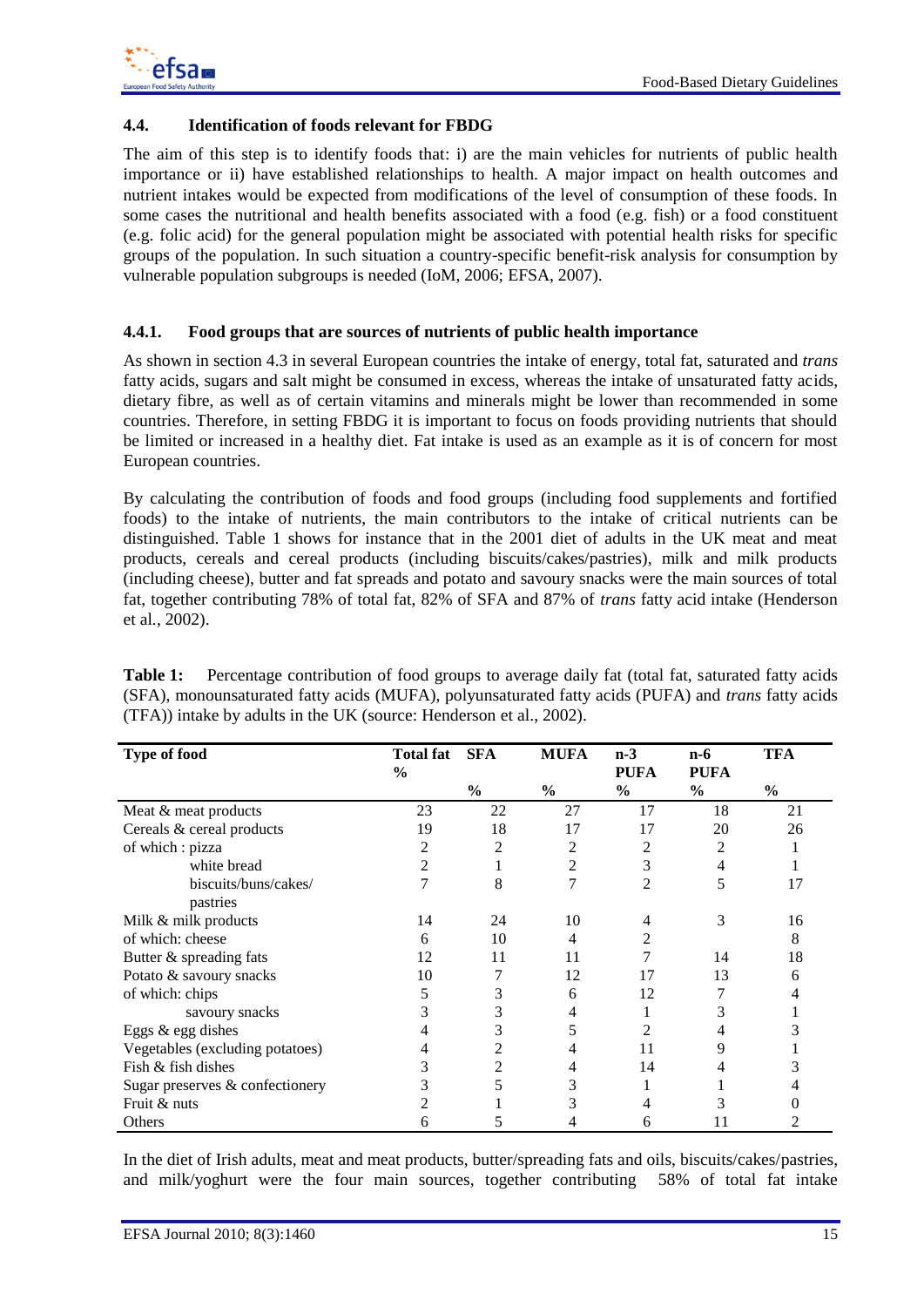## **4.4. Identification of foods relevant for FBDG**

<span id="page-14-0"></span>The aim of this step is to identify foods that: i) are the main vehicles for nutrients of public health importance or ii) have established relationships to health. A major impact on health outcomes and nutrient intakes would be expected from modifications of the level of consumption of these foods. In some cases the nutritional and health benefits associated with a food (e.g. fish) or a food constituent (e.g. folic acid) for the general population might be associated with potential health risks for specific groups of the population. In such situation a country-specific benefit-risk analysis for consumption by vulnerable population subgroups is needed (IoM, 2006; EFSA, 2007).

## <span id="page-14-1"></span>**4.4.1. Food groups that are sources of nutrients of public health importance**

As shown in section 4.3 in several European countries the intake of energy, total fat, saturated and *trans* fatty acids, sugars and salt might be consumed in excess, whereas the intake of unsaturated fatty acids, dietary fibre, as well as of certain vitamins and minerals might be lower than recommended in some countries. Therefore, in setting FBDG it is important to focus on foods providing nutrients that should be limited or increased in a healthy diet. Fat intake is used as an example as it is of concern for most European countries.

By calculating the contribution of foods and food groups (including food supplements and fortified foods) to the intake of nutrients, the main contributors to the intake of critical nutrients can be distinguished. Table 1 shows for instance that in the 2001 diet of adults in the UK meat and meat products, cereals and cereal products (including biscuits/cakes/pastries), milk and milk products (including cheese), butter and fat spreads and potato and savoury snacks were the main sources of total fat, together contributing 78% of total fat, 82% of SFA and 87% of *trans* fatty acid intake (Henderson et al*.*, 2002).

**Table 1:** Percentage contribution of food groups to average daily fat (total fat, saturated fatty acids (SFA), monounsaturated fatty acids (MUFA), polyunsaturated fatty acids (PUFA) and *trans* fatty acids (TFA)) intake by adults in the UK (source: Henderson et al., 2002).

| <b>Type of food</b>             | <b>Total fat</b><br>$\frac{6}{6}$ | <b>SFA</b>    | <b>MUFA</b>   | $n-3$<br><b>PUFA</b> | $n-6$<br><b>PUFA</b> | <b>TFA</b>    |
|---------------------------------|-----------------------------------|---------------|---------------|----------------------|----------------------|---------------|
|                                 |                                   | $\frac{6}{6}$ | $\frac{0}{0}$ | $\frac{6}{9}$        | $\frac{6}{6}$        | $\frac{6}{6}$ |
| Meat & meat products            | 23                                | 22            | 27            | 17                   | 18                   | 21            |
| Cereals & cereal products       | 19                                | 18            | 17            | 17                   | 20                   | 26            |
| of which : pizza                | 2                                 | 2             | 2             | 2                    | 2                    |               |
| white bread                     | 2                                 |               | 2             | 3                    | 4                    |               |
| biscuits/buns/cakes/            |                                   | 8             | 7             | 2                    | 5                    | 17            |
| pastries                        |                                   |               |               |                      |                      |               |
| Milk & milk products            | 14                                | 24            | 10            | 4                    | 3                    | 16            |
| of which: cheese                | 6                                 | 10            | 4             | 2                    |                      | 8             |
| Butter & spreading fats         | 12                                | 11            | 11            |                      | 14                   | 18            |
| Potato & savoury snacks         | 10                                |               | 12            | 17                   | 13                   | 6             |
| of which: chips                 |                                   | 3             | 6             | 12                   |                      |               |
| sayoury snacks                  |                                   | 3             |               |                      | 3                    |               |
| Eggs $&$ egg dishes             |                                   | 3             |               | 2                    |                      |               |
| Vegetables (excluding potatoes) |                                   |               |               | 11                   | 9                    |               |
| Fish & fish dishes              |                                   |               |               | 14                   |                      |               |
| Sugar preserves & confectionery | 3                                 | 5             | 3             |                      |                      |               |
| Fruit & nuts                    |                                   |               |               |                      |                      |               |
| Others                          |                                   |               |               | h                    |                      |               |

In the diet of Irish adults, meat and meat products, butter/spreading fats and oils, biscuits/cakes/pastries, and milk/yoghurt were the four main sources, together contributing 58% of total fat intake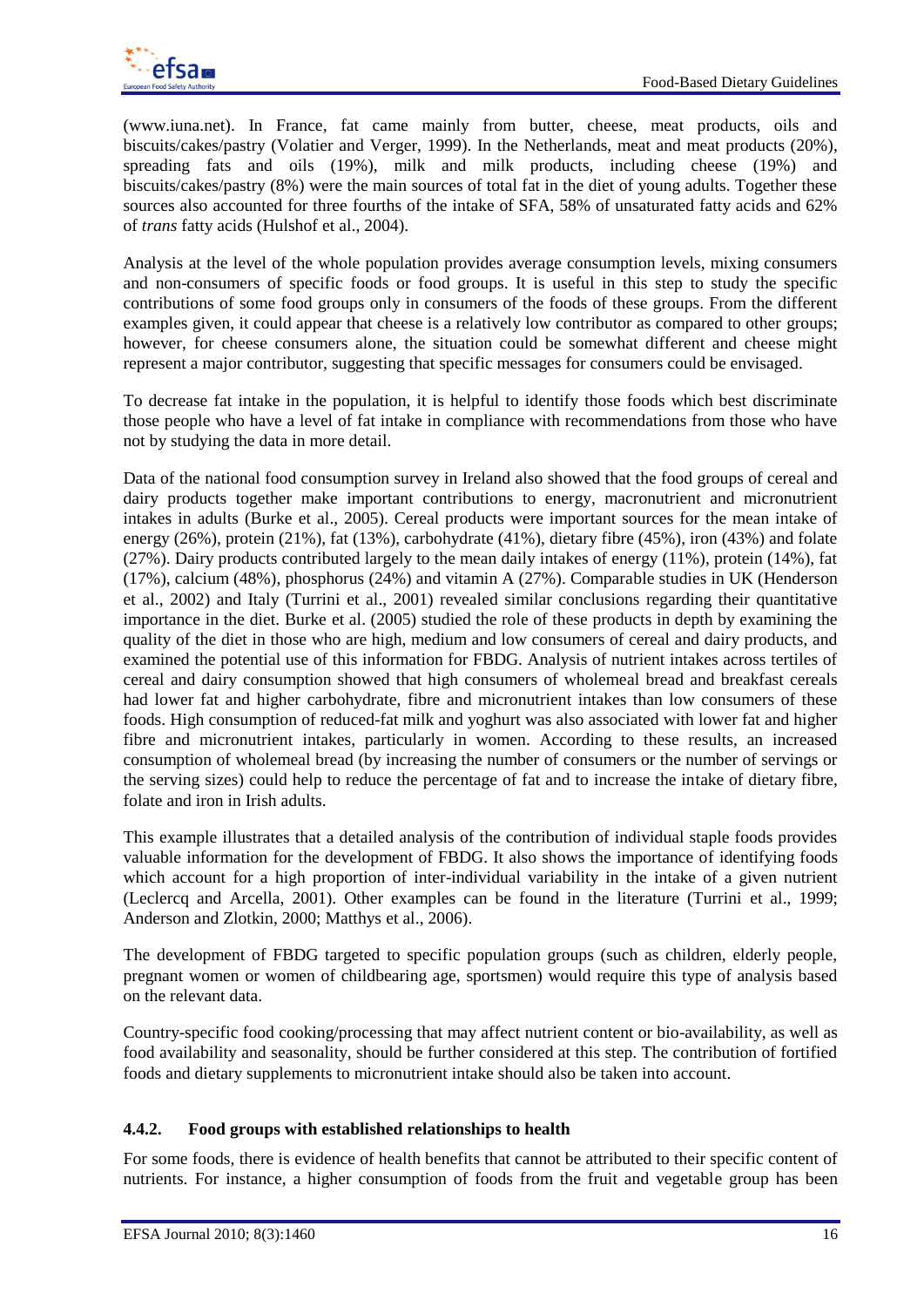

(www.iuna.net). In France, fat came mainly from butter, cheese, meat products, oils and biscuits/cakes/pastry (Volatier and Verger, 1999). In the Netherlands, meat and meat products (20%), spreading fats and oils (19%), milk and milk products, including cheese (19%) and biscuits/cakes/pastry (8%) were the main sources of total fat in the diet of young adults. Together these sources also accounted for three fourths of the intake of SFA, 58% of unsaturated fatty acids and 62% of *trans* fatty acids (Hulshof et al., 2004).

Analysis at the level of the whole population provides average consumption levels, mixing consumers and non-consumers of specific foods or food groups. It is useful in this step to study the specific contributions of some food groups only in consumers of the foods of these groups. From the different examples given, it could appear that cheese is a relatively low contributor as compared to other groups; however, for cheese consumers alone, the situation could be somewhat different and cheese might represent a major contributor, suggesting that specific messages for consumers could be envisaged.

To decrease fat intake in the population, it is helpful to identify those foods which best discriminate those people who have a level of fat intake in compliance with recommendations from those who have not by studying the data in more detail.

Data of the national food consumption survey in Ireland also showed that the food groups of cereal and dairy products together make important contributions to energy, macronutrient and micronutrient intakes in adults (Burke et al., 2005). Cereal products were important sources for the mean intake of energy (26%), protein (21%), fat (13%), carbohydrate (41%), dietary fibre (45%), iron (43%) and folate (27%). Dairy products contributed largely to the mean daily intakes of energy (11%), protein (14%), fat (17%), calcium (48%), phosphorus (24%) and vitamin A (27%). Comparable studies in UK (Henderson et al., 2002) and Italy (Turrini et al., 2001) revealed similar conclusions regarding their quantitative importance in the diet. Burke et al. (2005) studied the role of these products in depth by examining the quality of the diet in those who are high, medium and low consumers of cereal and dairy products, and examined the potential use of this information for FBDG. Analysis of nutrient intakes across tertiles of cereal and dairy consumption showed that high consumers of wholemeal bread and breakfast cereals had lower fat and higher carbohydrate, fibre and micronutrient intakes than low consumers of these foods. High consumption of reduced-fat milk and yoghurt was also associated with lower fat and higher fibre and micronutrient intakes, particularly in women. According to these results, an increased consumption of wholemeal bread (by increasing the number of consumers or the number of servings or the serving sizes) could help to reduce the percentage of fat and to increase the intake of dietary fibre, folate and iron in Irish adults.

This example illustrates that a detailed analysis of the contribution of individual staple foods provides valuable information for the development of FBDG. It also shows the importance of identifying foods which account for a high proportion of inter-individual variability in the intake of a given nutrient (Leclercq and Arcella, 2001). Other examples can be found in the literature (Turrini et al., 1999; Anderson and Zlotkin, 2000; Matthys et al., 2006).

The development of FBDG targeted to specific population groups (such as children, elderly people, pregnant women or women of childbearing age, sportsmen) would require this type of analysis based on the relevant data.

Country-specific food cooking/processing that may affect nutrient content or bio-availability, as well as food availability and seasonality, should be further considered at this step. The contribution of fortified foods and dietary supplements to micronutrient intake should also be taken into account.

## <span id="page-15-0"></span>**4.4.2. Food groups with established relationships to health**

For some foods, there is evidence of health benefits that cannot be attributed to their specific content of nutrients. For instance, a higher consumption of foods from the fruit and vegetable group has been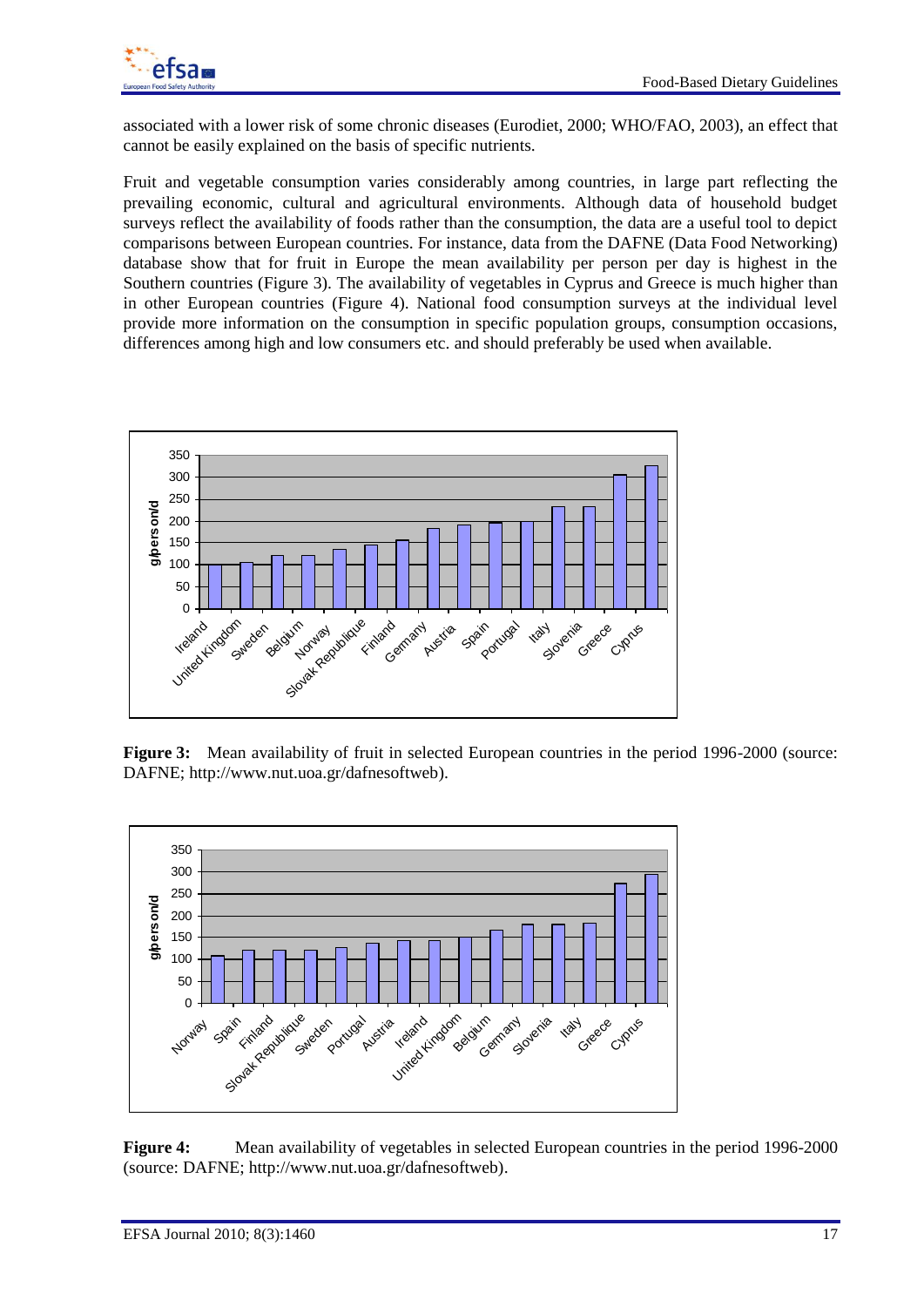associated with a lower risk of some chronic diseases (Eurodiet, 2000; WHO/FAO, 2003), an effect that cannot be easily explained on the basis of specific nutrients.

Fruit and vegetable consumption varies considerably among countries, in large part reflecting the prevailing economic, cultural and agricultural environments. Although data of household budget surveys reflect the availability of foods rather than the consumption, the data are a useful tool to depict comparisons between European countries. For instance, data from the DAFNE (Data Food Networking) database show that for fruit in Europe the mean availability per person per day is highest in the Southern countries (Figure 3). The availability of vegetables in Cyprus and Greece is much higher than in other European countries (Figure 4). National food consumption surveys at the individual level provide more information on the consumption in specific population groups, consumption occasions, differences among high and low consumers etc. and should preferably be used when available.



**Figure 3:** Mean availability of fruit in selected European countries in the period 1996-2000 (source: DAFNE; [http://www.nut.uoa.gr/dafnesoftweb\)](http://www.nut.uoa.gr/dafnesoftweb).



**Figure 4:** Mean availability of vegetables in selected European countries in the period 1996-2000 (source: DAFNE; http://www.nut.uoa.gr/dafnesoftweb).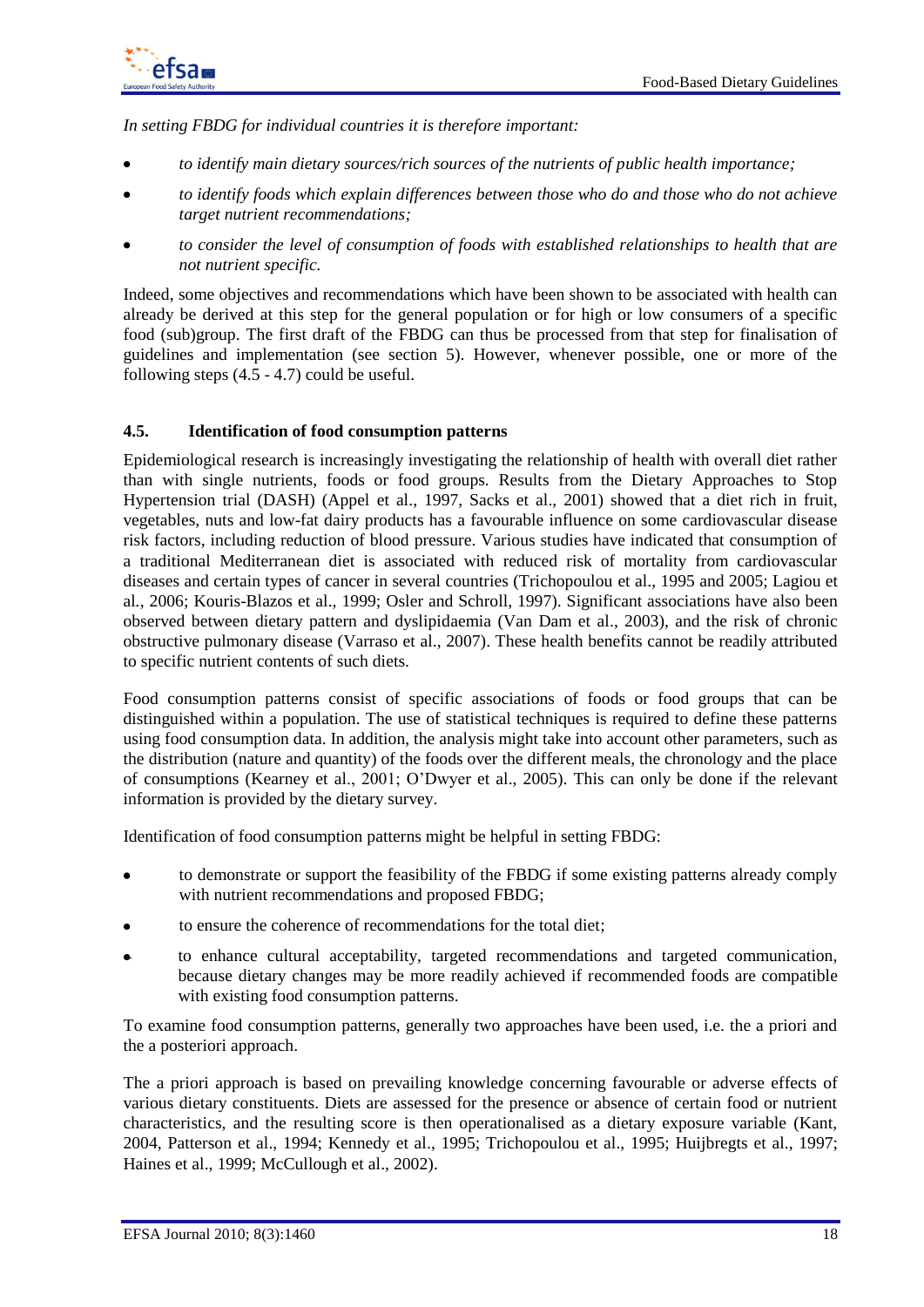



*In setting FBDG for individual countries it is therefore important:*

- *to identify main dietary sources/rich sources of the nutrients of public health importance;*
- *to identify foods which explain differences between those who do and those who do not achieve target nutrient recommendations;*
- *to consider the level of consumption of foods with established relationships to health that are not nutrient specific.*

Indeed, some objectives and recommendations which have been shown to be associated with health can already be derived at this step for the general population or for high or low consumers of a specific food (sub)group. The first draft of the FBDG can thus be processed from that step for finalisation of guidelines and implementation (see section 5). However, whenever possible, one or more of the following steps (4.5 - 4.7) could be useful.

#### <span id="page-17-0"></span>**4.5. Identification of food consumption patterns**

Epidemiological research is increasingly investigating the relationship of health with overall diet rather than with single nutrients, foods or food groups. Results from the Dietary Approaches to Stop Hypertension trial (DASH) (Appel et al., 1997, Sacks et al., 2001) showed that a diet rich in fruit, vegetables, nuts and low-fat dairy products has a favourable influence on some cardiovascular disease risk factors, including reduction of blood pressure. Various studies have indicated that consumption of a traditional Mediterranean diet is associated with reduced risk of mortality from cardiovascular diseases and certain types of cancer in several countries (Trichopoulou et al., 1995 and 2005; Lagiou et al*.*, 2006; Kouris-Blazos et al., 1999; Osler and Schroll, 1997). Significant associations have also been observed between dietary pattern and dyslipidaemia (Van Dam et al., 2003), and the risk of chronic obstructive pulmonary disease (Varraso et al., 2007). These health benefits cannot be readily attributed to specific nutrient contents of such diets.

Food consumption patterns consist of specific associations of foods or food groups that can be distinguished within a population. The use of statistical techniques is required to define these patterns using food consumption data. In addition, the analysis might take into account other parameters, such as the distribution (nature and quantity) of the foods over the different meals, the chronology and the place of consumptions (Kearney et al., 2001; O'Dwyer et al., 2005). This can only be done if the relevant information is provided by the dietary survey.

Identification of food consumption patterns might be helpful in setting FBDG:

- to demonstrate or support the feasibility of the FBDG if some existing patterns already comply with nutrient recommendations and proposed FBDG;
- to ensure the coherence of recommendations for the total diet;
- to enhance cultural acceptability, targeted recommendations and targeted communication,  $\bullet$ because dietary changes may be more readily achieved if recommended foods are compatible with existing food consumption patterns.

To examine food consumption patterns, generally two approaches have been used, i.e. the a priori and the a posteriori approach.

The a priori approach is based on prevailing knowledge concerning favourable or adverse effects of various dietary constituents. Diets are assessed for the presence or absence of certain food or nutrient characteristics, and the resulting score is then operationalised as a dietary exposure variable (Kant, 2004, Patterson et al., 1994; Kennedy et al., 1995; Trichopoulou et al., 1995; Huijbregts et al., 1997; Haines et al., 1999; McCullough et al., 2002).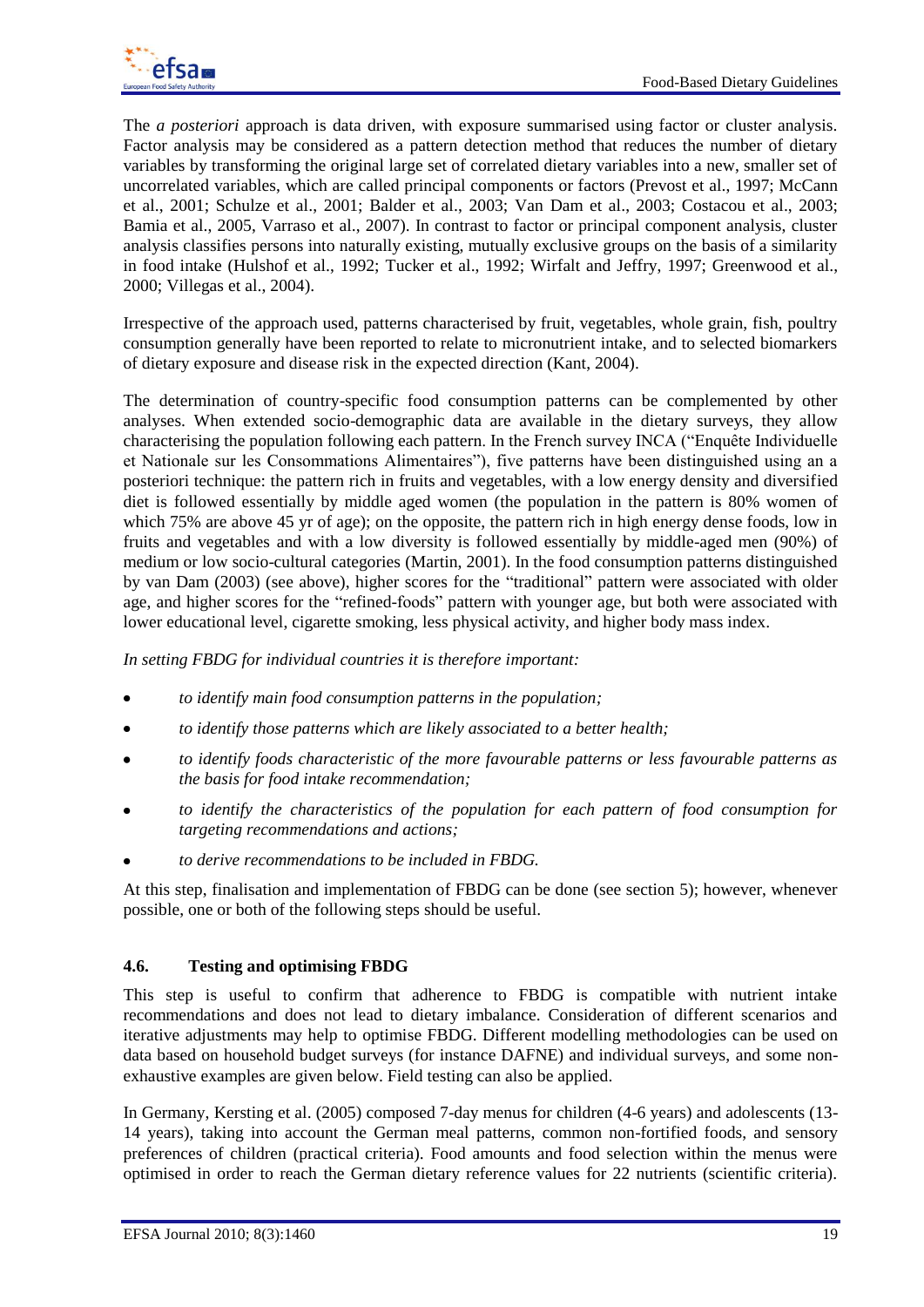The *a posteriori* approach is data driven, with exposure summarised using factor or cluster analysis. Factor analysis may be considered as a pattern detection method that reduces the number of dietary variables by transforming the original large set of correlated dietary variables into a new, smaller set of uncorrelated variables, which are called principal components or factors (Prevost et al., 1997; McCann et al., 2001; Schulze et al., 2001; Balder et al., 2003; Van Dam et al., 2003; Costacou et al., 2003; Bamia et al., 2005, Varraso et al., 2007). In contrast to factor or principal component analysis, cluster analysis classifies persons into naturally existing, mutually exclusive groups on the basis of a similarity in food intake (Hulshof et al., 1992; Tucker et al., 1992; Wirfalt and Jeffry, 1997; Greenwood et al., 2000; Villegas et al., 2004).

Irrespective of the approach used, patterns characterised by fruit, vegetables, whole grain, fish, poultry consumption generally have been reported to relate to micronutrient intake, and to selected biomarkers of dietary exposure and disease risk in the expected direction (Kant, 2004).

The determination of country-specific food consumption patterns can be complemented by other analyses. When extended socio-demographic data are available in the dietary surveys, they allow characterising the population following each pattern. In the French survey INCA ("Enquête Individuelle et Nationale sur les Consommations Alimentaires"), five patterns have been distinguished using an a posteriori technique: the pattern rich in fruits and vegetables, with a low energy density and diversified diet is followed essentially by middle aged women (the population in the pattern is 80% women of which 75% are above 45 yr of age); on the opposite, the pattern rich in high energy dense foods, low in fruits and vegetables and with a low diversity is followed essentially by middle-aged men (90%) of medium or low socio-cultural categories (Martin, 2001). In the food consumption patterns distinguished by van Dam (2003) (see above), higher scores for the "traditional" pattern were associated with older age, and higher scores for the "refined-foods" pattern with younger age, but both were associated with lower educational level, cigarette smoking, less physical activity, and higher body mass index.

*In setting FBDG for individual countries it is therefore important:*

- *to identify main food consumption patterns in the population;*
- *to identify those patterns which are likely associated to a better health;*
- *to identify foods characteristic of the more favourable patterns or less favourable patterns as the basis for food intake recommendation;*
- *to identify the characteristics of the population for each pattern of food consumption for targeting recommendations and actions;*
- *to derive recommendations to be included in FBDG.*

At this step, finalisation and implementation of FBDG can be done (see section 5); however, whenever possible, one or both of the following steps should be useful.

#### <span id="page-18-0"></span>**4.6. Testing and optimising FBDG**

This step is useful to confirm that adherence to FBDG is compatible with nutrient intake recommendations and does not lead to dietary imbalance. Consideration of different scenarios and iterative adjustments may help to optimise FBDG. Different modelling methodologies can be used on data based on household budget surveys (for instance DAFNE) and individual surveys, and some nonexhaustive examples are given below. Field testing can also be applied.

In Germany, Kersting et al. (2005) composed 7-day menus for children (4-6 years) and adolescents (13- 14 years), taking into account the German meal patterns, common non-fortified foods, and sensory preferences of children (practical criteria). Food amounts and food selection within the menus were optimised in order to reach the German dietary reference values for 22 nutrients (scientific criteria).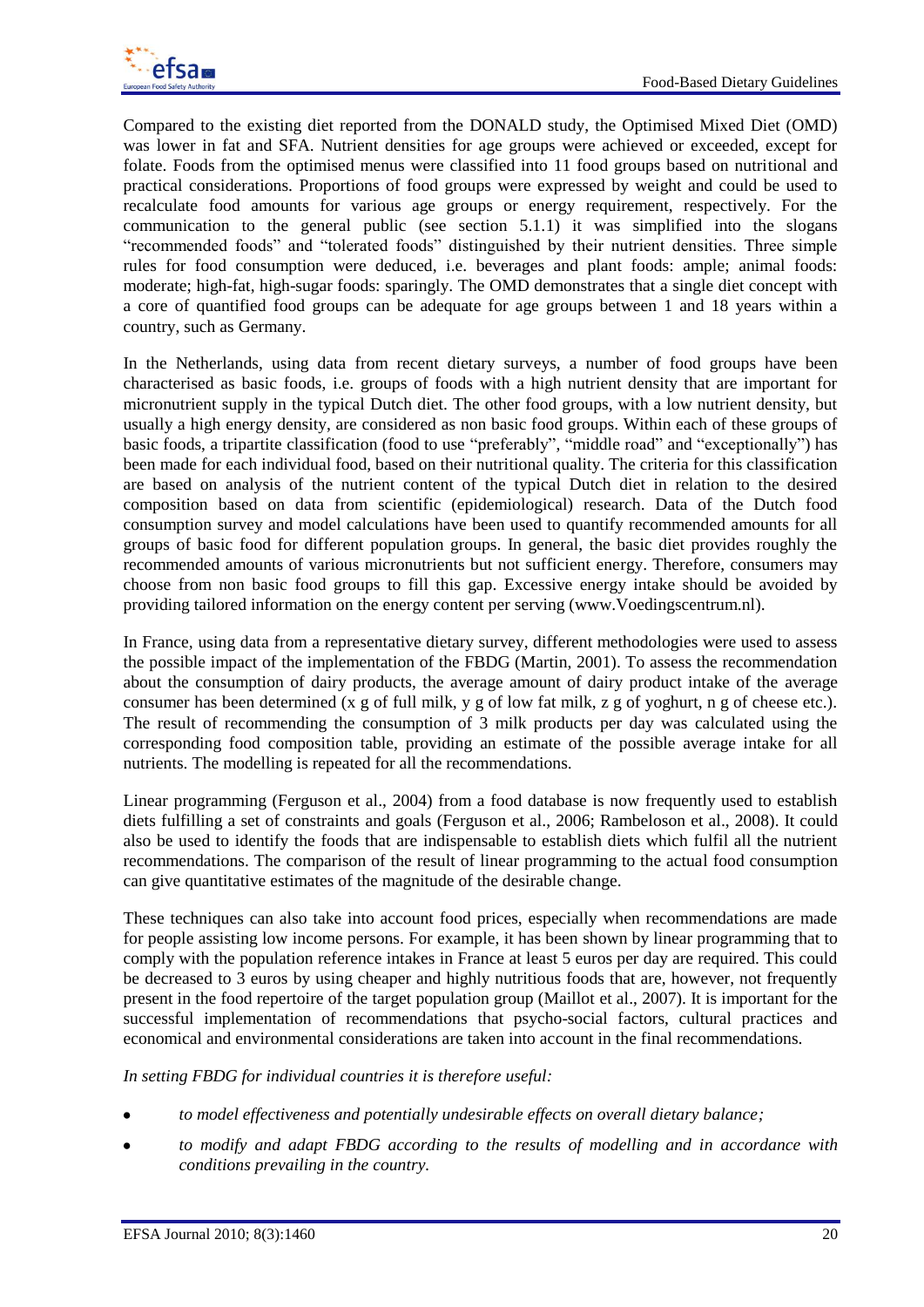Compared to the existing diet reported from the DONALD study, the Optimised Mixed Diet (OMD) was lower in fat and SFA. Nutrient densities for age groups were achieved or exceeded, except for folate. Foods from the optimised menus were classified into 11 food groups based on nutritional and practical considerations. Proportions of food groups were expressed by weight and could be used to recalculate food amounts for various age groups or energy requirement, respectively. For the communication to the general public (see section 5.1.1) it was simplified into the slogans "recommended foods" and "tolerated foods" distinguished by their nutrient densities. Three simple rules for food consumption were deduced, i.e. beverages and plant foods: ample; animal foods: moderate; high-fat, high-sugar foods: sparingly. The OMD demonstrates that a single diet concept with a core of quantified food groups can be adequate for age groups between 1 and 18 years within a country, such as Germany.

In the Netherlands, using data from recent dietary surveys, a number of food groups have been characterised as basic foods, i.e. groups of foods with a high nutrient density that are important for micronutrient supply in the typical Dutch diet. The other food groups, with a low nutrient density, but usually a high energy density, are considered as non basic food groups. Within each of these groups of basic foods, a tripartite classification (food to use "preferably", "middle road" and "exceptionally") has been made for each individual food, based on their nutritional quality. The criteria for this classification are based on analysis of the nutrient content of the typical Dutch diet in relation to the desired composition based on data from scientific (epidemiological) research. Data of the Dutch food consumption survey and model calculations have been used to quantify recommended amounts for all groups of basic food for different population groups. In general, the basic diet provides roughly the recommended amounts of various micronutrients but not sufficient energy. Therefore, consumers may choose from non basic food groups to fill this gap. Excessive energy intake should be avoided by providing tailored information on the energy content per serving (www.Voedingscentrum.nl).

In France, using data from a representative dietary survey, different methodologies were used to assess the possible impact of the implementation of the FBDG (Martin, 2001). To assess the recommendation about the consumption of dairy products, the average amount of dairy product intake of the average consumer has been determined (x g of full milk, y g of low fat milk, z g of yoghurt, n g of cheese etc.). The result of recommending the consumption of 3 milk products per day was calculated using the corresponding food composition table, providing an estimate of the possible average intake for all nutrients. The modelling is repeated for all the recommendations.

Linear programming (Ferguson et al., 2004) from a food database is now frequently used to establish diets fulfilling a set of constraints and goals (Ferguson et al., 2006; Rambeloson et al., 2008). It could also be used to identify the foods that are indispensable to establish diets which fulfil all the nutrient recommendations. The comparison of the result of linear programming to the actual food consumption can give quantitative estimates of the magnitude of the desirable change.

These techniques can also take into account food prices, especially when recommendations are made for people assisting low income persons. For example, it has been shown by linear programming that to comply with the population reference intakes in France at least 5 euros per day are required. This could be decreased to 3 euros by using cheaper and highly nutritious foods that are, however, not frequently present in the food repertoire of the target population group (Maillot et al., 2007). It is important for the successful implementation of recommendations that psycho-social factors, cultural practices and economical and environmental considerations are taken into account in the final recommendations.

*In setting FBDG for individual countries it is therefore useful:*

- *to model effectiveness and potentially undesirable effects on overall dietary balance;*
- *to modify and adapt FBDG according to the results of modelling and in accordance with conditions prevailing in the country.*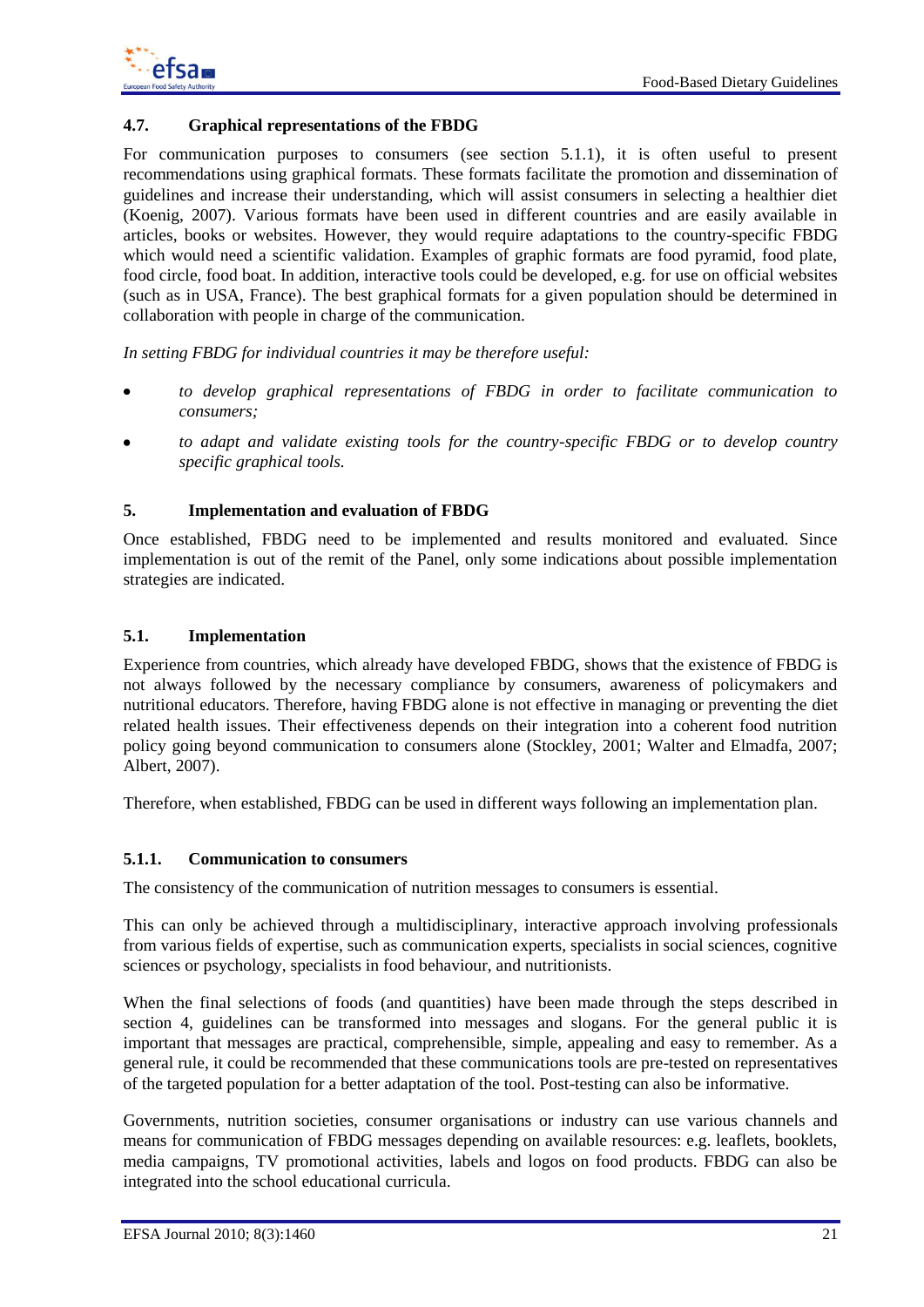## **4.7. Graphical representations of the FBDG**

<span id="page-20-0"></span>For communication purposes to consumers (see section 5.1.1), it is often useful to present recommendations using graphical formats. These formats facilitate the promotion and dissemination of guidelines and increase their understanding, which will assist consumers in selecting a healthier diet (Koenig, 2007). Various formats have been used in different countries and are easily available in articles, books or websites. However, they would require adaptations to the country-specific FBDG which would need a scientific validation. Examples of graphic formats are food pyramid, food plate, food circle, food boat. In addition, interactive tools could be developed, e.g. for use on official websites (such as in USA, France). The best graphical formats for a given population should be determined in collaboration with people in charge of the communication.

*In setting FBDG for individual countries it may be therefore useful:*

- *to develop graphical representations of FBDG in order to facilitate communication to consumers;*
- *to adapt and validate existing tools for the country-specific FBDG or to develop country specific graphical tools.*

## <span id="page-20-1"></span>**5. Implementation and evaluation of FBDG**

Once established, FBDG need to be implemented and results monitored and evaluated. Since implementation is out of the remit of the Panel, only some indications about possible implementation strategies are indicated.

#### <span id="page-20-2"></span>**5.1. Implementation**

Experience from countries, which already have developed FBDG, shows that the existence of FBDG is not always followed by the necessary compliance by consumers, awareness of policymakers and nutritional educators. Therefore, having FBDG alone is not effective in managing or preventing the diet related health issues. Their effectiveness depends on their integration into a coherent food nutrition policy going beyond communication to consumers alone (Stockley, 2001; Walter and Elmadfa, 2007; Albert, 2007).

Therefore, when established, FBDG can be used in different ways following an implementation plan.

### <span id="page-20-3"></span>**5.1.1. Communication to consumers**

The consistency of the communication of nutrition messages to consumers is essential.

This can only be achieved through a multidisciplinary, interactive approach involving professionals from various fields of expertise, such as communication experts, specialists in social sciences, cognitive sciences or psychology, specialists in food behaviour, and nutritionists.

When the final selections of foods (and quantities) have been made through the steps described in section 4, guidelines can be transformed into messages and slogans. For the general public it is important that messages are practical, comprehensible, simple, appealing and easy to remember. As a general rule, it could be recommended that these communications tools are pre-tested on representatives of the targeted population for a better adaptation of the tool. Post-testing can also be informative.

Governments, nutrition societies, consumer organisations or industry can use various channels and means for communication of FBDG messages depending on available resources: e.g. leaflets, booklets, media campaigns, TV promotional activities, labels and logos on food products. FBDG can also be integrated into the school educational curricula.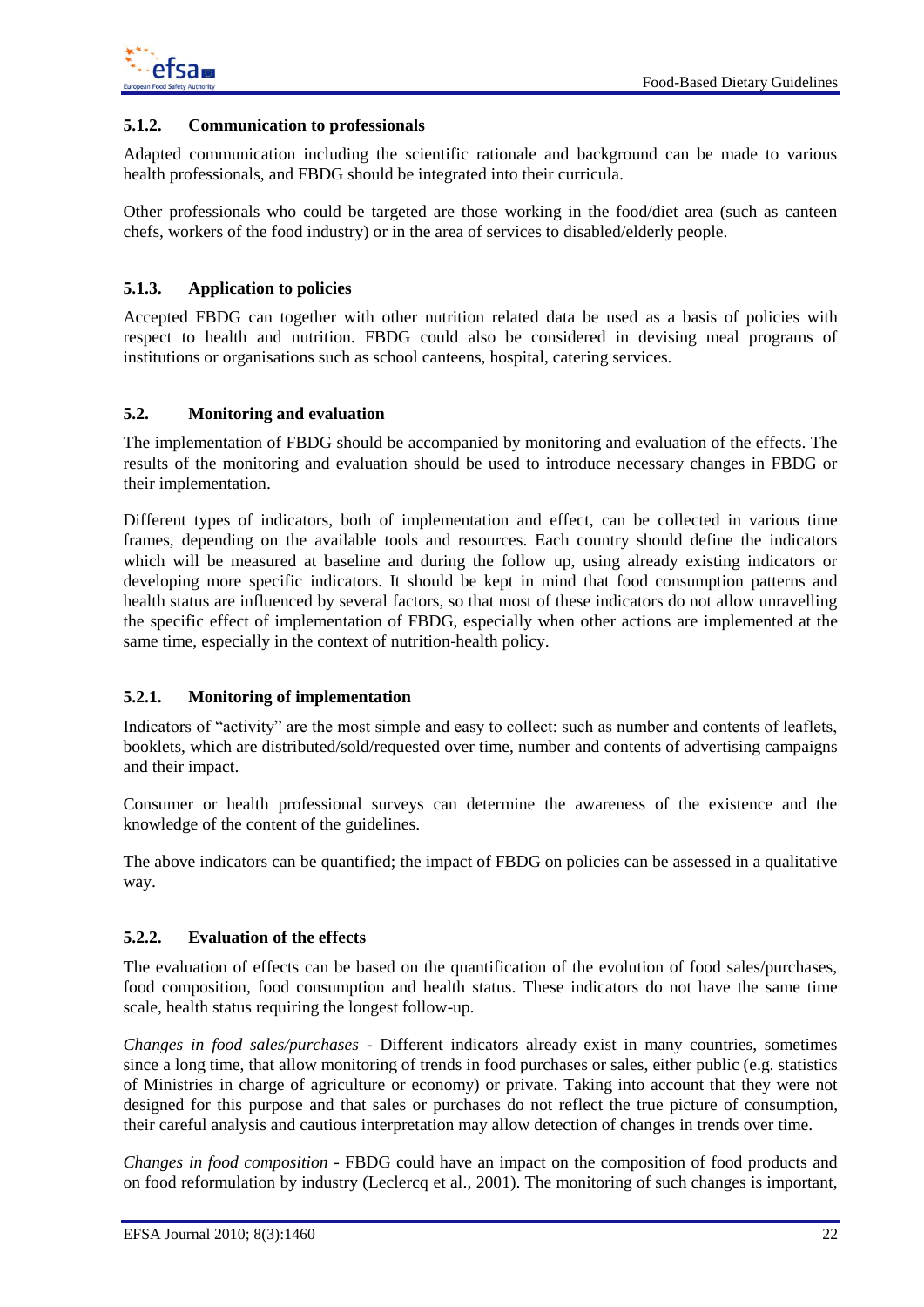## **5.1.2. Communication to professionals**

<span id="page-21-0"></span>Adapted communication including the scientific rationale and background can be made to various health professionals, and FBDG should be integrated into their curricula.

Other professionals who could be targeted are those working in the food/diet area (such as canteen chefs, workers of the food industry) or in the area of services to disabled/elderly people.

## <span id="page-21-1"></span>**5.1.3. Application to policies**

Accepted FBDG can together with other nutrition related data be used as a basis of policies with respect to health and nutrition. FBDG could also be considered in devising meal programs of institutions or organisations such as school canteens, hospital, catering services.

## <span id="page-21-2"></span>**5.2. Monitoring and evaluation**

The implementation of FBDG should be accompanied by monitoring and evaluation of the effects. The results of the monitoring and evaluation should be used to introduce necessary changes in FBDG or their implementation.

Different types of indicators, both of implementation and effect, can be collected in various time frames, depending on the available tools and resources. Each country should define the indicators which will be measured at baseline and during the follow up, using already existing indicators or developing more specific indicators. It should be kept in mind that food consumption patterns and health status are influenced by several factors, so that most of these indicators do not allow unravelling the specific effect of implementation of FBDG, especially when other actions are implemented at the same time, especially in the context of nutrition-health policy.

## <span id="page-21-3"></span>**5.2.1. Monitoring of implementation**

Indicators of "activity" are the most simple and easy to collect: such as number and contents of leaflets, booklets, which are distributed/sold/requested over time, number and contents of advertising campaigns and their impact.

Consumer or health professional surveys can determine the awareness of the existence and the knowledge of the content of the guidelines.

The above indicators can be quantified; the impact of FBDG on policies can be assessed in a qualitative way.

## <span id="page-21-4"></span>**5.2.2. Evaluation of the effects**

The evaluation of effects can be based on the quantification of the evolution of food sales/purchases, food composition, food consumption and health status. These indicators do not have the same time scale, health status requiring the longest follow-up.

*Changes in food sales/purchases -* Different indicators already exist in many countries, sometimes since a long time, that allow monitoring of trends in food purchases or sales, either public (e.g. statistics of Ministries in charge of agriculture or economy) or private. Taking into account that they were not designed for this purpose and that sales or purchases do not reflect the true picture of consumption, their careful analysis and cautious interpretation may allow detection of changes in trends over time.

*Changes in food composition -* FBDG could have an impact on the composition of food products and on food reformulation by industry (Leclercq et al., 2001). The monitoring of such changes is important,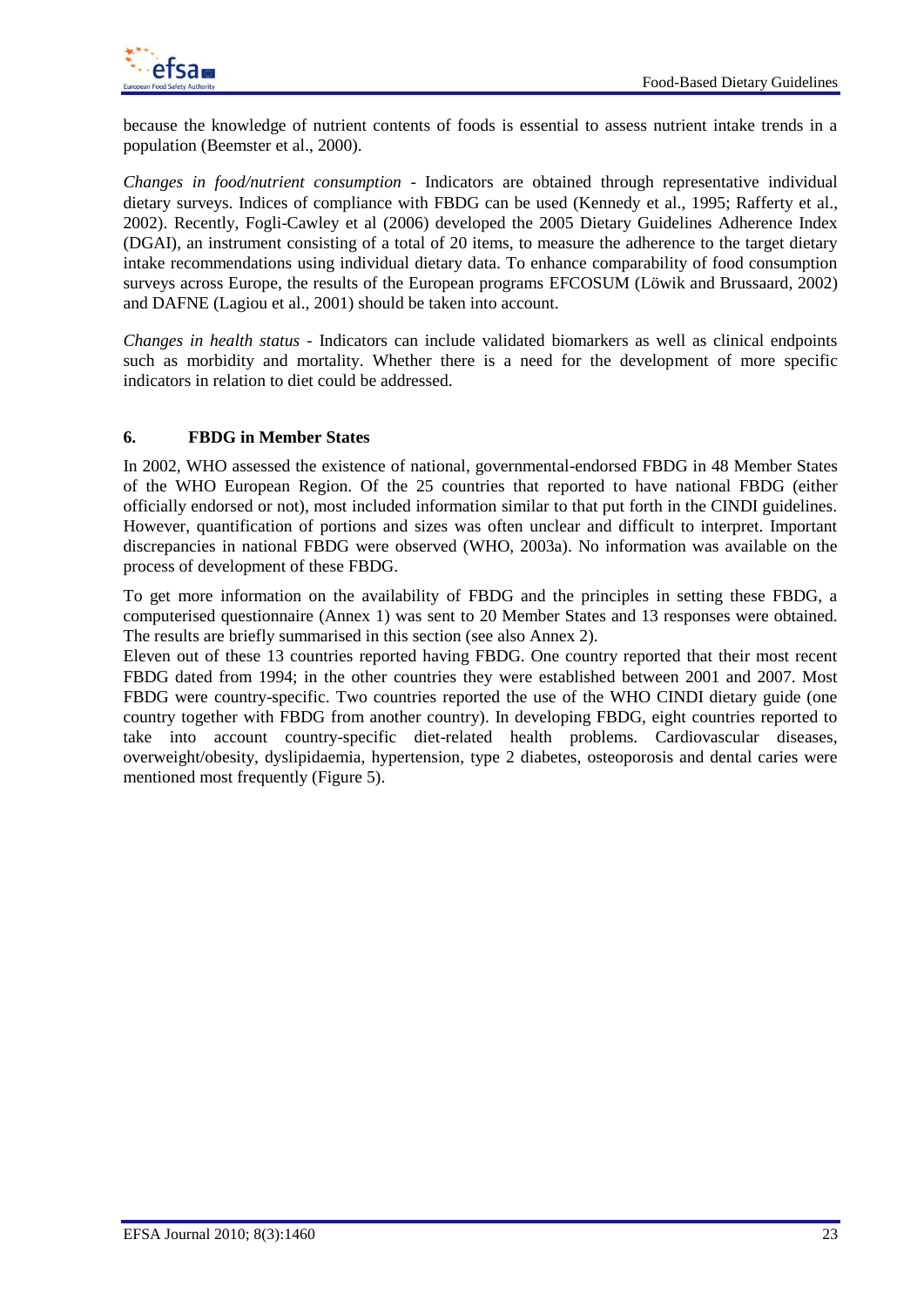

because the knowledge of nutrient contents of foods is essential to assess nutrient intake trends in a population (Beemster et al., 2000).

*Changes in food/nutrient consumption* - Indicators are obtained through representative individual dietary surveys. Indices of compliance with FBDG can be used (Kennedy et al., 1995; Rafferty et al., 2002). Recently, Fogli-Cawley et al (2006) developed the 2005 Dietary Guidelines Adherence Index (DGAI), an instrument consisting of a total of 20 items, to measure the adherence to the target dietary intake recommendations using individual dietary data. To enhance comparability of food consumption surveys across Europe, the results of the European programs EFCOSUM (Löwik and Brussaard, 2002) and DAFNE (Lagiou et al., 2001) should be taken into account.

*Changes in health status -* Indicators can include validated biomarkers as well as clinical endpoints such as morbidity and mortality. Whether there is a need for the development of more specific indicators in relation to diet could be addressed.

## <span id="page-22-0"></span>**6. FBDG in Member States**

In 2002, WHO assessed the existence of national, governmental-endorsed FBDG in 48 Member States of the WHO European Region. Of the 25 countries that reported to have national FBDG (either officially endorsed or not), most included information similar to that put forth in the CINDI guidelines. However, quantification of portions and sizes was often unclear and difficult to interpret. Important discrepancies in national FBDG were observed (WHO, 2003a). No information was available on the process of development of these FBDG.

To get more information on the availability of FBDG and the principles in setting these FBDG, a computerised questionnaire (Annex 1) was sent to 20 Member States and 13 responses were obtained. The results are briefly summarised in this section (see also Annex 2).

Eleven out of these 13 countries reported having FBDG. One country reported that their most recent FBDG dated from 1994; in the other countries they were established between 2001 and 2007. Most FBDG were country-specific. Two countries reported the use of the WHO CINDI dietary guide (one country together with FBDG from another country). In developing FBDG, eight countries reported to take into account country-specific diet-related health problems. Cardiovascular diseases, overweight/obesity, dyslipidaemia, hypertension, type 2 diabetes, osteoporosis and dental caries were mentioned most frequently (Figure 5).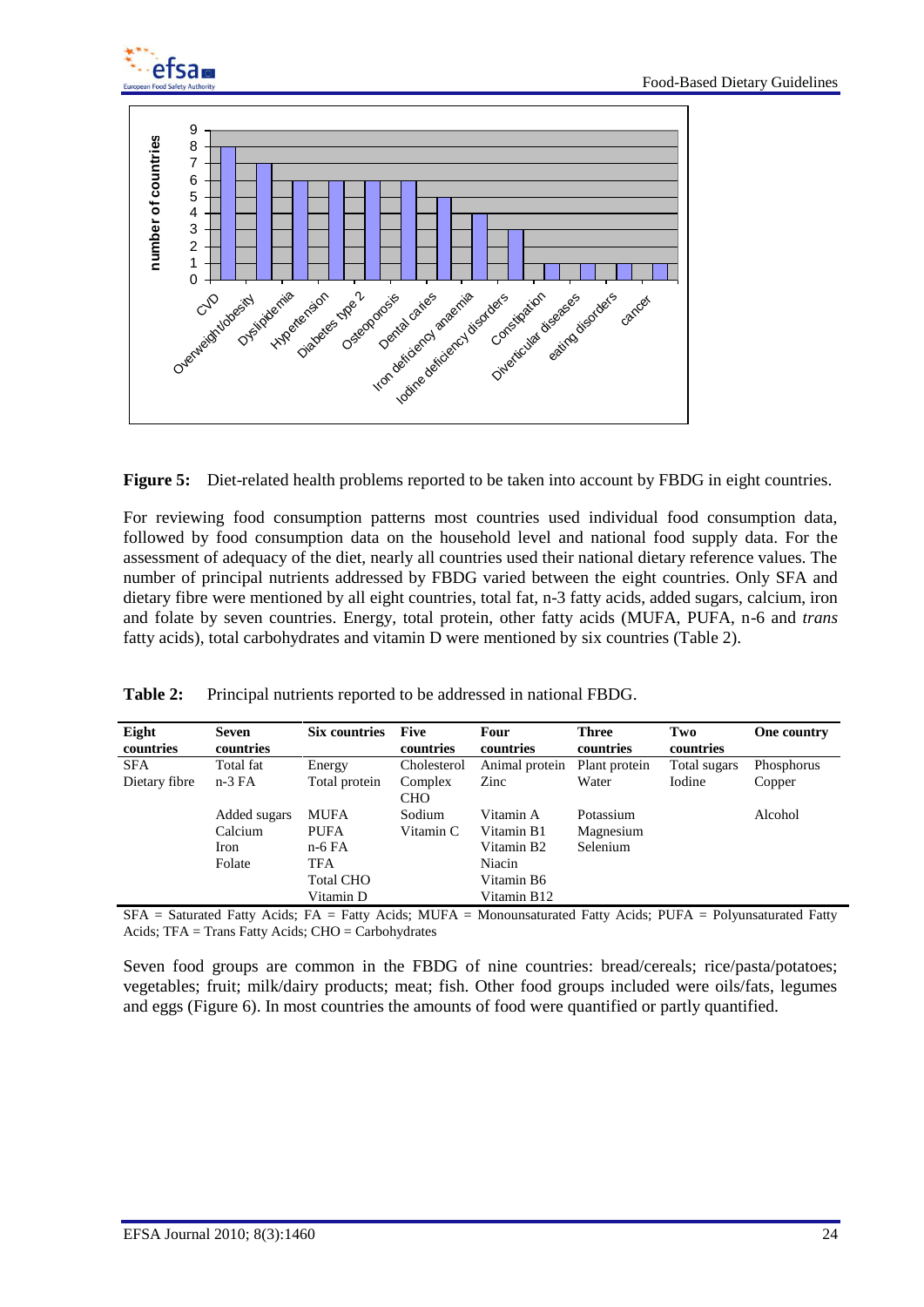







For reviewing food consumption patterns most countries used individual food consumption data, followed by food consumption data on the household level and national food supply data. For the assessment of adequacy of the diet, nearly all countries used their national dietary reference values. The number of principal nutrients addressed by FBDG varied between the eight countries. Only SFA and dietary fibre were mentioned by all eight countries, total fat, n-3 fatty acids, added sugars, calcium, iron and folate by seven countries. Energy, total protein, other fatty acids (MUFA, PUFA, n-6 and *trans*  fatty acids), total carbohydrates and vitamin D were mentioned by six countries (Table 2).

| Eight<br>countries | Seven<br>countries | <b>Six countries</b> | Five<br>countries     | Four<br>countries | Three<br>countries | Two<br>countries | One country |
|--------------------|--------------------|----------------------|-----------------------|-------------------|--------------------|------------------|-------------|
| <b>SFA</b>         | Total fat          | Energy               | Cholesterol           | Animal protein    | Plant protein      | Total sugars     | Phosphorus  |
| Dietary fibre      | $n-3$ FA           | Total protein        | Complex<br><b>CHO</b> | Zinc              | Water              | Iodine           | Copper      |
|                    | Added sugars       | <b>MUFA</b>          | Sodium                | Vitamin A         | Potassium          |                  | Alcohol     |
|                    | Calcium            | <b>PUFA</b>          | Vitamin C             | Vitamin B1        | Magnesium          |                  |             |
|                    | Iron               | $n-6$ FA             |                       | Vitamin B2        | Selenium           |                  |             |
|                    | Folate             | <b>TFA</b>           |                       | Niacin            |                    |                  |             |
|                    |                    | <b>Total CHO</b>     |                       | Vitamin B6        |                    |                  |             |
|                    |                    | Vitamin D            |                       | Vitamin B12       |                    |                  |             |

**Table 2:** Principal nutrients reported to be addressed in national FBDG.

SFA = Saturated Fatty Acids; FA = Fatty Acids; MUFA = Monounsaturated Fatty Acids; PUFA = Polyunsaturated Fatty Acids; TFA = Trans Fatty Acids; CHO = Carbohydrates

Seven food groups are common in the FBDG of nine countries: bread/cereals: rice/pasta/potatoes: vegetables; fruit; milk/dairy products; meat; fish. Other food groups included were oils/fats, legumes and eggs (Figure 6). In most countries the amounts of food were quantified or partly quantified.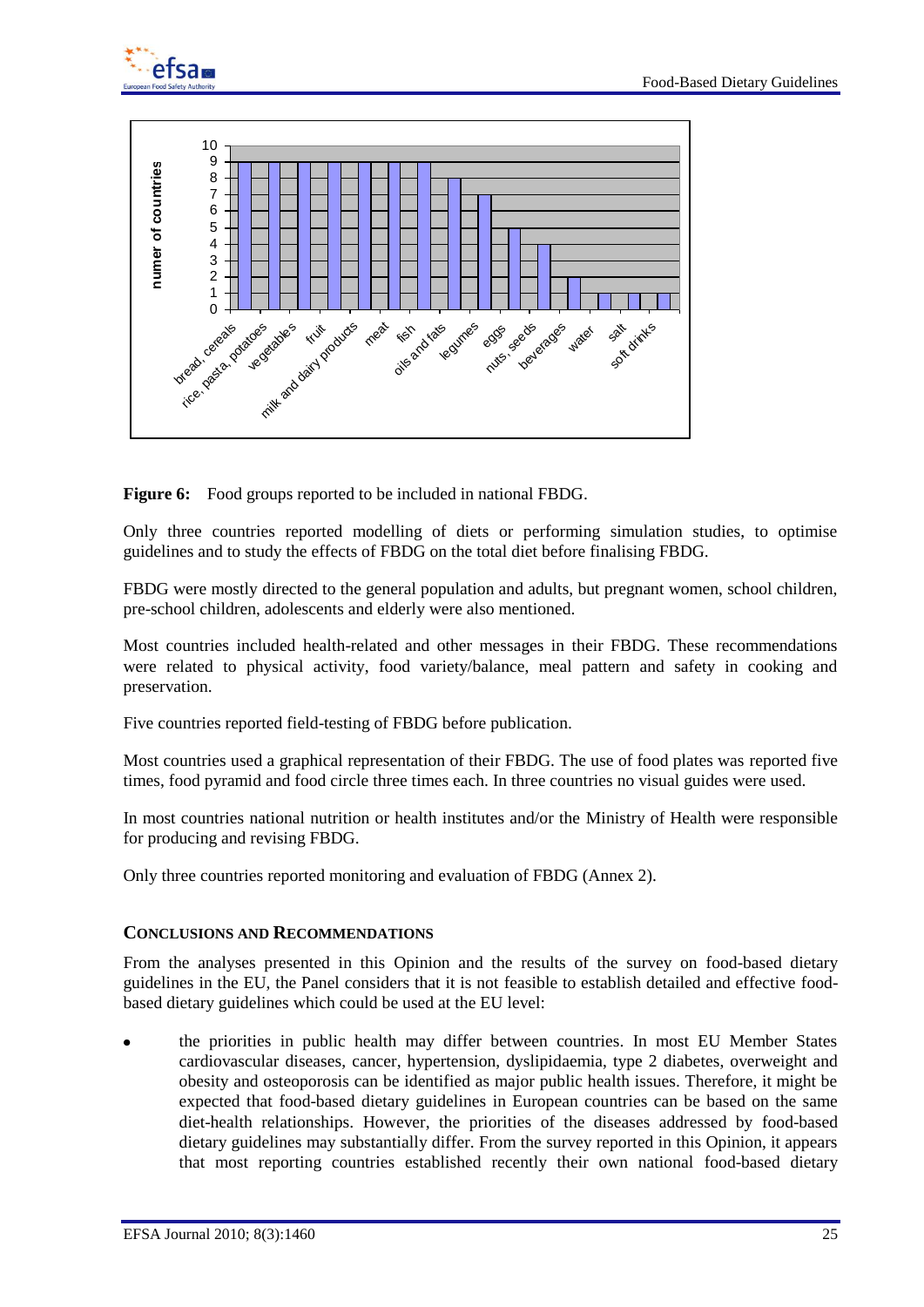



**Figure 6:** Food groups reported to be included in national FBDG.

Only three countries reported modelling of diets or performing simulation studies, to optimise guidelines and to study the effects of FBDG on the total diet before finalising FBDG.

FBDG were mostly directed to the general population and adults, but pregnant women, school children, pre-school children, adolescents and elderly were also mentioned.

Most countries included health-related and other messages in their FBDG. These recommendations were related to physical activity, food variety/balance, meal pattern and safety in cooking and preservation.

Five countries reported field-testing of FBDG before publication.

Most countries used a graphical representation of their FBDG. The use of food plates was reported five times, food pyramid and food circle three times each. In three countries no visual guides were used.

In most countries national nutrition or health institutes and/or the Ministry of Health were responsible for producing and revising FBDG.

Only three countries reported monitoring and evaluation of FBDG (Annex 2).

#### <span id="page-24-0"></span>**CONCLUSIONS AND RECOMMENDATIONS**

From the analyses presented in this Opinion and the results of the survey on food-based dietary guidelines in the EU, the Panel considers that it is not feasible to establish detailed and effective foodbased dietary guidelines which could be used at the EU level:

the priorities in public health may differ between countries. In most EU Member States cardiovascular diseases, cancer, hypertension, dyslipidaemia, type 2 diabetes, overweight and obesity and osteoporosis can be identified as major public health issues. Therefore, it might be expected that food-based dietary guidelines in European countries can be based on the same diet-health relationships. However, the priorities of the diseases addressed by food-based dietary guidelines may substantially differ. From the survey reported in this Opinion, it appears that most reporting countries established recently their own national food-based dietary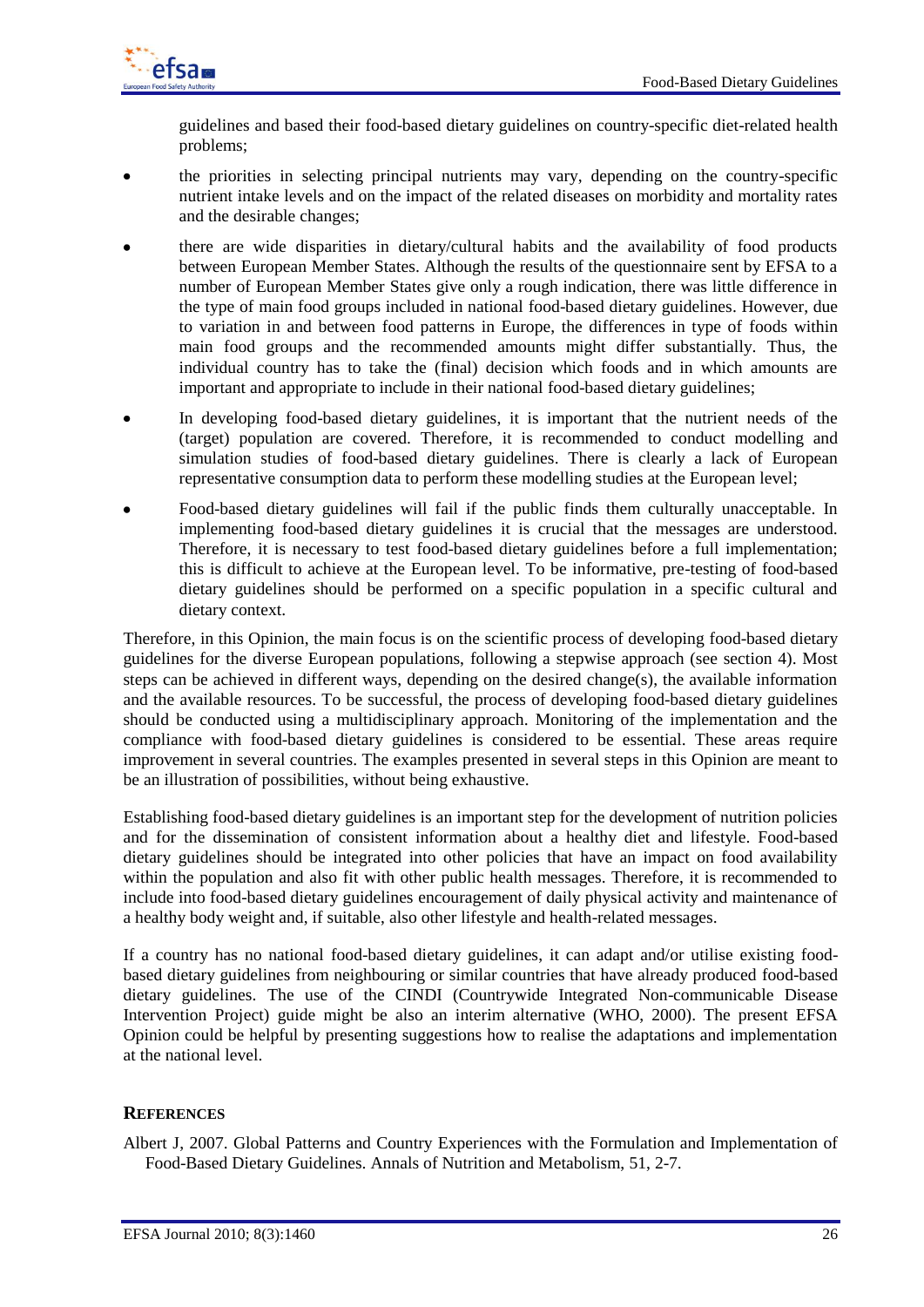

guidelines and based their food-based dietary guidelines on country-specific diet-related health problems;

- the priorities in selecting principal nutrients may vary, depending on the country-specific nutrient intake levels and on the impact of the related diseases on morbidity and mortality rates and the desirable changes;
- there are wide disparities in dietary/cultural habits and the availability of food products between European Member States. Although the results of the questionnaire sent by EFSA to a number of European Member States give only a rough indication, there was little difference in the type of main food groups included in national food-based dietary guidelines. However, due to variation in and between food patterns in Europe, the differences in type of foods within main food groups and the recommended amounts might differ substantially. Thus, the individual country has to take the (final) decision which foods and in which amounts are important and appropriate to include in their national food-based dietary guidelines;
- In developing food-based dietary guidelines, it is important that the nutrient needs of the (target) population are covered. Therefore, it is recommended to conduct modelling and simulation studies of food-based dietary guidelines. There is clearly a lack of European representative consumption data to perform these modelling studies at the European level;
- Food-based dietary guidelines will fail if the public finds them culturally unacceptable. In implementing food-based dietary guidelines it is crucial that the messages are understood. Therefore, it is necessary to test food-based dietary guidelines before a full implementation; this is difficult to achieve at the European level. To be informative, pre-testing of food-based dietary guidelines should be performed on a specific population in a specific cultural and dietary context.

Therefore, in this Opinion, the main focus is on the scientific process of developing food-based dietary guidelines for the diverse European populations, following a stepwise approach (see section 4). Most steps can be achieved in different ways, depending on the desired change(s), the available information and the available resources. To be successful, the process of developing food-based dietary guidelines should be conducted using a multidisciplinary approach. Monitoring of the implementation and the compliance with food-based dietary guidelines is considered to be essential. These areas require improvement in several countries. The examples presented in several steps in this Opinion are meant to be an illustration of possibilities, without being exhaustive.

Establishing food-based dietary guidelines is an important step for the development of nutrition policies and for the dissemination of consistent information about a healthy diet and lifestyle. Food-based dietary guidelines should be integrated into other policies that have an impact on food availability within the population and also fit with other public health messages. Therefore, it is recommended to include into food-based dietary guidelines encouragement of daily physical activity and maintenance of a healthy body weight and, if suitable, also other lifestyle and health-related messages.

If a country has no national food-based dietary guidelines, it can adapt and/or utilise existing foodbased dietary guidelines from neighbouring or similar countries that have already produced food-based dietary guidelines. The use of the CINDI (Countrywide Integrated Non-communicable Disease Intervention Project) guide might be also an interim alternative (WHO, 2000). The present EFSA Opinion could be helpful by presenting suggestions how to realise the adaptations and implementation at the national level.

## <span id="page-25-0"></span>**REFERENCES**

Albert J, 2007. Global Patterns and Country Experiences with the Formulation and Implementation of Food-Based Dietary Guidelines. Annals of Nutrition and Metabolism, 51, 2-7.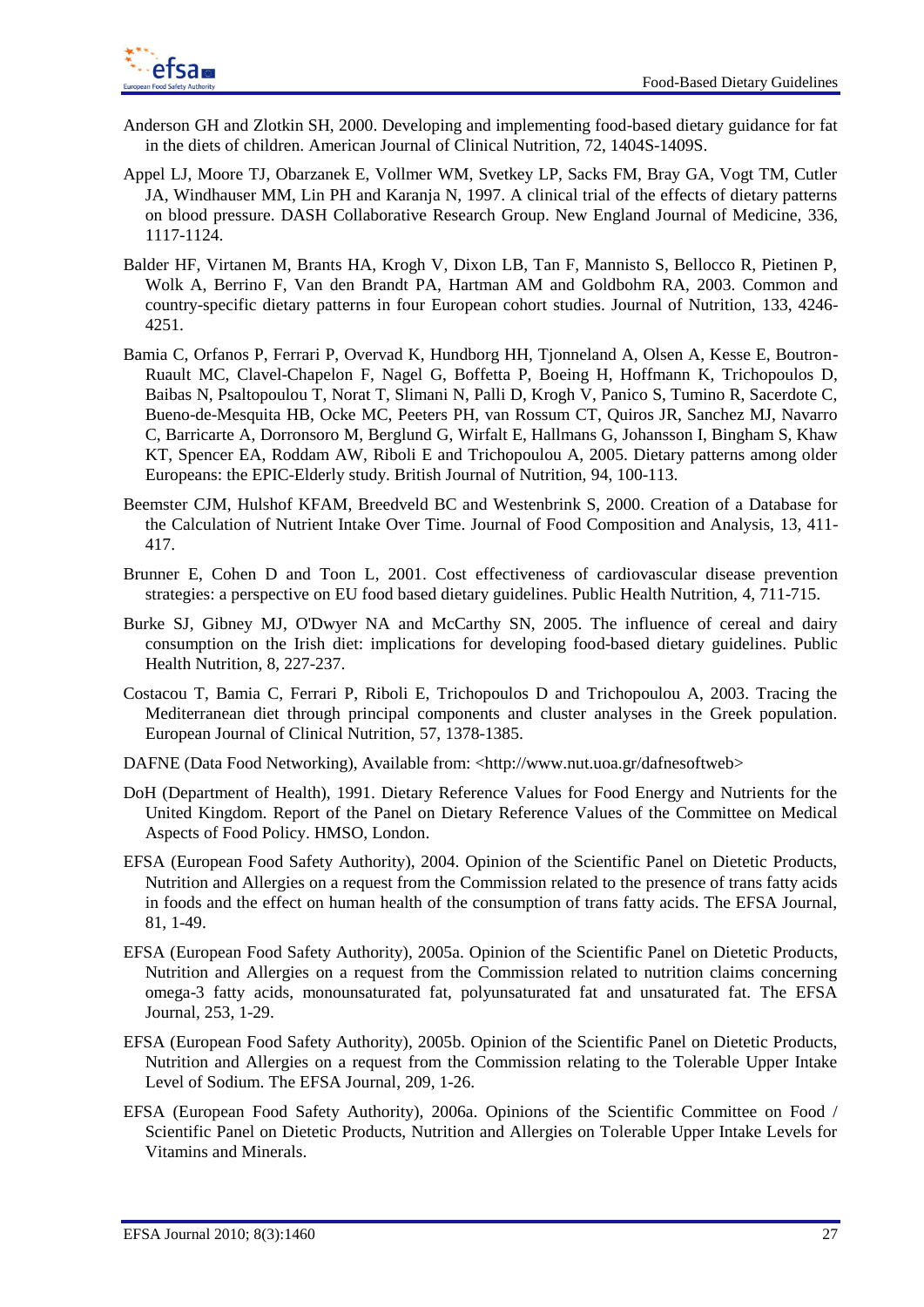- Anderson GH and Zlotkin SH, 2000. Developing and implementing food-based dietary guidance for fat in the diets of children. American Journal of Clinical Nutrition, 72, 1404S-1409S.
- Appel LJ, Moore TJ, Obarzanek E, Vollmer WM, Svetkey LP, Sacks FM, Bray GA, Vogt TM, Cutler JA, Windhauser MM, Lin PH and Karanja N, 1997. A clinical trial of the effects of dietary patterns on blood pressure. DASH Collaborative Research Group. New England Journal of Medicine, 336, 1117-1124.
- Balder HF, Virtanen M, Brants HA, Krogh V, Dixon LB, Tan F, Mannisto S, Bellocco R, Pietinen P, Wolk A, Berrino F, Van den Brandt PA, Hartman AM and Goldbohm RA, 2003. Common and country-specific dietary patterns in four European cohort studies. Journal of Nutrition, 133, 4246- 4251.
- Bamia C, Orfanos P, Ferrari P, Overvad K, Hundborg HH, Tjonneland A, Olsen A, Kesse E, Boutron-Ruault MC, Clavel-Chapelon F, Nagel G, Boffetta P, Boeing H, Hoffmann K, Trichopoulos D, Baibas N, Psaltopoulou T, Norat T, Slimani N, Palli D, Krogh V, Panico S, Tumino R, Sacerdote C, Bueno-de-Mesquita HB, Ocke MC, Peeters PH, van Rossum CT, Quiros JR, Sanchez MJ, Navarro C, Barricarte A, Dorronsoro M, Berglund G, Wirfalt E, Hallmans G, Johansson I, Bingham S, Khaw KT, Spencer EA, Roddam AW, Riboli E and Trichopoulou A, 2005. Dietary patterns among older Europeans: the EPIC-Elderly study. British Journal of Nutrition, 94, 100-113.
- Beemster CJM, Hulshof KFAM, Breedveld BC and Westenbrink S, 2000. Creation of a Database for the Calculation of Nutrient Intake Over Time. Journal of Food Composition and Analysis, 13, 411- 417.
- Brunner E, Cohen D and Toon L, 2001. Cost effectiveness of cardiovascular disease prevention strategies: a perspective on EU food based dietary guidelines. Public Health Nutrition, 4, 711-715.
- Burke SJ, Gibney MJ, O'Dwyer NA and McCarthy SN, 2005. The influence of cereal and dairy consumption on the Irish diet: implications for developing food-based dietary guidelines. Public Health Nutrition, 8, 227-237.
- Costacou T, Bamia C, Ferrari P, Riboli E, Trichopoulos D and Trichopoulou A, 2003. Tracing the Mediterranean diet through principal components and cluster analyses in the Greek population. European Journal of Clinical Nutrition, 57, 1378-1385.
- DAFNE (Data Food Networking), Available from: <http://www.nut.uoa.gr/dafnesoftweb>
- DoH (Department of Health), 1991. Dietary Reference Values for Food Energy and Nutrients for the United Kingdom. Report of the Panel on Dietary Reference Values of the Committee on Medical Aspects of Food Policy. HMSO, London.
- EFSA (European Food Safety Authority), 2004. Opinion of the Scientific Panel on Dietetic Products, Nutrition and Allergies on a request from the Commission related to the presence of trans fatty acids in foods and the effect on human health of the consumption of trans fatty acids. The EFSA Journal, 81, 1-49.
- EFSA (European Food Safety Authority), 2005a. Opinion of the Scientific Panel on Dietetic Products, Nutrition and Allergies on a request from the Commission related to nutrition claims concerning omega-3 fatty acids, monounsaturated fat, polyunsaturated fat and unsaturated fat. The EFSA Journal, 253, 1-29.
- EFSA (European Food Safety Authority), 2005b. Opinion of the Scientific Panel on Dietetic Products, Nutrition and Allergies on a request from the Commission relating to the Tolerable Upper Intake Level of Sodium. The EFSA Journal, 209, 1-26.
- EFSA (European Food Safety Authority), 2006a. Opinions of the Scientific Committee on Food / Scientific Panel on Dietetic Products, Nutrition and Allergies on Tolerable Upper Intake Levels for Vitamins and Minerals.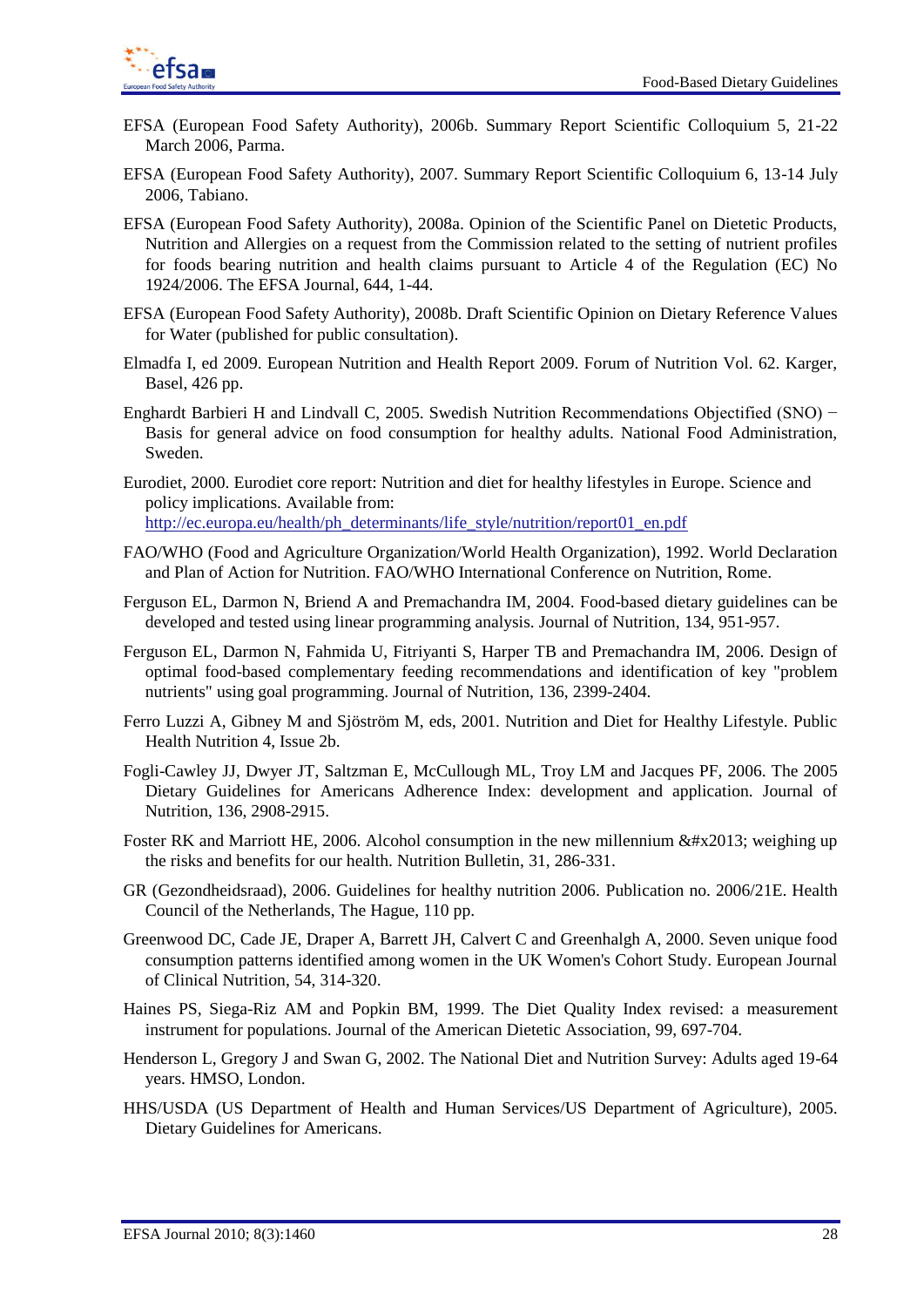

- EFSA (European Food Safety Authority), 2006b. Summary Report Scientific Colloquium 5, 21-22 March 2006, Parma.
- EFSA (European Food Safety Authority), 2007. Summary Report Scientific Colloquium 6, 13-14 July 2006, Tabiano.
- EFSA (European Food Safety Authority), 2008a. Opinion of the Scientific Panel on Dietetic Products, Nutrition and Allergies on a request from the Commission related to the setting of nutrient profiles for foods bearing nutrition and health claims pursuant to Article 4 of the Regulation (EC) No 1924/2006. The EFSA Journal, 644, 1-44.
- EFSA (European Food Safety Authority), 2008b. Draft Scientific Opinion on Dietary Reference Values for Water (published for public consultation).
- Elmadfa I, ed 2009. European Nutrition and Health Report 2009. Forum of Nutrition Vol. 62. Karger, Basel, 426 pp.
- Enghardt Barbieri H and Lindvall C, 2005. Swedish Nutrition Recommendations Objectified (SNO) − Basis for general advice on food consumption for healthy adults. National Food Administration, Sweden.
- Eurodiet, 2000. Eurodiet core report: Nutrition and diet for healthy lifestyles in Europe. Science and policy implications. Available from: [http://ec.europa.eu/health/ph\\_determinants/life\\_style/nutrition/report01\\_en.pdf](http://ec.europa.eu/health/ph_determinants/life_style/nutrition/report01_en.pdf)
- FAO/WHO (Food and Agriculture Organization/World Health Organization), 1992. World Declaration and Plan of Action for Nutrition. FAO/WHO International Conference on Nutrition, Rome.
- Ferguson EL, Darmon N, Briend A and Premachandra IM, 2004. Food-based dietary guidelines can be developed and tested using linear programming analysis. Journal of Nutrition, 134, 951-957.
- Ferguson EL, Darmon N, Fahmida U, Fitriyanti S, Harper TB and Premachandra IM, 2006. Design of optimal food-based complementary feeding recommendations and identification of key "problem nutrients" using goal programming. Journal of Nutrition, 136, 2399-2404.
- Ferro Luzzi A, Gibney M and Sjöström M, eds, 2001. Nutrition and Diet for Healthy Lifestyle. Public Health Nutrition 4, Issue 2b.
- Fogli-Cawley JJ, Dwyer JT, Saltzman E, McCullough ML, Troy LM and Jacques PF, 2006. The 2005 Dietary Guidelines for Americans Adherence Index: development and application. Journal of Nutrition, 136, 2908-2915.
- Foster RK and Marriott HE, 2006. Alcohol consumption in the new millennium  $&\#x2013$ ; weighing up the risks and benefits for our health. Nutrition Bulletin, 31, 286-331.
- GR (Gezondheidsraad), 2006. Guidelines for healthy nutrition 2006. Publication no. 2006/21E. Health Council of the Netherlands, The Hague, 110 pp.
- Greenwood DC, Cade JE, Draper A, Barrett JH, Calvert C and Greenhalgh A, 2000. Seven unique food consumption patterns identified among women in the UK Women's Cohort Study. European Journal of Clinical Nutrition, 54, 314-320.
- Haines PS, Siega-Riz AM and Popkin BM, 1999. The Diet Quality Index revised: a measurement instrument for populations. Journal of the American Dietetic Association, 99, 697-704.
- Henderson L, Gregory J and Swan G, 2002. The National Diet and Nutrition Survey: Adults aged 19-64 years. HMSO, London.
- HHS/USDA (US Department of Health and Human Services/US Department of Agriculture), 2005. Dietary Guidelines for Americans.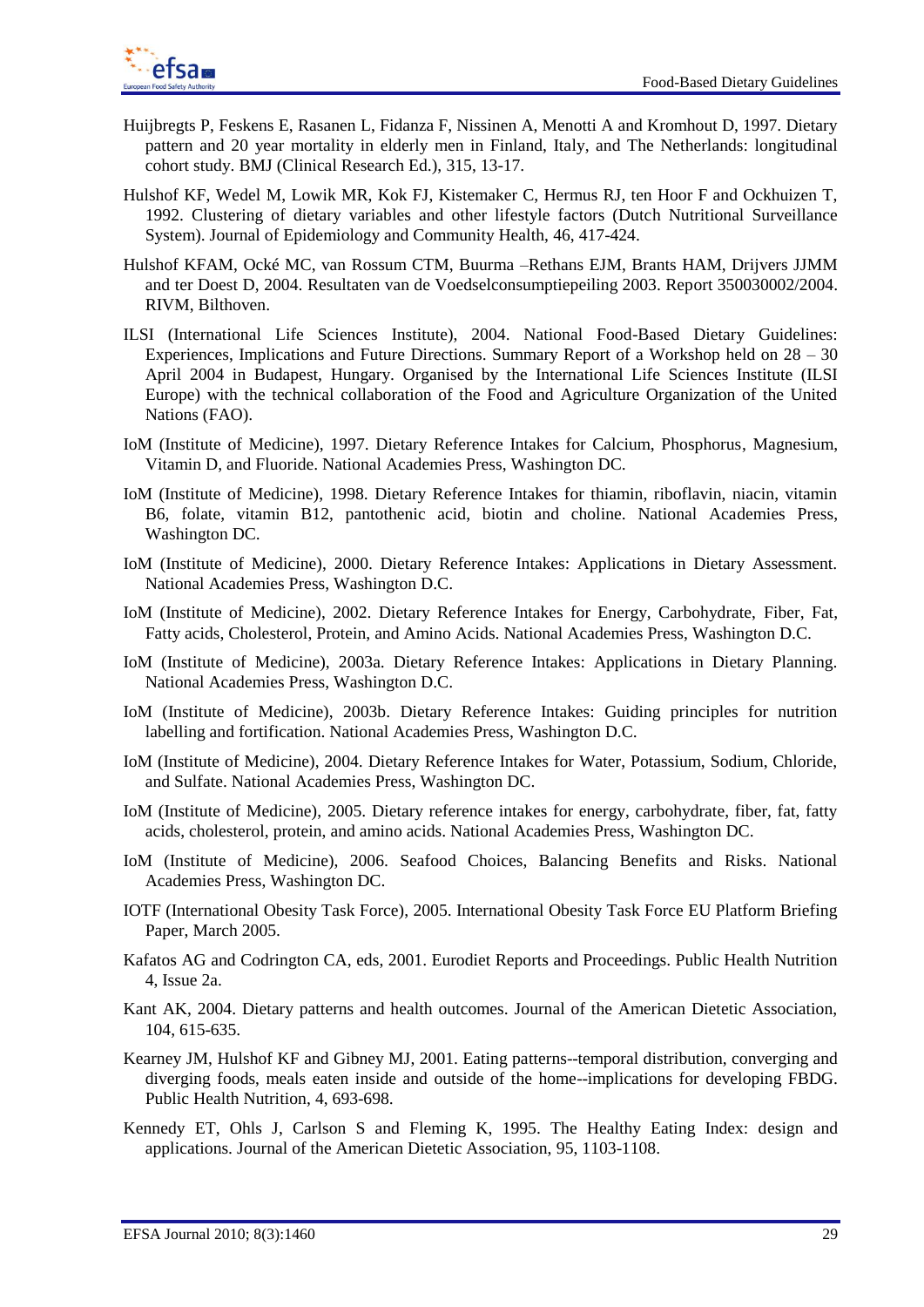- Huijbregts P, Feskens E, Rasanen L, Fidanza F, Nissinen A, Menotti A and Kromhout D, 1997. Dietary pattern and 20 year mortality in elderly men in Finland, Italy, and The Netherlands: longitudinal cohort study. BMJ (Clinical Research Ed.), 315, 13-17.
- Hulshof KF, Wedel M, Lowik MR, Kok FJ, Kistemaker C, Hermus RJ, ten Hoor F and Ockhuizen T, 1992. Clustering of dietary variables and other lifestyle factors (Dutch Nutritional Surveillance System). Journal of Epidemiology and Community Health, 46, 417-424.
- Hulshof KFAM, Ocké MC, van Rossum CTM, Buurma –Rethans EJM, Brants HAM, Drijvers JJMM and ter Doest D, 2004. Resultaten van de Voedselconsumptiepeiling 2003. Report 350030002/2004. RIVM, Bilthoven.
- ILSI (International Life Sciences Institute), 2004. National Food-Based Dietary Guidelines: Experiences, Implications and Future Directions. Summary Report of a Workshop held on 28 – 30 April 2004 in Budapest, Hungary. Organised by the International Life Sciences Institute (ILSI Europe) with the technical collaboration of the Food and Agriculture Organization of the United Nations (FAO).
- IoM (Institute of Medicine), 1997. Dietary Reference Intakes for Calcium, Phosphorus, Magnesium, Vitamin D, and Fluoride. National Academies Press, Washington DC.
- IoM (Institute of Medicine), 1998. Dietary Reference Intakes for thiamin, riboflavin, niacin, vitamin B6, folate, vitamin B12, pantothenic acid, biotin and choline. National Academies Press, Washington DC.
- IoM (Institute of Medicine), 2000. Dietary Reference Intakes: Applications in Dietary Assessment. National Academies Press, Washington D.C.
- IoM (Institute of Medicine), 2002. Dietary Reference Intakes for Energy, Carbohydrate, Fiber, Fat, Fatty acids, Cholesterol, Protein, and Amino Acids. National Academies Press, Washington D.C.
- IoM (Institute of Medicine), 2003a. Dietary Reference Intakes: Applications in Dietary Planning. National Academies Press, Washington D.C.
- IoM (Institute of Medicine), 2003b. Dietary Reference Intakes: Guiding principles for nutrition labelling and fortification. National Academies Press, Washington D.C.
- IoM (Institute of Medicine), 2004. Dietary Reference Intakes for Water, Potassium, Sodium, Chloride, and Sulfate. National Academies Press, Washington DC.
- IoM (Institute of Medicine), 2005. Dietary reference intakes for energy, carbohydrate, fiber, fat, fatty acids, cholesterol, protein, and amino acids. National Academies Press, Washington DC.
- IoM (Institute of Medicine), 2006. Seafood Choices, Balancing Benefits and Risks. National Academies Press, Washington DC.
- IOTF (International Obesity Task Force), 2005. International Obesity Task Force EU Platform Briefing Paper, March 2005.
- Kafatos AG and Codrington CA, eds, 2001. Eurodiet Reports and Proceedings. Public Health Nutrition 4, Issue 2a.
- Kant AK, 2004. Dietary patterns and health outcomes. Journal of the American Dietetic Association, 104, 615-635.
- Kearney JM, Hulshof KF and Gibney MJ, 2001. Eating patterns--temporal distribution, converging and diverging foods, meals eaten inside and outside of the home--implications for developing FBDG. Public Health Nutrition, 4, 693-698.
- Kennedy ET, Ohls J, Carlson S and Fleming K, 1995. The Healthy Eating Index: design and applications. Journal of the American Dietetic Association, 95, 1103-1108.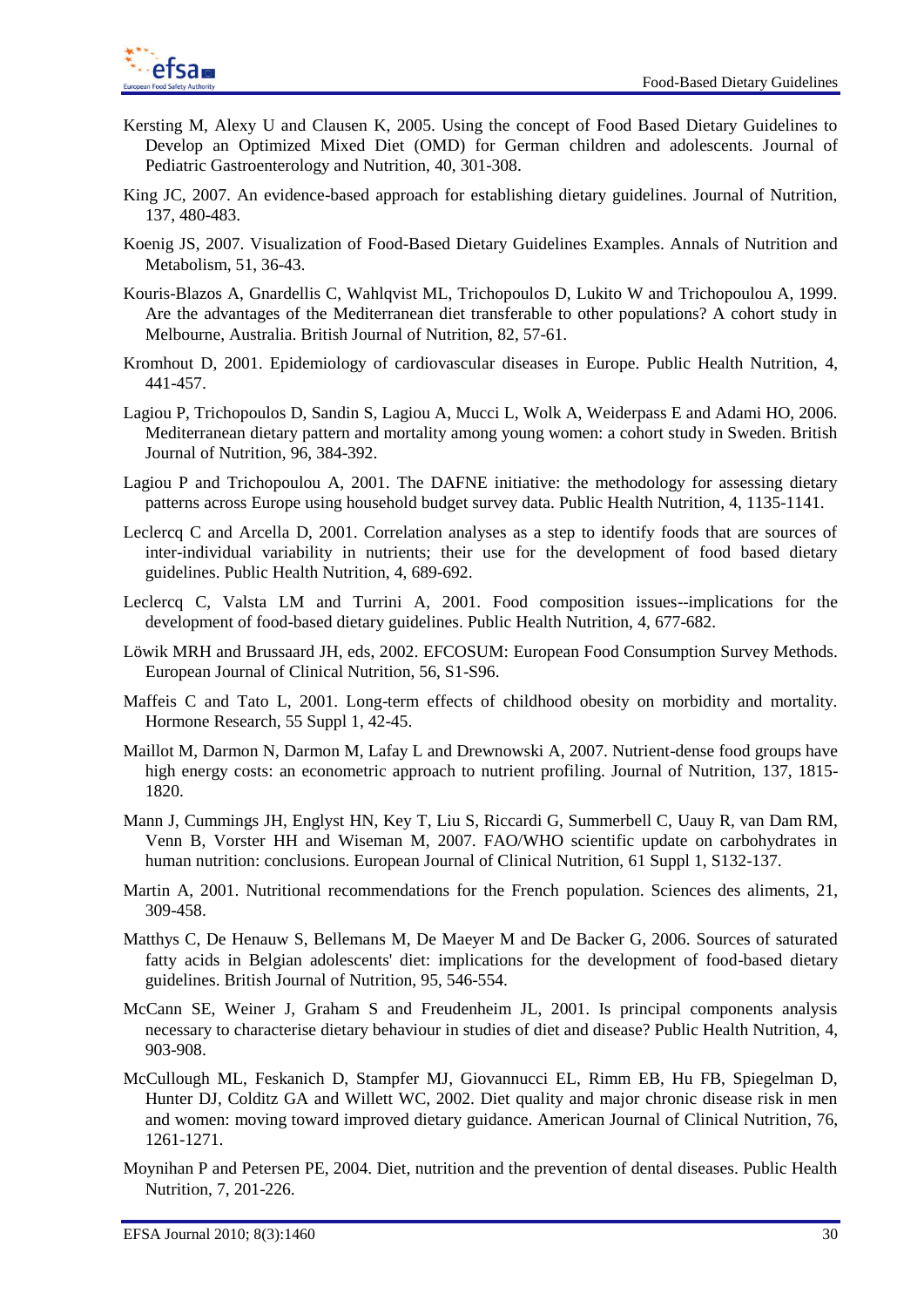- Kersting M, Alexy U and Clausen K, 2005. Using the concept of Food Based Dietary Guidelines to Develop an Optimized Mixed Diet (OMD) for German children and adolescents. Journal of Pediatric Gastroenterology and Nutrition, 40, 301-308.
- King JC, 2007. An evidence-based approach for establishing dietary guidelines. Journal of Nutrition, 137, 480-483.
- Koenig JS, 2007. Visualization of Food-Based Dietary Guidelines Examples. Annals of Nutrition and Metabolism, 51, 36-43.
- Kouris-Blazos A, Gnardellis C, Wahlqvist ML, Trichopoulos D, Lukito W and Trichopoulou A, 1999. Are the advantages of the Mediterranean diet transferable to other populations? A cohort study in Melbourne, Australia. British Journal of Nutrition, 82, 57-61.
- Kromhout D, 2001. Epidemiology of cardiovascular diseases in Europe. Public Health Nutrition, 4, 441-457.
- Lagiou P, Trichopoulos D, Sandin S, Lagiou A, Mucci L, Wolk A, Weiderpass E and Adami HO, 2006. Mediterranean dietary pattern and mortality among young women: a cohort study in Sweden. British Journal of Nutrition, 96, 384-392.
- Lagiou P and Trichopoulou A, 2001. The DAFNE initiative: the methodology for assessing dietary patterns across Europe using household budget survey data. Public Health Nutrition, 4, 1135-1141.
- Leclercq C and Arcella D, 2001. Correlation analyses as a step to identify foods that are sources of inter-individual variability in nutrients; their use for the development of food based dietary guidelines. Public Health Nutrition, 4, 689-692.
- Leclercq C, Valsta LM and Turrini A, 2001. Food composition issues--implications for the development of food-based dietary guidelines. Public Health Nutrition, 4, 677-682.
- Löwik MRH and Brussaard JH, eds, 2002. EFCOSUM: European Food Consumption Survey Methods. European Journal of Clinical Nutrition, 56, S1-S96.
- Maffeis C and Tato L, 2001. Long-term effects of childhood obesity on morbidity and mortality. Hormone Research, 55 Suppl 1, 42-45.
- Maillot M, Darmon N, Darmon M, Lafay L and Drewnowski A, 2007. Nutrient-dense food groups have high energy costs: an econometric approach to nutrient profiling. Journal of Nutrition, 137, 1815- 1820.
- Mann J, Cummings JH, Englyst HN, Key T, Liu S, Riccardi G, Summerbell C, Uauy R, van Dam RM, Venn B, Vorster HH and Wiseman M, 2007. FAO/WHO scientific update on carbohydrates in human nutrition: conclusions. European Journal of Clinical Nutrition, 61 Suppl 1, S132-137.
- Martin A, 2001. Nutritional recommendations for the French population. Sciences des aliments, 21, 309-458.
- Matthys C, De Henauw S, Bellemans M, De Maeyer M and De Backer G, 2006. Sources of saturated fatty acids in Belgian adolescents' diet: implications for the development of food-based dietary guidelines. British Journal of Nutrition, 95, 546-554.
- McCann SE, Weiner J, Graham S and Freudenheim JL, 2001. Is principal components analysis necessary to characterise dietary behaviour in studies of diet and disease? Public Health Nutrition, 4, 903-908.
- McCullough ML, Feskanich D, Stampfer MJ, Giovannucci EL, Rimm EB, Hu FB, Spiegelman D, Hunter DJ, Colditz GA and Willett WC, 2002. Diet quality and major chronic disease risk in men and women: moving toward improved dietary guidance. American Journal of Clinical Nutrition, 76, 1261-1271.
- Moynihan P and Petersen PE, 2004. Diet, nutrition and the prevention of dental diseases. Public Health Nutrition, 7, 201-226.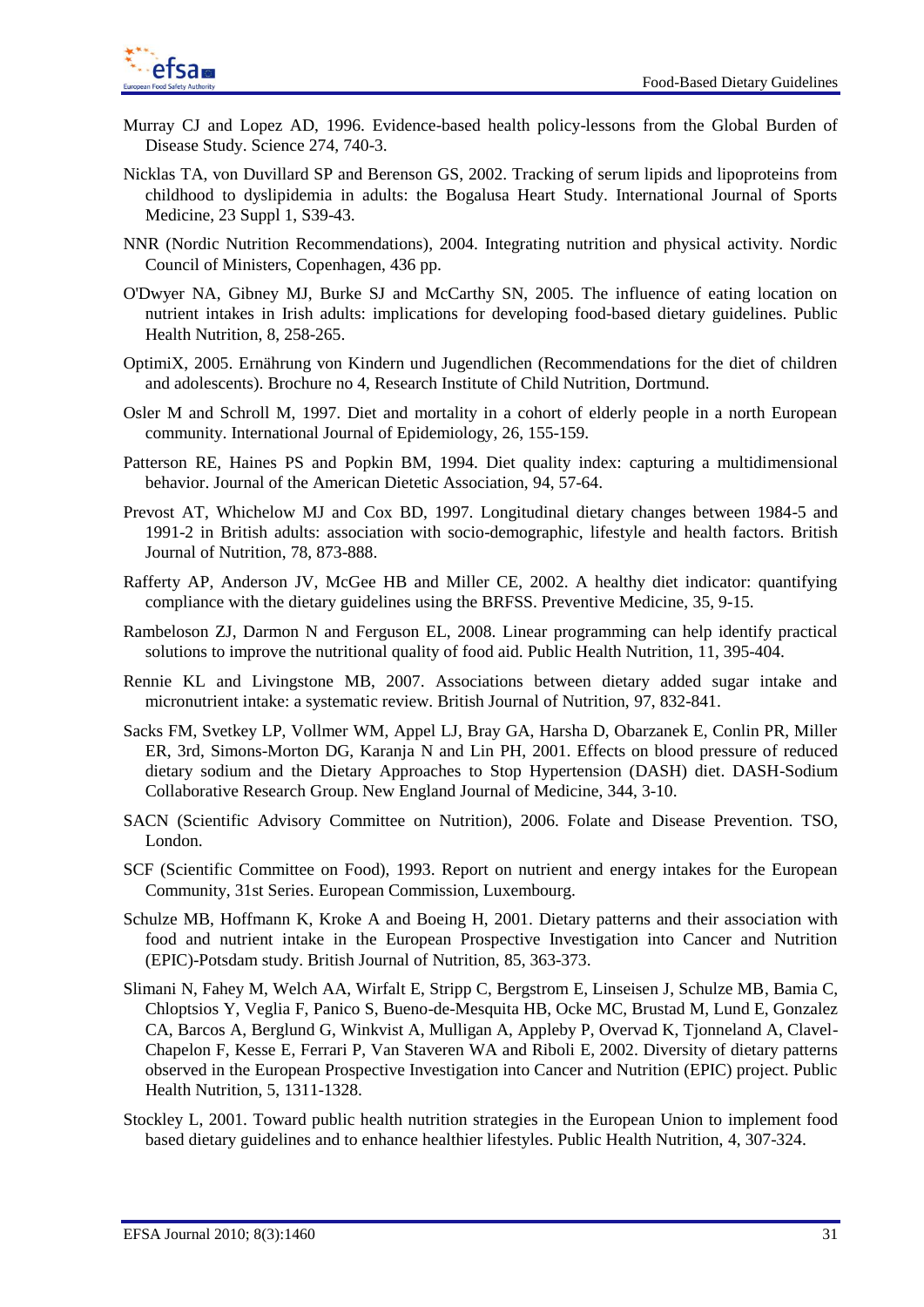- Murray CJ and Lopez AD, 1996. Evidence-based health policy-lessons from the Global Burden of Disease Study. Science 274, 740-3.
- Nicklas TA, von Duvillard SP and Berenson GS, 2002. Tracking of serum lipids and lipoproteins from childhood to dyslipidemia in adults: the Bogalusa Heart Study. International Journal of Sports Medicine, 23 Suppl 1, S39-43.
- NNR (Nordic Nutrition Recommendations), 2004. Integrating nutrition and physical activity. Nordic Council of Ministers, Copenhagen, 436 pp.
- O'Dwyer NA, Gibney MJ, Burke SJ and McCarthy SN, 2005. The influence of eating location on nutrient intakes in Irish adults: implications for developing food-based dietary guidelines. Public Health Nutrition, 8, 258-265.
- OptimiX, 2005. Ernährung von Kindern und Jugendlichen (Recommendations for the diet of children and adolescents). Brochure no 4, Research Institute of Child Nutrition, Dortmund.
- Osler M and Schroll M, 1997. Diet and mortality in a cohort of elderly people in a north European community. International Journal of Epidemiology, 26, 155-159.
- Patterson RE, Haines PS and Popkin BM, 1994. Diet quality index: capturing a multidimensional behavior. Journal of the American Dietetic Association, 94, 57-64.
- Prevost AT, Whichelow MJ and Cox BD, 1997. Longitudinal dietary changes between 1984-5 and 1991-2 in British adults: association with socio-demographic, lifestyle and health factors. British Journal of Nutrition, 78, 873-888.
- Rafferty AP, Anderson JV, McGee HB and Miller CE, 2002. A healthy diet indicator: quantifying compliance with the dietary guidelines using the BRFSS. Preventive Medicine, 35, 9-15.
- Rambeloson ZJ, Darmon N and Ferguson EL, 2008. Linear programming can help identify practical solutions to improve the nutritional quality of food aid. Public Health Nutrition, 11, 395-404.
- Rennie KL and Livingstone MB, 2007. Associations between dietary added sugar intake and micronutrient intake: a systematic review. British Journal of Nutrition, 97, 832-841.
- Sacks FM, Svetkey LP, Vollmer WM, Appel LJ, Bray GA, Harsha D, Obarzanek E, Conlin PR, Miller ER, 3rd, Simons-Morton DG, Karanja N and Lin PH, 2001. Effects on blood pressure of reduced dietary sodium and the Dietary Approaches to Stop Hypertension (DASH) diet. DASH-Sodium Collaborative Research Group. New England Journal of Medicine, 344, 3-10.
- SACN (Scientific Advisory Committee on Nutrition), 2006. Folate and Disease Prevention. TSO, London.
- SCF (Scientific Committee on Food), 1993. Report on nutrient and energy intakes for the European Community, 31st Series. European Commission, Luxembourg.
- Schulze MB, Hoffmann K, Kroke A and Boeing H, 2001. Dietary patterns and their association with food and nutrient intake in the European Prospective Investigation into Cancer and Nutrition (EPIC)-Potsdam study. British Journal of Nutrition, 85, 363-373.
- Slimani N, Fahey M, Welch AA, Wirfalt E, Stripp C, Bergstrom E, Linseisen J, Schulze MB, Bamia C, Chloptsios Y, Veglia F, Panico S, Bueno-de-Mesquita HB, Ocke MC, Brustad M, Lund E, Gonzalez CA, Barcos A, Berglund G, Winkvist A, Mulligan A, Appleby P, Overvad K, Tjonneland A, Clavel-Chapelon F, Kesse E, Ferrari P, Van Staveren WA and Riboli E, 2002. Diversity of dietary patterns observed in the European Prospective Investigation into Cancer and Nutrition (EPIC) project. Public Health Nutrition, 5, 1311-1328.
- Stockley L, 2001. Toward public health nutrition strategies in the European Union to implement food based dietary guidelines and to enhance healthier lifestyles. Public Health Nutrition, 4, 307-324.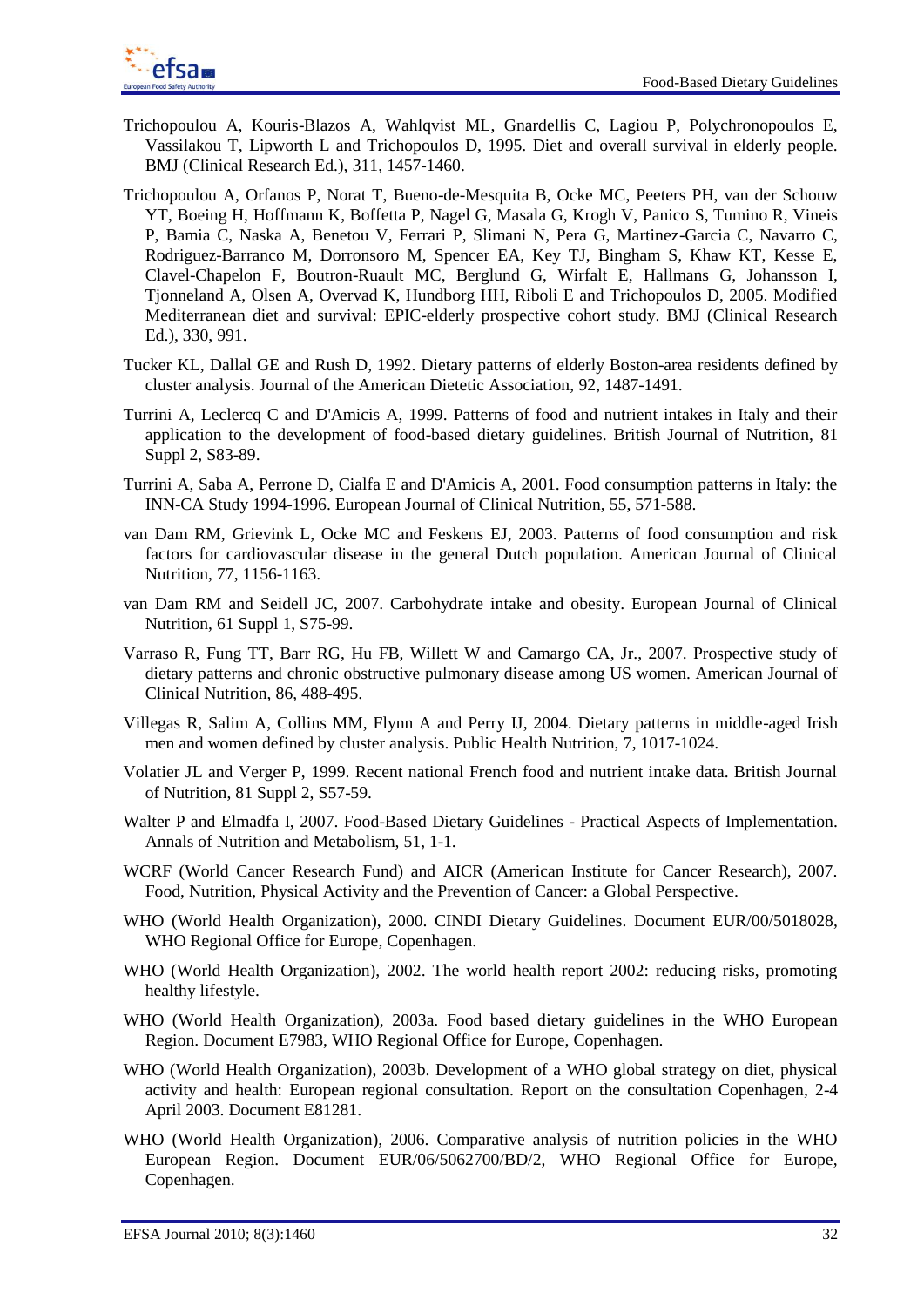- Trichopoulou A, Kouris-Blazos A, Wahlqvist ML, Gnardellis C, Lagiou P, Polychronopoulos E, Vassilakou T, Lipworth L and Trichopoulos D, 1995. Diet and overall survival in elderly people. BMJ (Clinical Research Ed.), 311, 1457-1460.
- Trichopoulou A, Orfanos P, Norat T, Bueno-de-Mesquita B, Ocke MC, Peeters PH, van der Schouw YT, Boeing H, Hoffmann K, Boffetta P, Nagel G, Masala G, Krogh V, Panico S, Tumino R, Vineis P, Bamia C, Naska A, Benetou V, Ferrari P, Slimani N, Pera G, Martinez-Garcia C, Navarro C, Rodriguez-Barranco M, Dorronsoro M, Spencer EA, Key TJ, Bingham S, Khaw KT, Kesse E, Clavel-Chapelon F, Boutron-Ruault MC, Berglund G, Wirfalt E, Hallmans G, Johansson I, Tjonneland A, Olsen A, Overvad K, Hundborg HH, Riboli E and Trichopoulos D, 2005. Modified Mediterranean diet and survival: EPIC-elderly prospective cohort study. BMJ (Clinical Research Ed.), 330, 991.
- Tucker KL, Dallal GE and Rush D, 1992. Dietary patterns of elderly Boston-area residents defined by cluster analysis. Journal of the American Dietetic Association, 92, 1487-1491.
- Turrini A, Leclercq C and D'Amicis A, 1999. Patterns of food and nutrient intakes in Italy and their application to the development of food-based dietary guidelines. British Journal of Nutrition, 81 Suppl 2, S83-89.
- Turrini A, Saba A, Perrone D, Cialfa E and D'Amicis A, 2001. Food consumption patterns in Italy: the INN-CA Study 1994-1996. European Journal of Clinical Nutrition, 55, 571-588.
- van Dam RM, Grievink L, Ocke MC and Feskens EJ, 2003. Patterns of food consumption and risk factors for cardiovascular disease in the general Dutch population. American Journal of Clinical Nutrition, 77, 1156-1163.
- van Dam RM and Seidell JC, 2007. Carbohydrate intake and obesity. European Journal of Clinical Nutrition, 61 Suppl 1, S75-99.
- Varraso R, Fung TT, Barr RG, Hu FB, Willett W and Camargo CA, Jr., 2007. Prospective study of dietary patterns and chronic obstructive pulmonary disease among US women. American Journal of Clinical Nutrition, 86, 488-495.
- Villegas R, Salim A, Collins MM, Flynn A and Perry IJ, 2004. Dietary patterns in middle-aged Irish men and women defined by cluster analysis. Public Health Nutrition, 7, 1017-1024.
- Volatier JL and Verger P, 1999. Recent national French food and nutrient intake data. British Journal of Nutrition, 81 Suppl 2, S57-59.
- Walter P and Elmadfa I, 2007. Food-Based Dietary Guidelines Practical Aspects of Implementation. Annals of Nutrition and Metabolism, 51, 1-1.
- WCRF (World Cancer Research Fund) and AICR (American Institute for Cancer Research), 2007. Food, Nutrition, Physical Activity and the Prevention of Cancer: a Global Perspective.
- WHO (World Health Organization), 2000. CINDI Dietary Guidelines. Document EUR/00/5018028, WHO Regional Office for Europe, Copenhagen.
- WHO (World Health Organization), 2002. The world health report 2002: reducing risks, promoting healthy lifestyle.
- WHO (World Health Organization), 2003a. Food based dietary guidelines in the WHO European Region. Document E7983, WHO Regional Office for Europe, Copenhagen.
- WHO (World Health Organization), 2003b. Development of a WHO global strategy on diet, physical activity and health: European regional consultation. Report on the consultation Copenhagen, 2-4 April 2003. Document E81281.
- WHO (World Health Organization), 2006. Comparative analysis of nutrition policies in the WHO European Region. Document EUR/06/5062700/BD/2, WHO Regional Office for Europe, Copenhagen.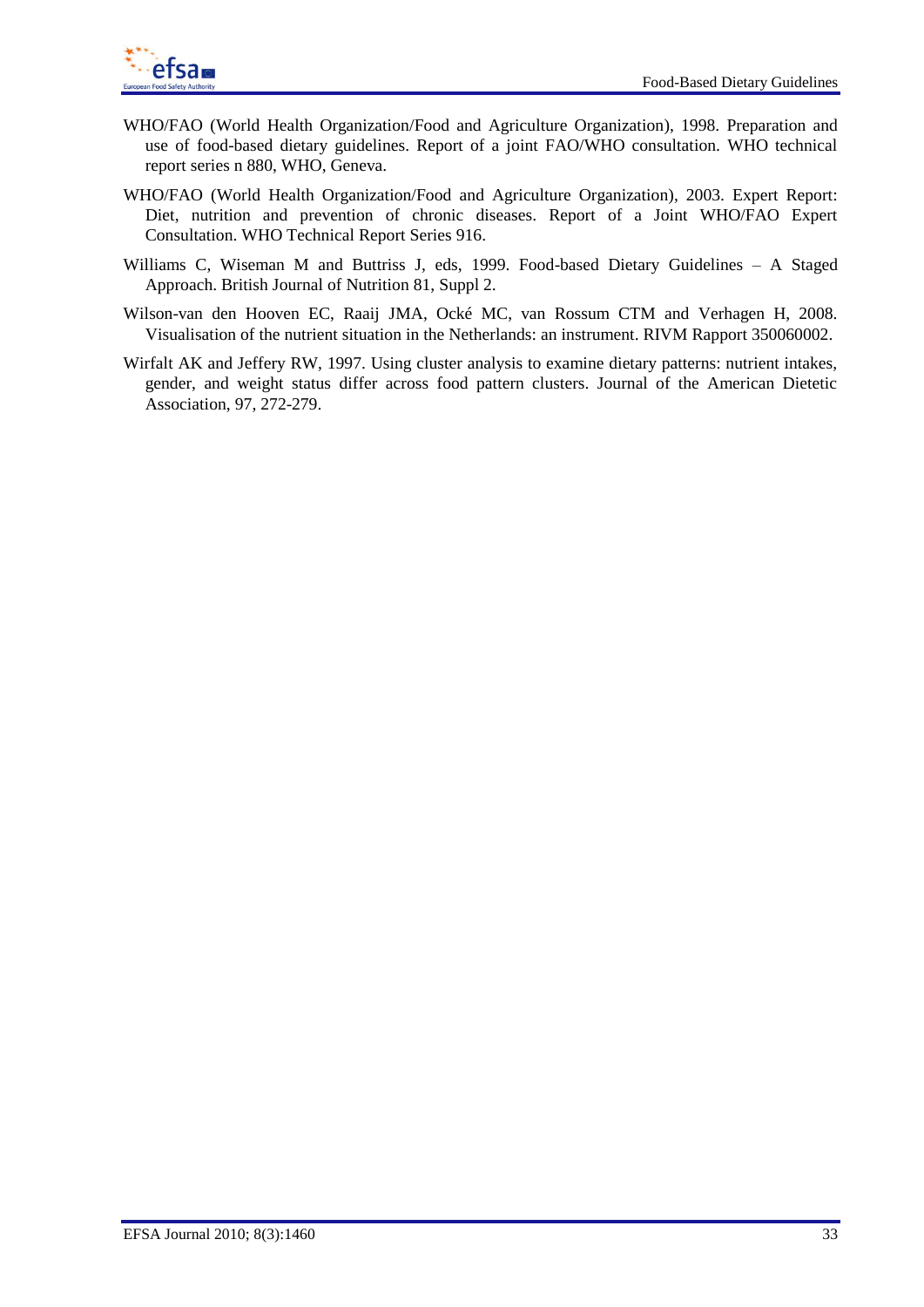

- WHO/FAO (World Health Organization/Food and Agriculture Organization), 1998. Preparation and use of food-based dietary guidelines. Report of a joint FAO/WHO consultation. WHO technical report series n 880, WHO, Geneva.
- WHO/FAO (World Health Organization/Food and Agriculture Organization), 2003. Expert Report: Diet, nutrition and prevention of chronic diseases. Report of a Joint WHO/FAO Expert Consultation. WHO Technical Report Series 916.
- Williams C, Wiseman M and Buttriss J, eds, 1999. Food-based Dietary Guidelines A Staged Approach. British Journal of Nutrition 81, Suppl 2.
- Wilson-van den Hooven EC, Raaij JMA, Ocké MC, van Rossum CTM and Verhagen H, 2008. Visualisation of the nutrient situation in the Netherlands: an instrument. RIVM Rapport 350060002.
- Wirfalt AK and Jeffery RW, 1997. Using cluster analysis to examine dietary patterns: nutrient intakes, gender, and weight status differ across food pattern clusters. Journal of the American Dietetic Association, 97, 272-279.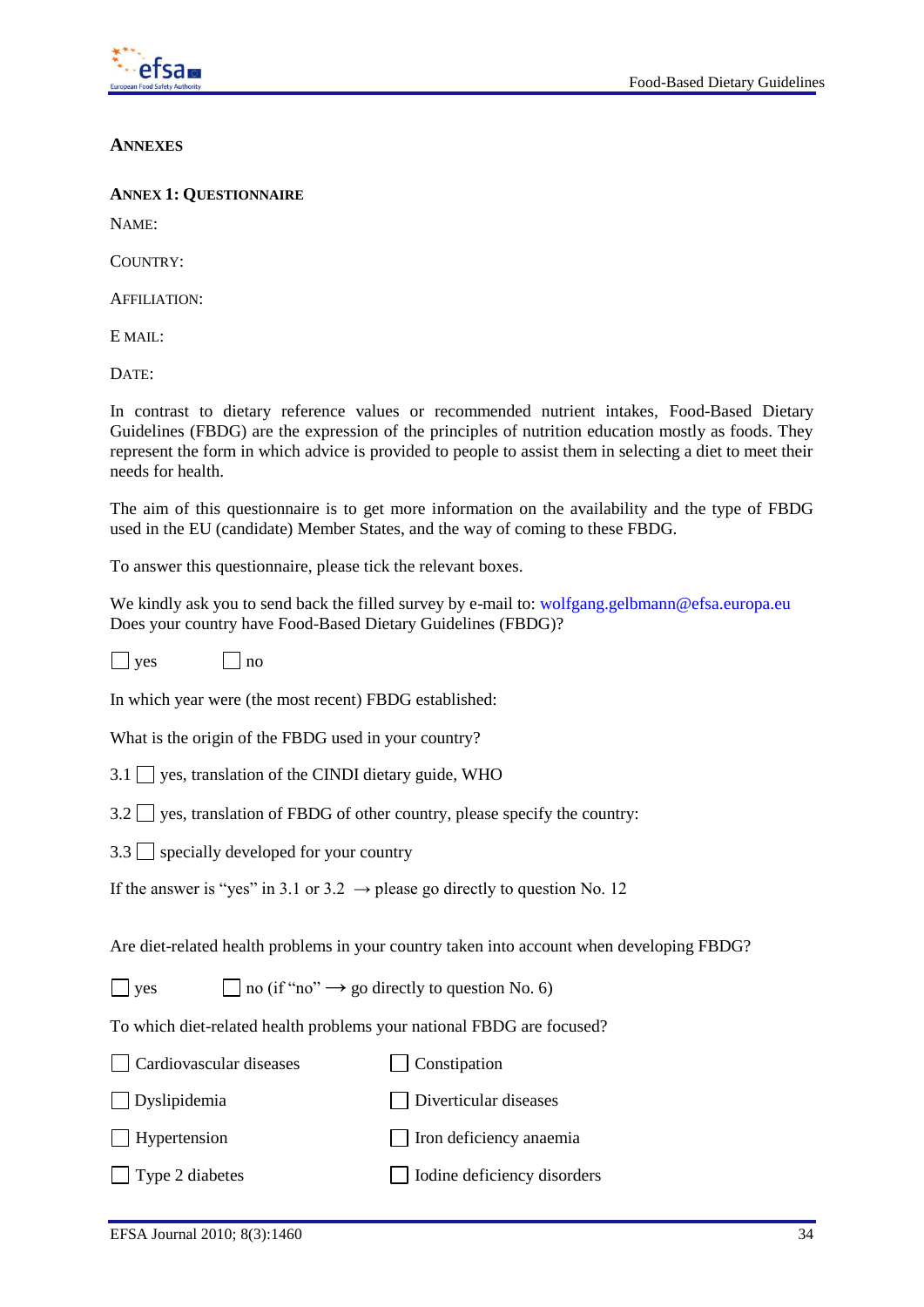

## <span id="page-33-0"></span>**ANNEXES**

**ANNEX 1: QUESTIONNAIRE**

NAME:

COUNTRY:

AFFILIATION:

E MAIL:

DATE:

In contrast to dietary reference values or recommended nutrient intakes, Food-Based Dietary Guidelines (FBDG) are the expression of the principles of nutrition education mostly as foods. They represent the form in which advice is provided to people to assist them in selecting a diet to meet their needs for health.

The aim of this questionnaire is to get more information on the availability and the type of FBDG used in the EU (candidate) Member States, and the way of coming to these FBDG.

To answer this questionnaire, please tick the relevant boxes.

We kindly ask you to send back the filled survey by e-mail to: wolfgang.gelbmann@efsa.europa.eu Does your country have Food-Based Dietary Guidelines (FBDG)?

 $\Box$  yes  $\Box$  no

In which year were (the most recent) FBDG established:

What is the origin of the FBDG used in your country?

 $3.1 \Box$  yes, translation of the CINDI dietary guide, WHO

 $3.2 \Box$  yes, translation of FBDG of other country, please specify the country:

 $3.3$  specially developed for your country

| If the answer is "yes" in 3.1 or 3.2 $\rightarrow$ please go directly to question No. 12 |  |  |  |  |
|------------------------------------------------------------------------------------------|--|--|--|--|
|                                                                                          |  |  |  |  |

Are diet-related health problems in your country taken into account when developing FBDG?

 $\Box$  yes  $\Box$  no (if "no"  $\rightarrow$  go directly to question No. 6)

To which diet-related health problems your national FBDG are focused?

 $\Box$  Cardiovascular diseases  $\Box$  Constipation

Dyslipidemia Diverticular diseases

Hypertension Iron deficiency anaemia

Type 2 diabetes Iodine deficiency disorders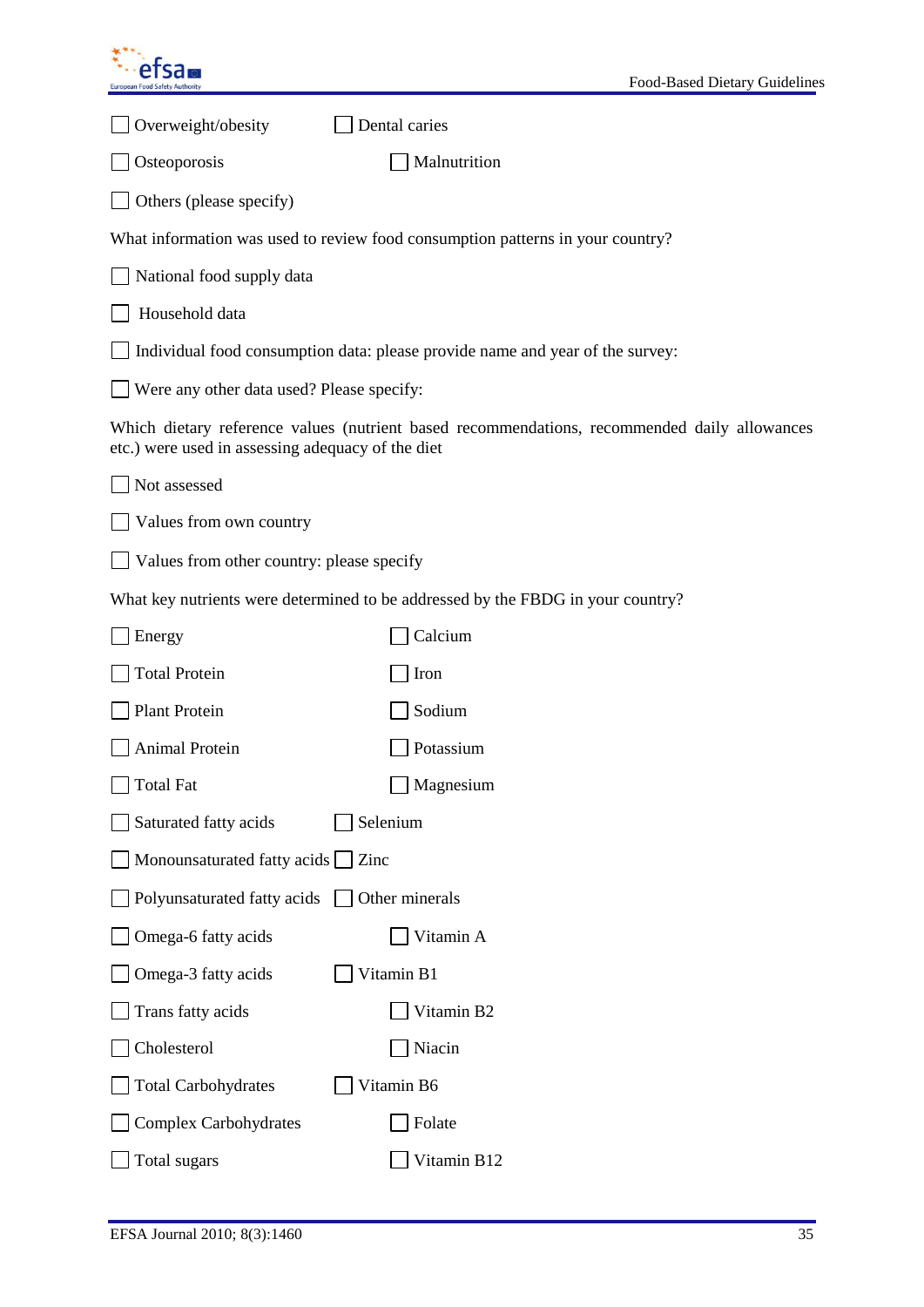

| Overweight/obesity                                | Dental caries                                                                                |
|---------------------------------------------------|----------------------------------------------------------------------------------------------|
| Osteoporosis                                      | Malnutrition                                                                                 |
| Others (please specify)                           |                                                                                              |
|                                                   | What information was used to review food consumption patterns in your country?               |
| National food supply data                         |                                                                                              |
| Household data                                    |                                                                                              |
|                                                   | Individual food consumption data: please provide name and year of the survey:                |
| Were any other data used? Please specify:         |                                                                                              |
| etc.) were used in assessing adequacy of the diet | Which dietary reference values (nutrient based recommendations, recommended daily allowances |
| Not assessed                                      |                                                                                              |
| Values from own country                           |                                                                                              |
| Values from other country: please specify         |                                                                                              |
|                                                   | What key nutrients were determined to be addressed by the FBDG in your country?              |
| Energy                                            | Calcium                                                                                      |
| <b>Total Protein</b>                              | Iron                                                                                         |
| <b>Plant Protein</b>                              | Sodium                                                                                       |
| Animal Protein                                    | Potassium                                                                                    |
| <b>Total Fat</b>                                  | Magnesium                                                                                    |
| Saturated fatty acids                             | Selenium                                                                                     |
| Monounsaturated fatty acids                       | Zinc                                                                                         |
| Polyunsaturated fatty acids                       | Other minerals                                                                               |
| Omega-6 fatty acids                               | Vitamin A                                                                                    |
| Omega-3 fatty acids                               | Vitamin B1                                                                                   |
| Trans fatty acids                                 | Vitamin B2                                                                                   |
| Cholesterol                                       | Niacin                                                                                       |
| <b>Total Carbohydrates</b>                        | Vitamin B6                                                                                   |
| <b>Complex Carbohydrates</b>                      | Folate                                                                                       |
| Total sugars                                      | Vitamin B12                                                                                  |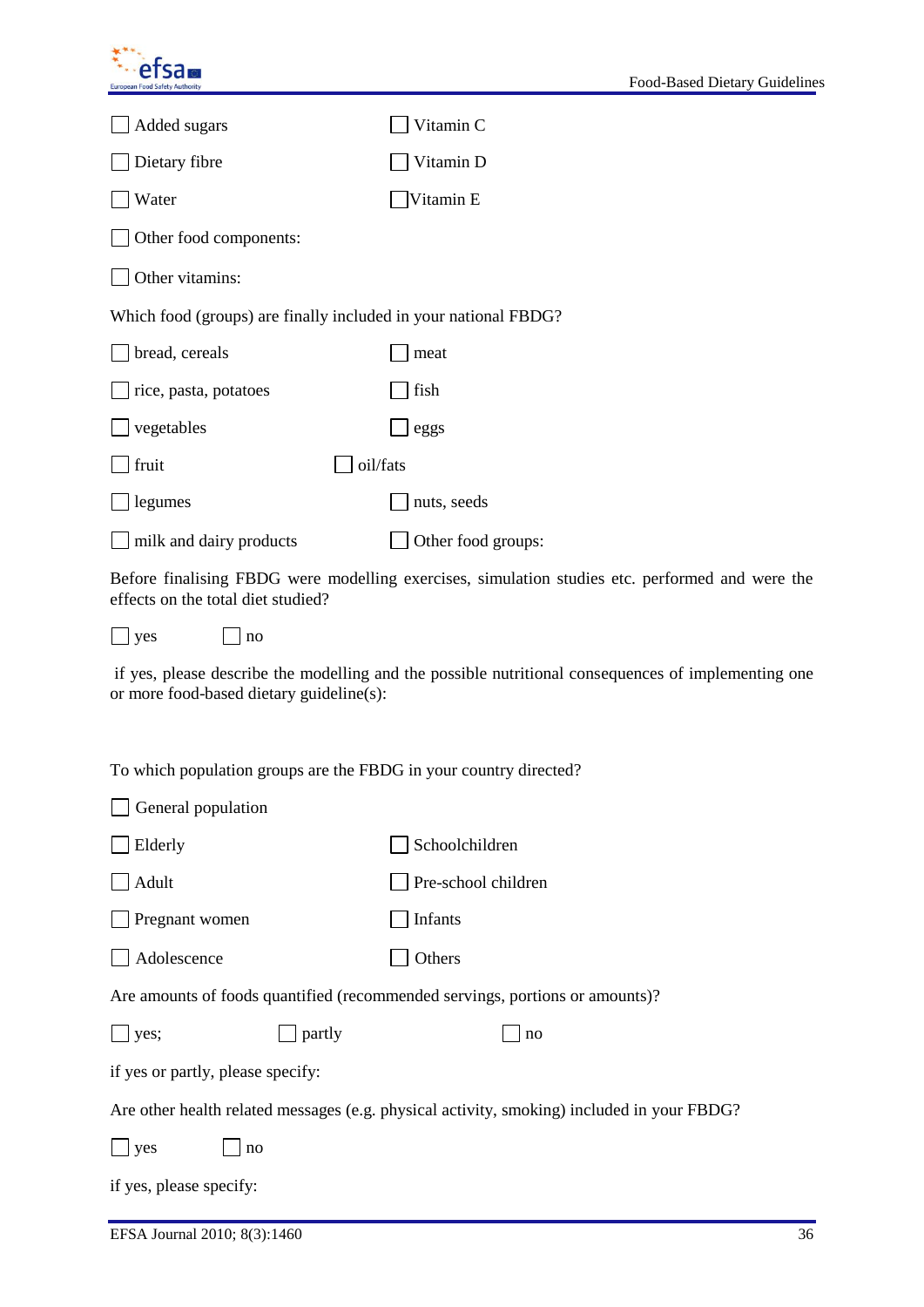

| Added sugars                                                      | Vitamin C                                                                                           |
|-------------------------------------------------------------------|-----------------------------------------------------------------------------------------------------|
| $\Box$ Dietary fibre                                              | Vitamin D                                                                                           |
| Water                                                             | Vitamin E                                                                                           |
| Other food components:                                            |                                                                                                     |
| Other vitamins:                                                   |                                                                                                     |
| Which food (groups) are finally included in your national FBDG?   |                                                                                                     |
| bread, cereals                                                    | meat                                                                                                |
| $\perp$ rice, pasta, potatoes                                     | fish                                                                                                |
| $\Box$ vegetables                                                 | eggs                                                                                                |
| oil/fats<br>$\Box$ fruit                                          |                                                                                                     |
| $\Box$ legumes                                                    | nuts, seeds                                                                                         |
| milk and dairy products                                           | Other food groups:                                                                                  |
| effects on the total diet studied?                                | Before finalising FBDG were modelling exercises, simulation studies etc. performed and were the     |
| $\Box$ yes<br>no                                                  |                                                                                                     |
| or more food-based dietary guideline(s):                          | if yes, please describe the modelling and the possible nutritional consequences of implementing one |
| To which population groups are the FBDG in your country directed? |                                                                                                     |
| $\Box$ General population                                         |                                                                                                     |
| Elderly                                                           | Schoolchildren                                                                                      |
| Adult                                                             | Pre-school children                                                                                 |
| Pregnant women                                                    | Infants                                                                                             |
| Adolescence                                                       | Others                                                                                              |
|                                                                   | Are amounts of foods quantified (recommended servings, portions or amounts)?                        |
| partly<br>$\Box$ yes;                                             | no                                                                                                  |
| if yes or partly, please specify:                                 |                                                                                                     |
|                                                                   | Are other health related messages (e.g. physical activity, smoking) included in your FBDG?          |
| $\Box$ yes<br>no                                                  |                                                                                                     |
| if yes, please specify:                                           |                                                                                                     |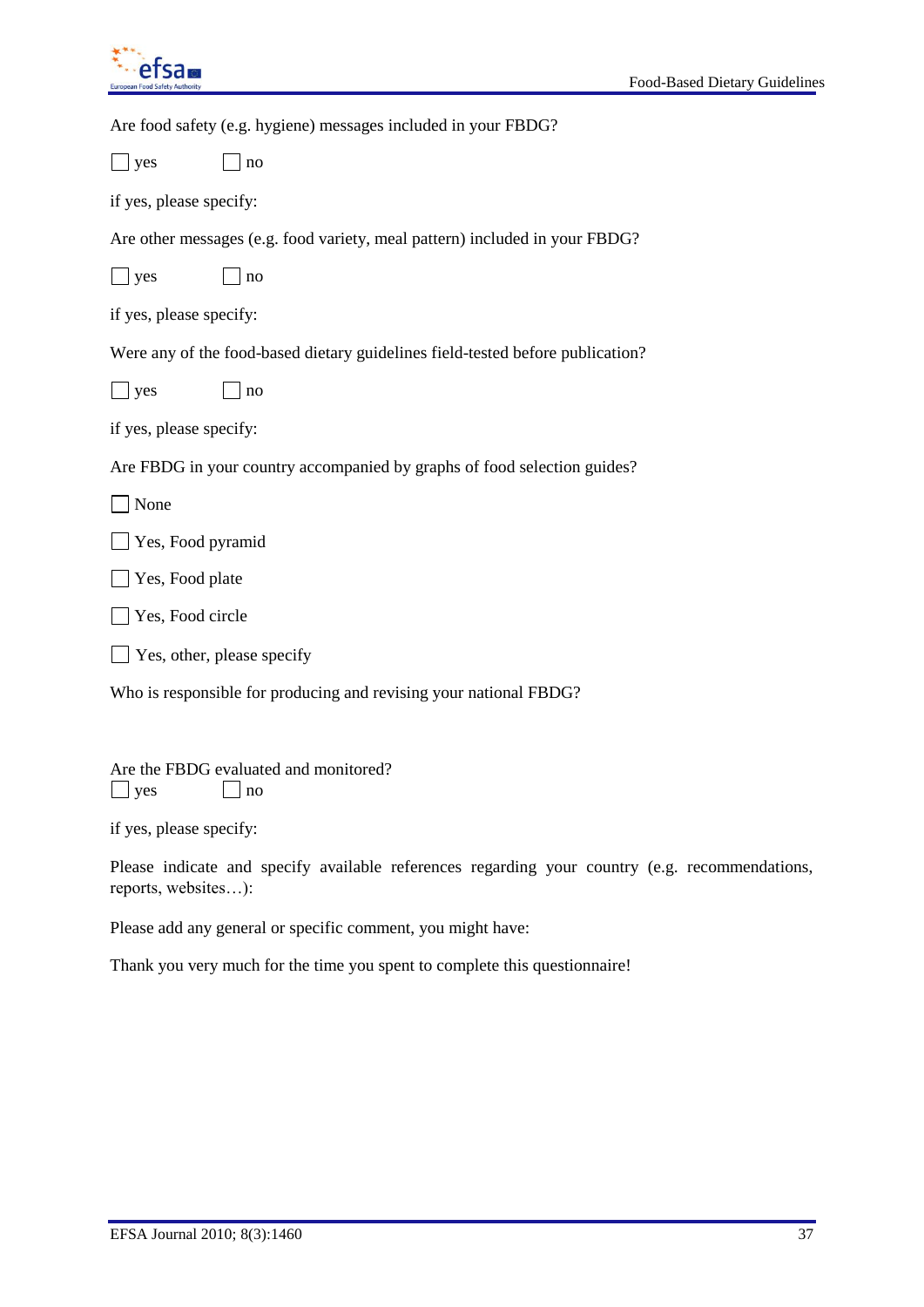

| Are food safety (e.g. hygiene) messages included in your FBDG?                 |  |  |  |  |  |
|--------------------------------------------------------------------------------|--|--|--|--|--|
| $\Box$ yes<br>no                                                               |  |  |  |  |  |
| if yes, please specify:                                                        |  |  |  |  |  |
| Are other messages (e.g. food variety, meal pattern) included in your FBDG?    |  |  |  |  |  |
| $\Box$ yes<br>no                                                               |  |  |  |  |  |
| if yes, please specify:                                                        |  |  |  |  |  |
| Were any of the food-based dietary guidelines field-tested before publication? |  |  |  |  |  |
| yes<br>no                                                                      |  |  |  |  |  |
| if yes, please specify:                                                        |  |  |  |  |  |
| Are FBDG in your country accompanied by graphs of food selection guides?       |  |  |  |  |  |
| None                                                                           |  |  |  |  |  |
| Yes, Food pyramid                                                              |  |  |  |  |  |
| Yes, Food plate                                                                |  |  |  |  |  |
| $\Box$ Yes, Food circle                                                        |  |  |  |  |  |
| $\Box$ Yes, other, please specify                                              |  |  |  |  |  |
| Who is responsible for producing and revising your national FBDG?              |  |  |  |  |  |
|                                                                                |  |  |  |  |  |
| Are the FBDG evaluated and monitored?<br>yes<br>no                             |  |  |  |  |  |

 $\Box$  no

if yes, please specify:

Please indicate and specify available references regarding your country (e.g. recommendations, reports, websites…):

Please add any general or specific comment, you might have:

Thank you very much for the time you spent to complete this questionnaire!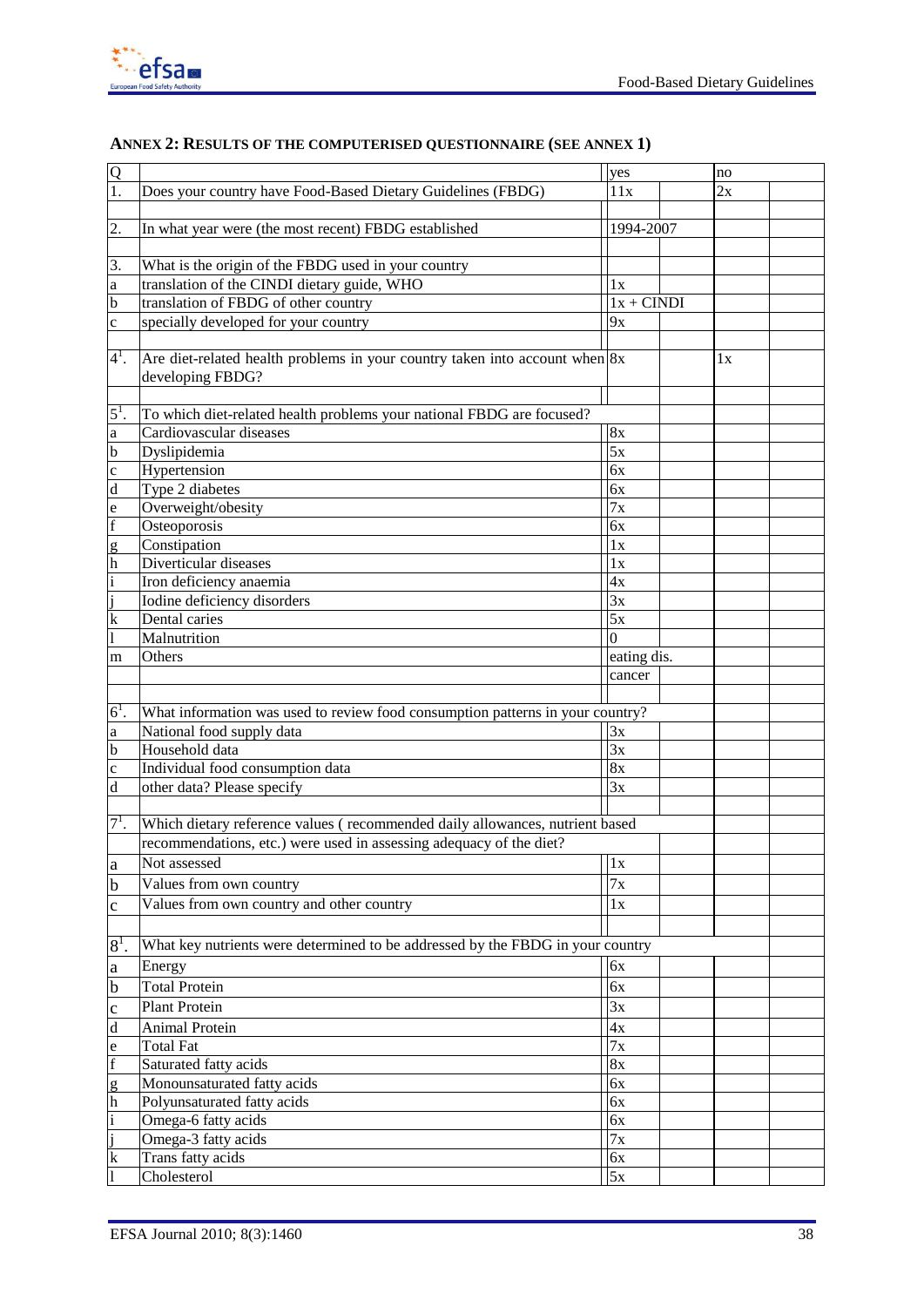

| Q            |                                                                                | yes             | no |  |
|--------------|--------------------------------------------------------------------------------|-----------------|----|--|
| 1.           | Does your country have Food-Based Dietary Guidelines (FBDG)                    | 11x             | 2x |  |
|              |                                                                                |                 |    |  |
| 2.           | In what year were (the most recent) FBDG established                           | 1994-2007       |    |  |
|              |                                                                                |                 |    |  |
|              |                                                                                |                 |    |  |
| 3.           | What is the origin of the FBDG used in your country                            |                 |    |  |
| a            | translation of the CINDI dietary guide, WHO                                    | 1x              |    |  |
| b            | translation of FBDG of other country                                           | $1x + CINDI$    |    |  |
| $\mathbf c$  | specially developed for your country                                           | 9x              |    |  |
|              |                                                                                |                 |    |  |
| $41$ .       | Are diet-related health problems in your country taken into account when $8x$  |                 | 1x |  |
|              | developing FBDG?                                                               |                 |    |  |
|              |                                                                                |                 |    |  |
| $5^1$ .      | To which diet-related health problems your national FBDG are focused?          |                 |    |  |
| a            | Cardiovascular diseases                                                        | $8x$            |    |  |
| b            | Dyslipidemia                                                                   | 5x              |    |  |
| $\mathbf c$  | Hypertension                                                                   | 6x              |    |  |
| d            | Type 2 diabetes                                                                | 6x              |    |  |
| e            | Overweight/obesity                                                             | 7x              |    |  |
| $\rm f$      | Osteoporosis                                                                   | 6x              |    |  |
| g            | Constipation                                                                   | 1x              |    |  |
| $\mathbf h$  | Diverticular diseases                                                          | 1x              |    |  |
| $\mathbf{i}$ | Iron deficiency anaemia                                                        | 4x              |    |  |
|              | Iodine deficiency disorders                                                    | 3x              |    |  |
| k            | Dental caries                                                                  | 5x              |    |  |
|              | Malnutrition                                                                   | 0               |    |  |
| m            | Others                                                                         | eating dis.     |    |  |
|              |                                                                                | cancer          |    |  |
|              |                                                                                |                 |    |  |
| $6^1$ .      | What information was used to review food consumption patterns in your country? |                 |    |  |
|              | National food supply data                                                      | 3x              |    |  |
| a<br>b       | Household data                                                                 | $\overline{3x}$ |    |  |
|              |                                                                                | 8x              |    |  |
| $\mathbf c$  | Individual food consumption data                                               |                 |    |  |
| d            | other data? Please specify                                                     | 3x              |    |  |
| $7^1$ .      |                                                                                |                 |    |  |
|              | Which dietary reference values (recommended daily allowances, nutrient based   |                 |    |  |
|              | recommendations, etc.) were used in assessing adequacy of the diet?            |                 |    |  |
| a            | Not assessed                                                                   | 1x              |    |  |
| b            | Values from own country                                                        | 7x              |    |  |
| $\mathbf c$  | Values from own country and other country                                      | 1x              |    |  |
|              |                                                                                |                 |    |  |
| $8^1$ .      | What key nutrients were determined to be addressed by the FBDG in your country |                 |    |  |
| $\rm{a}$     | Energy                                                                         | 6x              |    |  |
| b            | <b>Total Protein</b>                                                           | 6x              |    |  |
|              | <b>Plant Protein</b>                                                           | 3x              |    |  |
| $\mathbf c$  |                                                                                |                 |    |  |
| d            | <b>Animal Protein</b><br><b>Total Fat</b>                                      | 4x              |    |  |
| e            |                                                                                | $7\mathrm{x}$   |    |  |
| f            | Saturated fatty acids                                                          | 8x              |    |  |
| g            | Monounsaturated fatty acids                                                    | 6x              |    |  |
| h            | Polyunsaturated fatty acids                                                    | 6x              |    |  |
| $\mathbf{i}$ | Omega-6 fatty acids                                                            | 6x              |    |  |
|              | Omega-3 fatty acids                                                            | $7\mathrm{x}$   |    |  |
| k            | Trans fatty acids                                                              | 6x              |    |  |
|              | Cholesterol                                                                    | 5x              |    |  |

### **ANNEX 2: RESULTS OF THE COMPUTERISED QUESTIONNAIRE (SEE ANNEX 1)**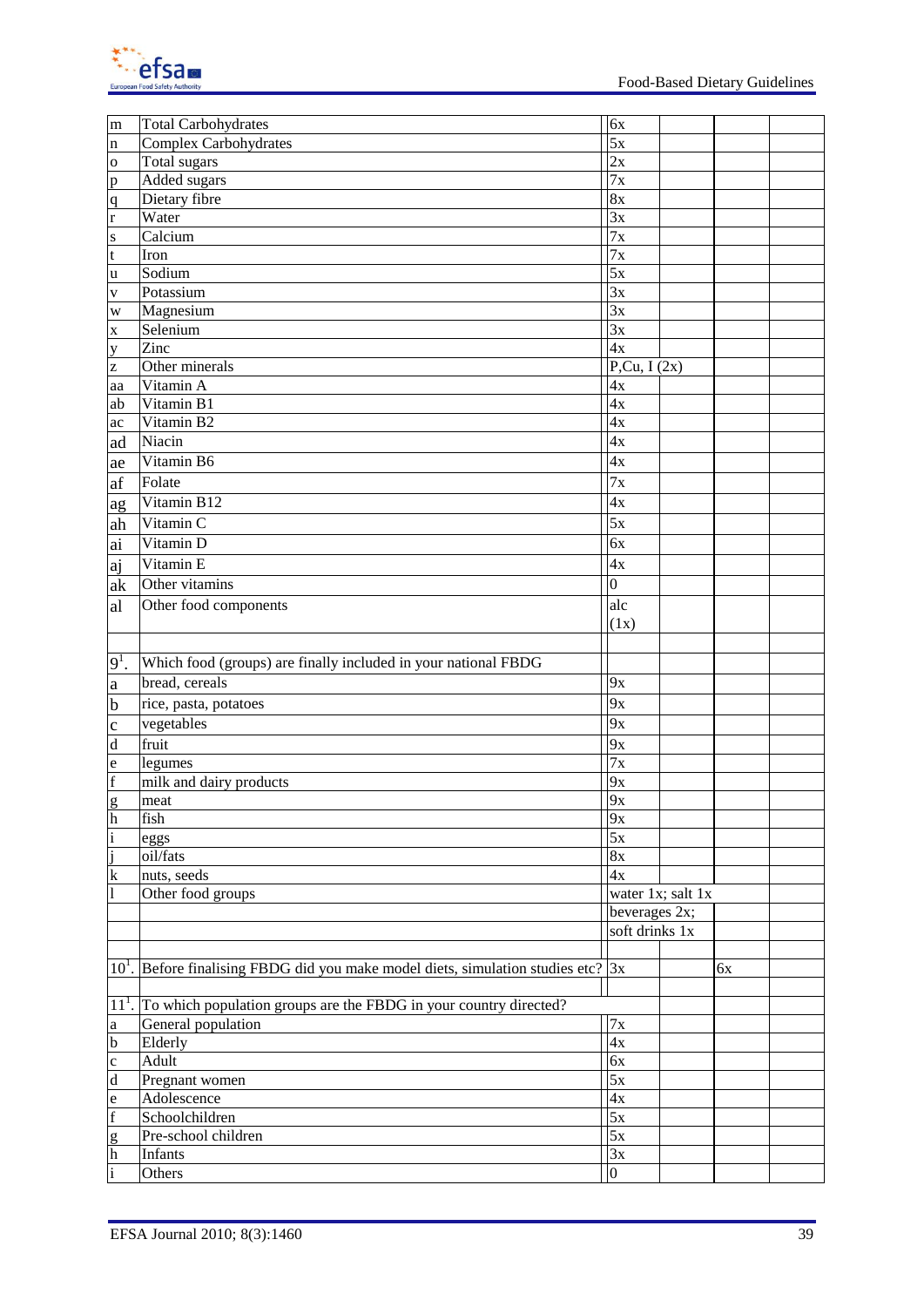

| m                         | <b>Total Carbohydrates</b>                                                          | 6x             |                   |    |  |
|---------------------------|-------------------------------------------------------------------------------------|----------------|-------------------|----|--|
| n                         | Complex Carbohydrates                                                               | 5x             |                   |    |  |
| 0                         | Total sugars                                                                        | 2x             |                   |    |  |
| p                         | Added sugars                                                                        | 7x             |                   |    |  |
|                           | Dietary fibre                                                                       | 8x             |                   |    |  |
| $\overline{q}$<br>r       | Water                                                                               | 3x             |                   |    |  |
|                           | Calcium                                                                             | 7x             |                   |    |  |
| S                         | Iron                                                                                | 7x             |                   |    |  |
| t                         |                                                                                     | 5x             |                   |    |  |
| u                         | Sodium                                                                              |                |                   |    |  |
| V                         | Potassium                                                                           | 3x             |                   |    |  |
| w                         | Magnesium                                                                           | 3x             |                   |    |  |
| X                         | Selenium                                                                            | 3x             |                   |    |  |
| y                         | Zinc                                                                                | 4x             |                   |    |  |
| Z                         | Other minerals                                                                      | P,Cu, I $(2x)$ |                   |    |  |
| aa                        | Vitamin A                                                                           | 4x             |                   |    |  |
| ab                        | Vitamin B1                                                                          | 4x             |                   |    |  |
| ac                        | Vitamin B2                                                                          | 4x             |                   |    |  |
| ad                        | Niacin                                                                              | 4x             |                   |    |  |
| ae                        | Vitamin B6                                                                          | 4x             |                   |    |  |
| af                        | Folate                                                                              | 7x             |                   |    |  |
|                           | Vitamin B12                                                                         | 4x             |                   |    |  |
| ag                        |                                                                                     |                |                   |    |  |
| ah                        | Vitamin C                                                                           | 5x             |                   |    |  |
| ai                        | Vitamin D                                                                           | 6x             |                   |    |  |
| aj                        | Vitamin E                                                                           | 4x             |                   |    |  |
| ak                        | Other vitamins                                                                      | $\overline{0}$ |                   |    |  |
| al                        | Other food components                                                               | alc            |                   |    |  |
|                           |                                                                                     | (1x)           |                   |    |  |
|                           |                                                                                     |                |                   |    |  |
| $9^{1}$ .                 | Which food (groups) are finally included in your national FBDG                      |                |                   |    |  |
|                           | bread, cereals                                                                      | 9x             |                   |    |  |
| a                         |                                                                                     |                |                   |    |  |
| b                         | rice, pasta, potatoes                                                               | 9x             |                   |    |  |
| $\mathbf c$               | vegetables                                                                          | 9x             |                   |    |  |
| d                         | fruit                                                                               | 9x             |                   |    |  |
| e                         | legumes                                                                             | 7x             |                   |    |  |
| f                         | milk and dairy products                                                             | 9x             |                   |    |  |
| g                         | meat                                                                                | 9x             |                   |    |  |
| $\boldsymbol{\mathrm{h}}$ | fish                                                                                | 9x             |                   |    |  |
| $\mathbf{i}$              | eggs                                                                                | 5x             |                   |    |  |
|                           | oil/fats                                                                            | 8x             |                   |    |  |
| k                         | nuts, seeds                                                                         | 4x             |                   |    |  |
| 1                         | Other food groups                                                                   |                | water 1x; salt 1x |    |  |
|                           |                                                                                     | beverages 2x;  |                   |    |  |
|                           |                                                                                     | soft drinks 1x |                   |    |  |
|                           |                                                                                     |                |                   |    |  |
|                           | $101$ . Before finalising FBDG did you make model diets, simulation studies etc? 3x |                |                   | 6x |  |
|                           |                                                                                     |                |                   |    |  |
|                           | $111$ . To which population groups are the FBDG in your country directed?           |                |                   |    |  |
|                           |                                                                                     | 7x             |                   |    |  |
| $\rm{a}$                  | General population                                                                  | 4x             |                   |    |  |
| b                         | Elderly                                                                             |                |                   |    |  |
| c                         | Adult                                                                               | 6x             |                   |    |  |
| d                         | Pregnant women                                                                      | 5x             |                   |    |  |
| e                         | Adolescence                                                                         | 4x             |                   |    |  |
| f                         | Schoolchildren                                                                      | 5x             |                   |    |  |
| g                         | Pre-school children                                                                 | 5x             |                   |    |  |
| $\mathbf h$               | Infants                                                                             | 3x             |                   |    |  |
| $\mathbf{i}$              | Others                                                                              | $\overline{0}$ |                   |    |  |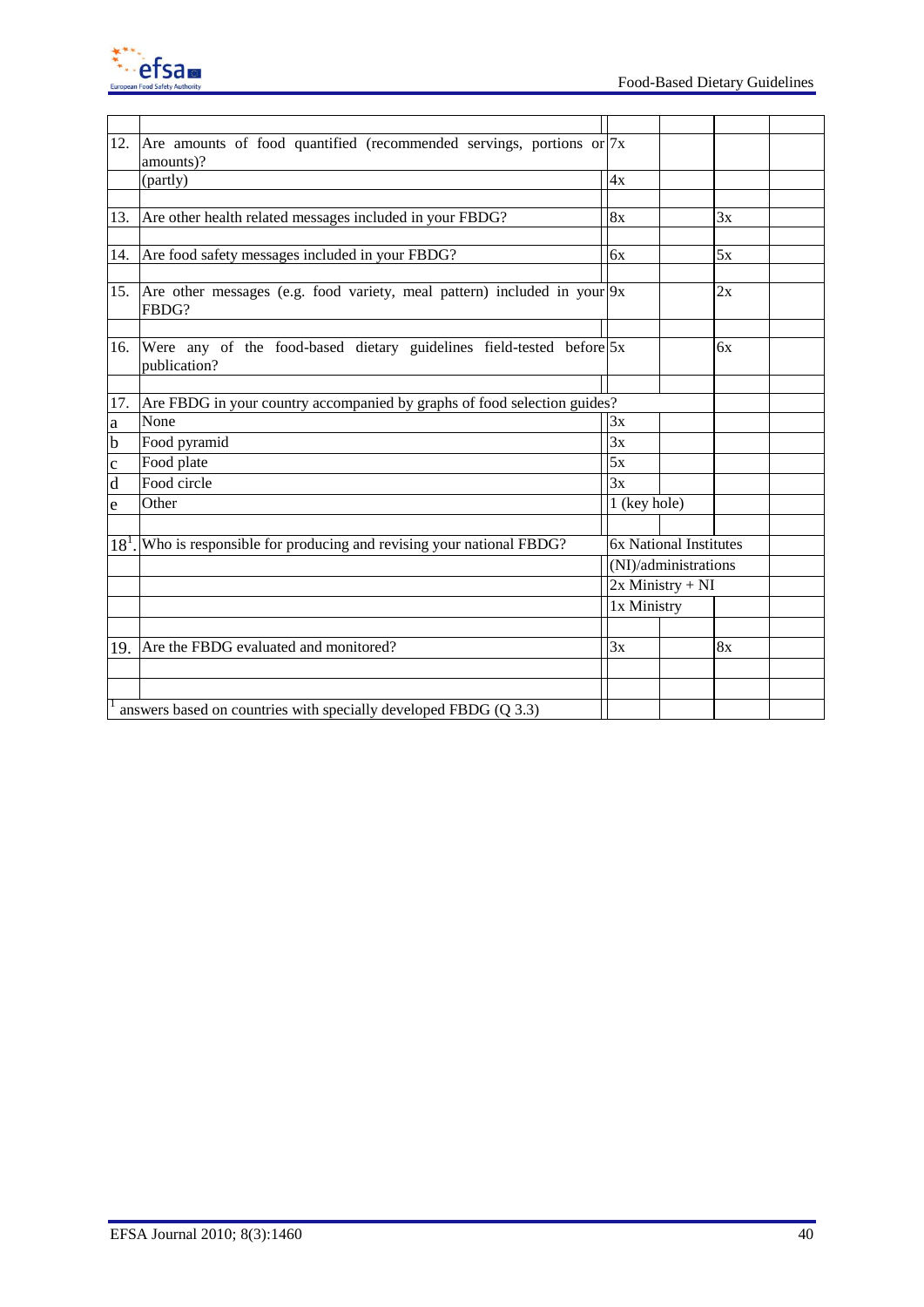

| 12.         | Are amounts of food quantified (recommended servings, portions or $7x$<br>amounts)?    |              |                        |    |  |
|-------------|----------------------------------------------------------------------------------------|--------------|------------------------|----|--|
|             | (partly)                                                                               | 4x           |                        |    |  |
|             |                                                                                        |              |                        |    |  |
| 13.         | Are other health related messages included in your FBDG?                               | 8x           |                        | 3x |  |
|             |                                                                                        |              |                        |    |  |
| 14.         | Are food safety messages included in your FBDG?                                        | 6x           |                        | 5x |  |
|             |                                                                                        |              |                        |    |  |
| 15.         | Are other messages (e.g. food variety, meal pattern) included in your $9x$<br>FBDG?    |              |                        | 2x |  |
|             |                                                                                        |              |                        |    |  |
| 16.         | Were any of the food-based dietary guidelines field-tested before $5x$<br>publication? |              |                        | 6x |  |
|             |                                                                                        |              |                        |    |  |
| 17.         | Are FBDG in your country accompanied by graphs of food selection guides?               |              |                        |    |  |
| a           | None                                                                                   | 3x           |                        |    |  |
| b           | Food pyramid                                                                           | 3x           |                        |    |  |
| $\mathbf c$ | Food plate                                                                             | 5x           |                        |    |  |
| d           | Food circle                                                                            | 3x           |                        |    |  |
| e           | Other                                                                                  | 1 (key hole) |                        |    |  |
|             |                                                                                        |              |                        |    |  |
| $18^{1}$ .  | Who is responsible for producing and revising your national FBDG?                      |              | 6x National Institutes |    |  |
|             |                                                                                        |              | (NI)/administrations   |    |  |
|             |                                                                                        |              | $2x$ Ministry + NI     |    |  |
|             |                                                                                        | 1x Ministry  |                        |    |  |
|             |                                                                                        |              |                        |    |  |
| 19.         | Are the FBDG evaluated and monitored?                                                  | 3x           |                        | 8x |  |
|             |                                                                                        |              |                        |    |  |
|             |                                                                                        |              |                        |    |  |
|             | answers based on countries with specially developed FBDG (Q 3.3)                       |              |                        |    |  |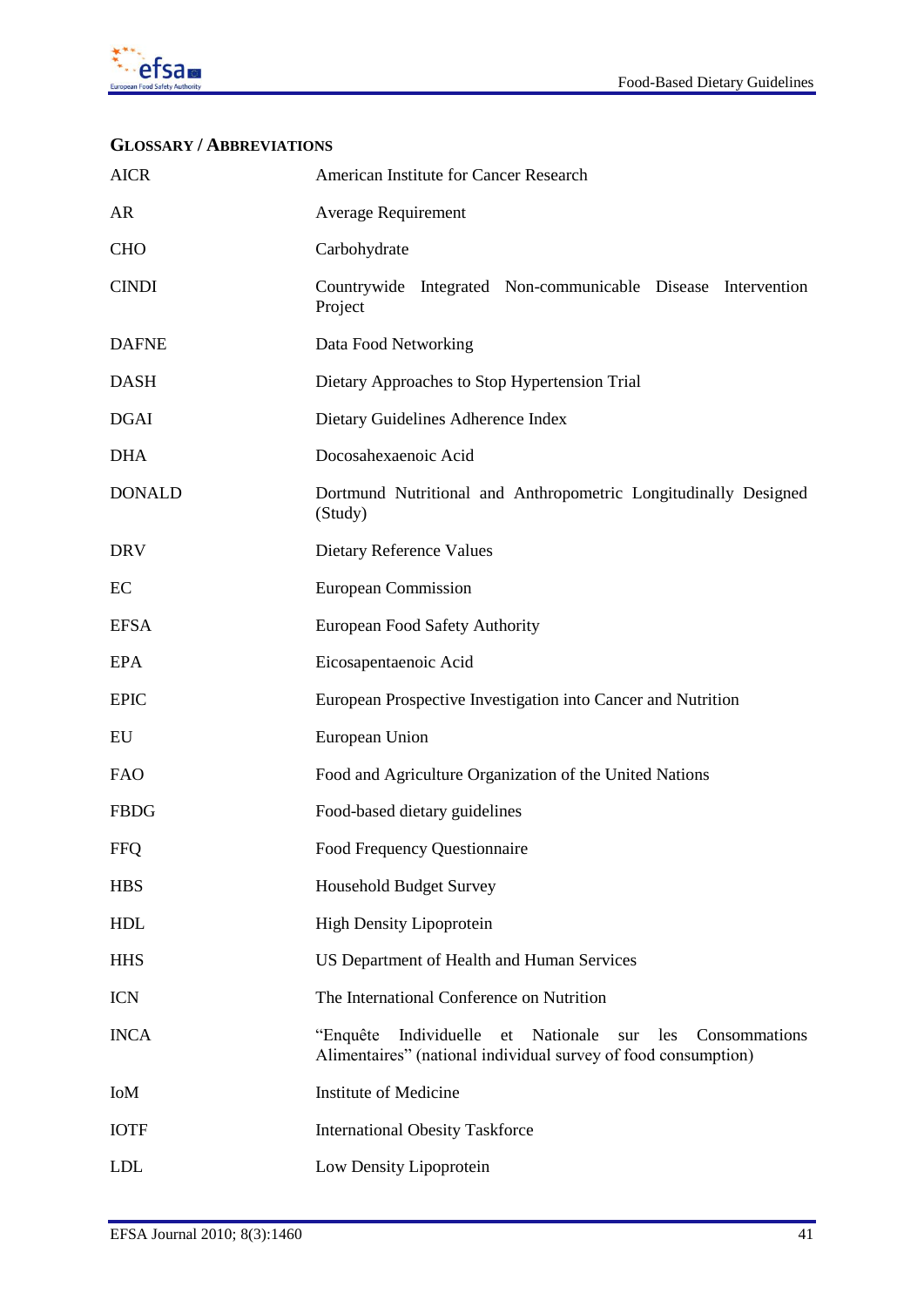

## <span id="page-40-0"></span>**GLOSSARY / ABBREVIATIONS**

| <b>AICR</b>   | American Institute for Cancer Research                                                                                                       |  |  |  |  |  |
|---------------|----------------------------------------------------------------------------------------------------------------------------------------------|--|--|--|--|--|
| AR            | <b>Average Requirement</b>                                                                                                                   |  |  |  |  |  |
| <b>CHO</b>    | Carbohydrate                                                                                                                                 |  |  |  |  |  |
| <b>CINDI</b>  | Countrywide Integrated Non-communicable Disease Intervention<br>Project                                                                      |  |  |  |  |  |
| <b>DAFNE</b>  | Data Food Networking                                                                                                                         |  |  |  |  |  |
| <b>DASH</b>   | Dietary Approaches to Stop Hypertension Trial                                                                                                |  |  |  |  |  |
| <b>DGAI</b>   | Dietary Guidelines Adherence Index                                                                                                           |  |  |  |  |  |
| <b>DHA</b>    | Docosahexaenoic Acid                                                                                                                         |  |  |  |  |  |
| <b>DONALD</b> | Dortmund Nutritional and Anthropometric Longitudinally Designed<br>(Study)                                                                   |  |  |  |  |  |
| <b>DRV</b>    | Dietary Reference Values                                                                                                                     |  |  |  |  |  |
| EC            | <b>European Commission</b>                                                                                                                   |  |  |  |  |  |
| <b>EFSA</b>   | <b>European Food Safety Authority</b>                                                                                                        |  |  |  |  |  |
| <b>EPA</b>    | Eicosapentaenoic Acid                                                                                                                        |  |  |  |  |  |
| <b>EPIC</b>   | European Prospective Investigation into Cancer and Nutrition                                                                                 |  |  |  |  |  |
| EU            | European Union                                                                                                                               |  |  |  |  |  |
| <b>FAO</b>    | Food and Agriculture Organization of the United Nations                                                                                      |  |  |  |  |  |
| <b>FBDG</b>   | Food-based dietary guidelines                                                                                                                |  |  |  |  |  |
| <b>FFO</b>    | Food Frequency Questionnaire                                                                                                                 |  |  |  |  |  |
| <b>HBS</b>    | <b>Household Budget Survey</b>                                                                                                               |  |  |  |  |  |
| <b>HDL</b>    | <b>High Density Lipoprotein</b>                                                                                                              |  |  |  |  |  |
| <b>HHS</b>    | US Department of Health and Human Services                                                                                                   |  |  |  |  |  |
| <b>ICN</b>    | The International Conference on Nutrition                                                                                                    |  |  |  |  |  |
| <b>INCA</b>   | "Enquête<br>Individuelle<br>Nationale<br>les<br>Consommations<br>et<br>sur<br>Alimentaires" (national individual survey of food consumption) |  |  |  |  |  |
| IoM           | <b>Institute of Medicine</b>                                                                                                                 |  |  |  |  |  |
| <b>IOTF</b>   | <b>International Obesity Taskforce</b>                                                                                                       |  |  |  |  |  |
| <b>LDL</b>    | Low Density Lipoprotein                                                                                                                      |  |  |  |  |  |